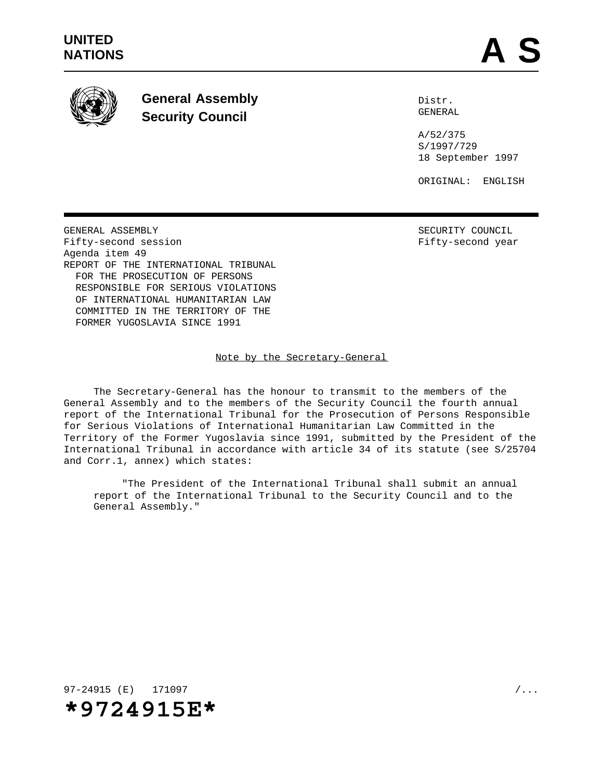

**General Assembly Security Council**

Distr. GENERAL

A/52/375 S/1997/729 18 September 1997

ORIGINAL: ENGLISH

GENERAL ASSEMBLY SECURITY COUNCIL Fifty-second session **Fifty-second** year Agenda item 49 REPORT OF THE INTERNATIONAL TRIBUNAL FOR THE PROSECUTION OF PERSONS RESPONSIBLE FOR SERIOUS VIOLATIONS OF INTERNATIONAL HUMANITARIAN LAW COMMITTED IN THE TERRITORY OF THE FORMER YUGOSLAVIA SINCE 1991

Note by the Secretary-General

The Secretary-General has the honour to transmit to the members of the General Assembly and to the members of the Security Council the fourth annual report of the International Tribunal for the Prosecution of Persons Responsible for Serious Violations of International Humanitarian Law Committed in the Territory of the Former Yugoslavia since 1991, submitted by the President of the International Tribunal in accordance with article 34 of its statute (see S/25704 and Corr.1, annex) which states:

"The President of the International Tribunal shall submit an annual report of the International Tribunal to the Security Council and to the General Assembly."

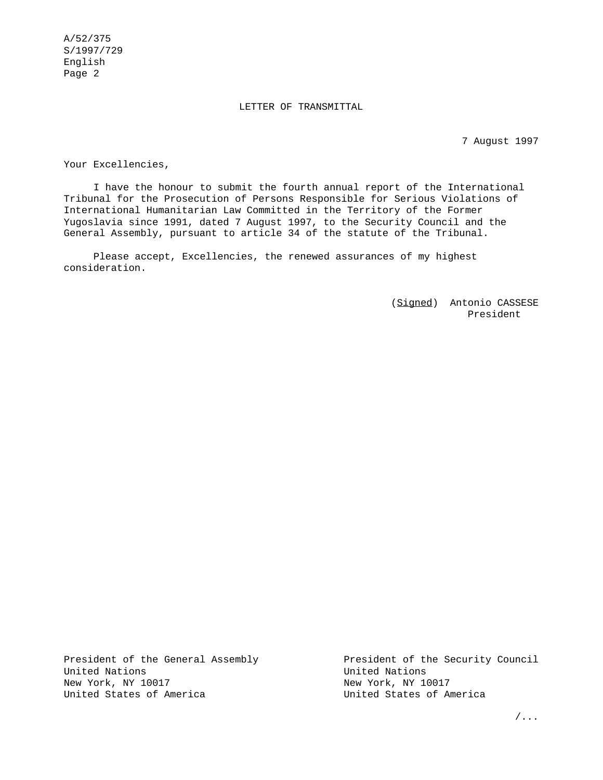#### LETTER OF TRANSMITTAL

7 August 1997

Your Excellencies,

I have the honour to submit the fourth annual report of the International Tribunal for the Prosecution of Persons Responsible for Serious Violations of International Humanitarian Law Committed in the Territory of the Former Yugoslavia since 1991, dated 7 August 1997, to the Security Council and the General Assembly, pursuant to article 34 of the statute of the Tribunal.

Please accept, Excellencies, the renewed assurances of my highest consideration.

> (Signed) Antonio CASSESE President

President of the General Assembly **President of the Security Council** United Nations United Nations New York, NY 10017 New York, NY 10017 United States of America United States of America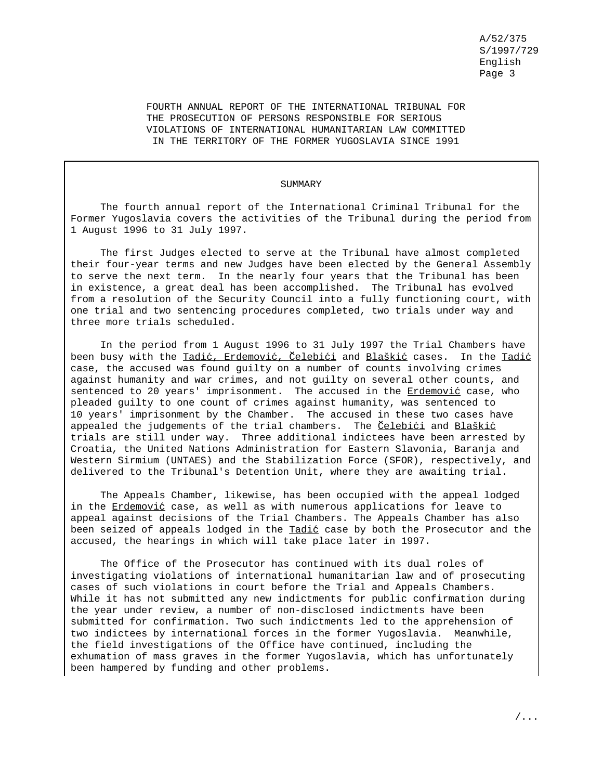FOURTH ANNUAL REPORT OF THE INTERNATIONAL TRIBUNAL FOR THE PROSECUTION OF PERSONS RESPONSIBLE FOR SERIOUS VIOLATIONS OF INTERNATIONAL HUMANITARIAN LAW COMMITTED IN THE TERRITORY OF THE FORMER YUGOSLAVIA SINCE 1991

#### SUMMARY

The fourth annual report of the International Criminal Tribunal for the Former Yugoslavia covers the activities of the Tribunal during the period from 1 August 1996 to 31 July 1997.

The first Judges elected to serve at the Tribunal have almost completed their four-year terms and new Judges have been elected by the General Assembly to serve the next term. In the nearly four years that the Tribunal has been in existence, a great deal has been accomplished. The Tribunal has evolved from a resolution of the Security Council into a fully functioning court, with one trial and two sentencing procedures completed, two trials under way and three more trials scheduled.

In the period from 1 August 1996 to 31 July 1997 the Trial Chambers have been busy with the Tadić, Erdemović, Celebići and Blaškić cases. In the Tadić case, the accused was found guilty on a number of counts involving crimes against humanity and war crimes, and not guilty on several other counts, and sentenced to 20 years' imprisonment. The accused in the Erdemović case, who pleaded guilty to one count of crimes against humanity, was sentenced to 10 years' imprisonment by the Chamber. The accused in these two cases have appealed the judgements of the trial chambers. The Celebici and Blaškic trials are still under way. Three additional indictees have been arrested by Croatia, the United Nations Administration for Eastern Slavonia, Baranja and Western Sirmium (UNTAES) and the Stabilization Force (SFOR), respectively, and delivered to the Tribunal's Detention Unit, where they are awaiting trial.

The Appeals Chamber, likewise, has been occupied with the appeal lodged in the Erdemović case, as well as with numerous applications for leave to appeal against decisions of the Trial Chambers. The Appeals Chamber has also been seized of appeals lodged in the Tadić case by both the Prosecutor and the accused, the hearings in which will take place later in 1997.

The Office of the Prosecutor has continued with its dual roles of investigating violations of international humanitarian law and of prosecuting cases of such violations in court before the Trial and Appeals Chambers. While it has not submitted any new indictments for public confirmation during the year under review, a number of non-disclosed indictments have been submitted for confirmation. Two such indictments led to the apprehension of two indictees by international forces in the former Yugoslavia. Meanwhile, the field investigations of the Office have continued, including the exhumation of mass graves in the former Yugoslavia, which has unfortunately been hampered by funding and other problems.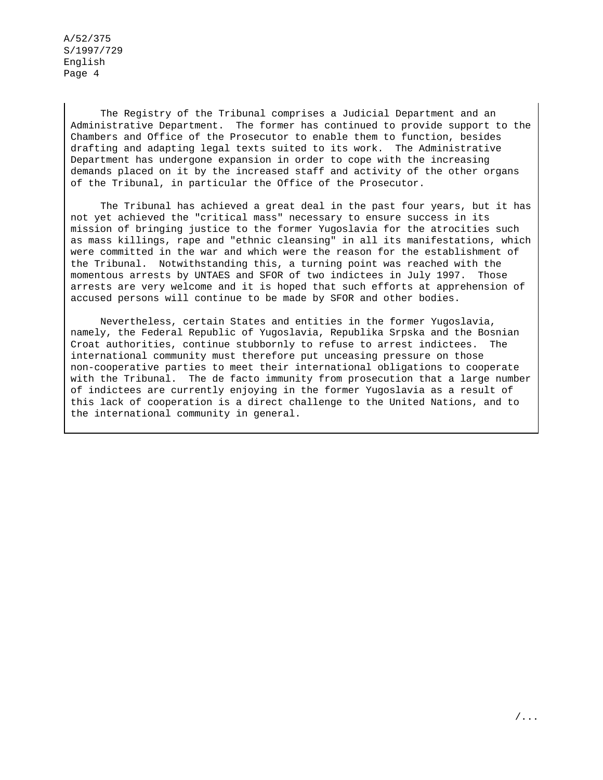> The Registry of the Tribunal comprises a Judicial Department and an Administrative Department. The former has continued to provide support to the Chambers and Office of the Prosecutor to enable them to function, besides drafting and adapting legal texts suited to its work. The Administrative Department has undergone expansion in order to cope with the increasing demands placed on it by the increased staff and activity of the other organs of the Tribunal, in particular the Office of the Prosecutor.

> The Tribunal has achieved a great deal in the past four years, but it has not yet achieved the "critical mass" necessary to ensure success in its mission of bringing justice to the former Yugoslavia for the atrocities such as mass killings, rape and "ethnic cleansing" in all its manifestations, which were committed in the war and which were the reason for the establishment of the Tribunal. Notwithstanding this, a turning point was reached with the momentous arrests by UNTAES and SFOR of two indictees in July 1997. Those arrests are very welcome and it is hoped that such efforts at apprehension of accused persons will continue to be made by SFOR and other bodies.

> Nevertheless, certain States and entities in the former Yugoslavia, namely, the Federal Republic of Yugoslavia, Republika Srpska and the Bosnian Croat authorities, continue stubbornly to refuse to arrest indictees. The international community must therefore put unceasing pressure on those non-cooperative parties to meet their international obligations to cooperate with the Tribunal. The de facto immunity from prosecution that a large number of indictees are currently enjoying in the former Yugoslavia as a result of this lack of cooperation is a direct challenge to the United Nations, and to the international community in general.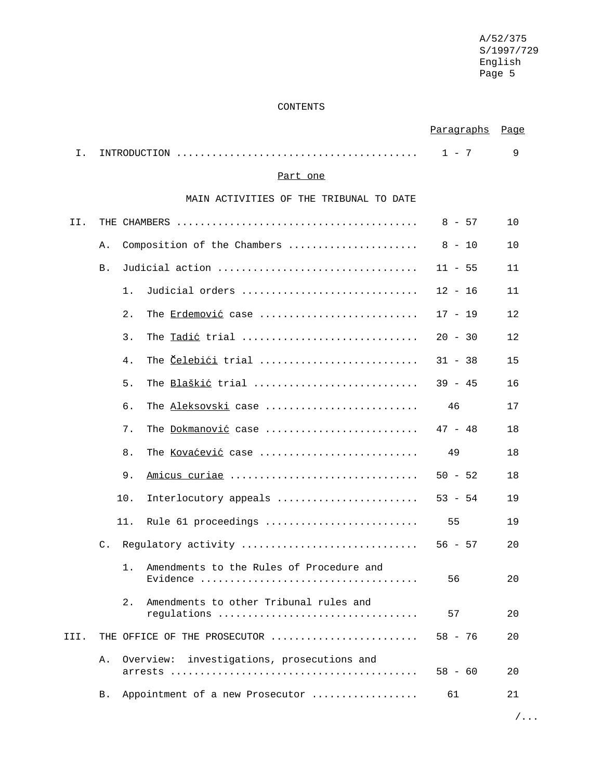#### CONTENTS

|      |    |                                                             | Paragraphs | Page |
|------|----|-------------------------------------------------------------|------------|------|
| Ι.   |    |                                                             | $1 - 7$    | 9    |
|      |    | Part one                                                    |            |      |
|      |    | MAIN ACTIVITIES OF THE TRIBUNAL TO DATE                     |            |      |
| II.  |    |                                                             | $8 - 57$   | 10   |
|      | Α. | Composition of the Chambers                                 | $8 - 10$   | 10   |
|      | Β. | Judicial action                                             | $11 - 55$  | 11   |
|      |    | Judicial orders<br>1.                                       | $12 - 16$  | 11   |
|      |    | 2.<br>The Erdemović case                                    | $17 - 19$  | 12   |
|      |    | 3.<br>The Tadić trial                                       | $20 - 30$  | 12   |
|      |    | The Celebici trial<br>4.                                    | $31 - 38$  | 15   |
|      |    | 5.<br>The Blaškić trial                                     | $39 - 45$  | 16   |
|      |    | б.<br>The Aleksovski case                                   | 46         | 17   |
|      |    | 7.<br>The Dokmanović case                                   | $47 - 48$  | 18   |
|      |    | 8.<br>The Kovaćević case                                    | 49         | 18   |
|      |    | 9.<br>Amicus curiae                                         | $50 - 52$  | 18   |
|      |    | 10.<br>Interlocutory appeals                                | $53 - 54$  | 19   |
|      |    | 11.<br>Rule 61 proceedings                                  | 55         | 19   |
|      | C. | Regulatory activity                                         | $56 - 57$  | 20   |
|      |    | 1. Amendments to the Rules of Procedure and                 | 56         | 20   |
|      |    | Amendments to other Tribunal rules and<br>2.<br>requlations | 57         | 20   |
| III. |    | THE OFFICE OF THE PROSECUTOR                                | $58 - 76$  | 20   |
|      | Α. | Overview:<br>investigations, prosecutions and               | $58 - 60$  | 20   |
|      | Β. | Appointment of a new Prosecutor                             | 61         | 21   |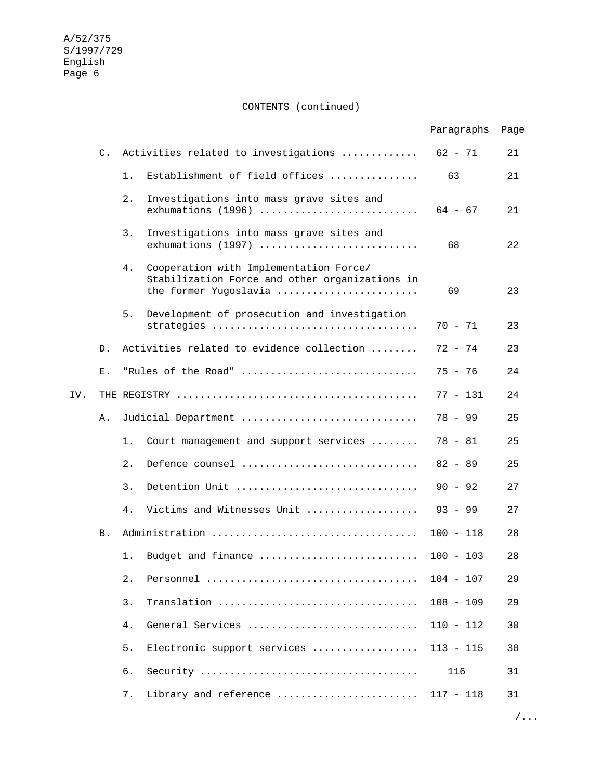CONTENTS (continued)

|     |                |       |                                                                                                                   | Paragraphs  | <u>Page</u> |
|-----|----------------|-------|-------------------------------------------------------------------------------------------------------------------|-------------|-------------|
|     | $\mathsf{C}$ . |       | Activities related to investigations                                                                              | $62 - 71$   | 21          |
|     |                | 1.    | Establishment of field offices                                                                                    | 63          | 21          |
|     |                | 2.    | Investigations into mass grave sites and                                                                          | $64 - 67$   | 21          |
|     |                | 3.    | Investigations into mass grave sites and<br>exhumations (1997)                                                    | 68          | 22          |
|     |                | 4.    | Cooperation with Implementation Force/<br>Stabilization Force and other organizations in<br>the former Yugoslavia | 69          | 23          |
|     |                | 5.    | Development of prosecution and investigation<br>strategies                                                        | $70 - 71$   | 23          |
|     | D.             |       | Activities related to evidence collection                                                                         | 72 - 74     | 23          |
|     | Е.             |       | "Rules of the Road"                                                                                               | 75 - 76     | 24          |
| IV. |                |       |                                                                                                                   | $77 - 131$  | 24          |
|     | Α.             |       | Judicial Department                                                                                               | 78 - 99     | 25          |
|     |                | 1.    | Court management and support services                                                                             | 78 - 81     | 25          |
|     |                | 2.    | Defence counsel                                                                                                   | $82 - 89$   | 25          |
|     |                | 3.    | Detention Unit                                                                                                    | $90 - 92$   | 27          |
|     |                | 4.    | Victims and Witnesses Unit                                                                                        | $93 - 99$   | 27          |
|     | Β.             |       |                                                                                                                   | $100 - 118$ | 28          |
|     |                | 1.    | Budget and finance                                                                                                | $100 - 103$ | 28          |
|     |                | $2$ . |                                                                                                                   | $104 - 107$ | 29          |
|     |                | 3.    | Translation                                                                                                       | $108 - 109$ | 29          |
|     |                | 4.    | General Services                                                                                                  | $110 - 112$ | 30          |
|     |                | 5.    | Electronic support services                                                                                       | $113 - 115$ | 30          |
|     |                | б.    |                                                                                                                   | 116         | 31          |
|     |                | 7.    | Library and reference                                                                                             | $117 - 118$ | 31          |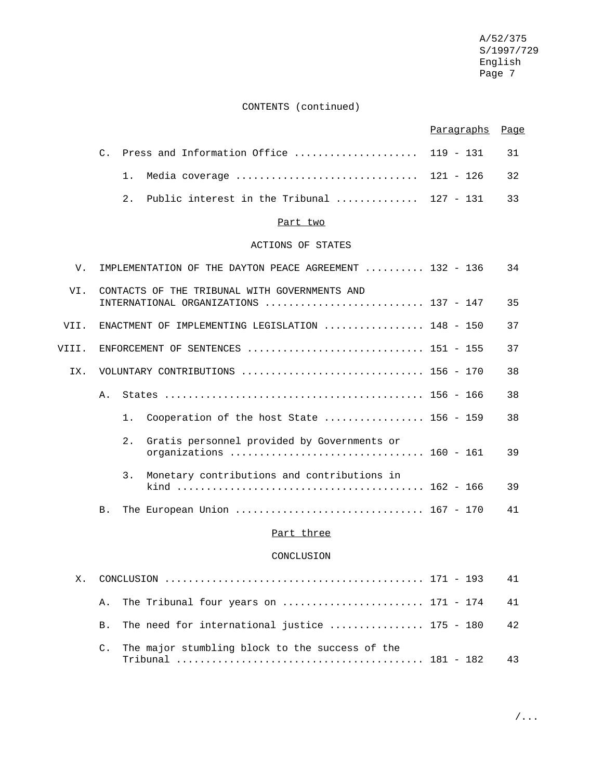# CONTENTS (continued)

|       |                |       |                                                                                         | <u>Paragraphs</u> | Page |
|-------|----------------|-------|-----------------------------------------------------------------------------------------|-------------------|------|
|       | $\mathsf{C}$ . |       | Press and Information Office                                                            | $119 - 131$       | 31   |
|       |                | 1.    | Media coverage                                                                          | $121 - 126$       | 32   |
|       |                | $2$ . | Public interest in the Tribunal $127 - 131$                                             |                   | 33   |
|       |                |       | Part two                                                                                |                   |      |
|       |                |       | ACTIONS OF STATES                                                                       |                   |      |
| V.    |                |       | IMPLEMENTATION OF THE DAYTON PEACE AGREEMENT  132 - 136                                 |                   | 34   |
| VI.   |                |       | CONTACTS OF THE TRIBUNAL WITH GOVERNMENTS AND<br>INTERNATIONAL ORGANIZATIONS  137 - 147 |                   | 35   |
| VII.  |                |       | ENACTMENT OF IMPLEMENTING LEGISLATION  148 - 150                                        |                   | 37   |
| VIII. |                |       | ENFORCEMENT OF SENTENCES  151 - 155                                                     |                   | 37   |
| IX.   |                |       | VOLUNTARY CONTRIBUTIONS  156 - 170                                                      |                   | 38   |
|       | Α.             |       |                                                                                         |                   | 38   |
|       |                | 1.    | Cooperation of the host State  156 - 159                                                |                   | 38   |
|       |                | 2.    | Gratis personnel provided by Governments or<br>organizations  160 - 161                 |                   | 39   |
|       |                | 3.    | Monetary contributions and contributions in                                             |                   | 39   |
|       | B.             |       |                                                                                         |                   | 41   |
|       |                |       | Part three                                                                              |                   |      |
|       |                |       | CONCLUSION                                                                              |                   |      |
| Х.    |                |       |                                                                                         |                   | 41   |
|       | Α.             |       | The Tribunal four years on $171 - 174$                                                  |                   | 41   |
|       | <b>B.</b>      |       | The need for international justice  175 - 180                                           |                   | 42   |
|       | C.             |       | The major stumbling block to the success of the                                         |                   | 43   |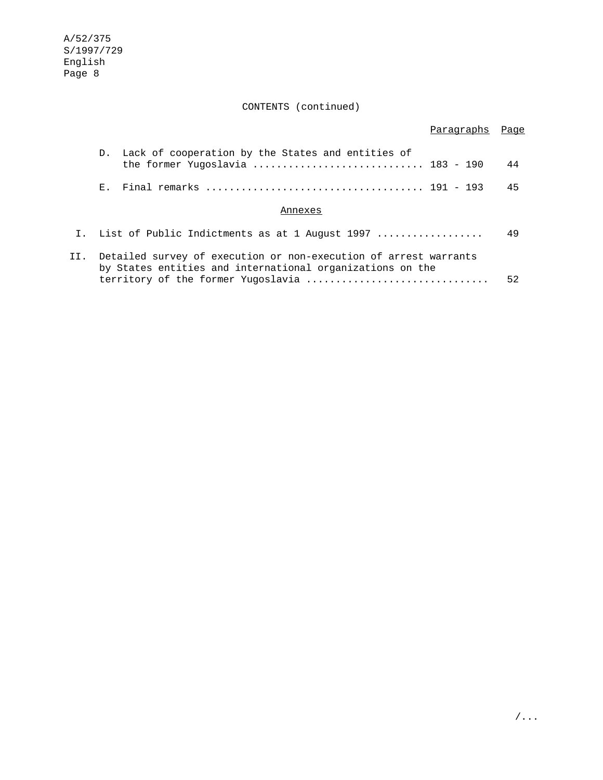CONTENTS (continued)

|     |                |                                                                                                                               | Paragraphs Page |    |
|-----|----------------|-------------------------------------------------------------------------------------------------------------------------------|-----------------|----|
|     |                | D. Lack of cooperation by the States and entities of<br>the former Yugoslavia  183 - 190                                      |                 | 44 |
|     | $\mathbf{E}$ . |                                                                                                                               |                 | 45 |
|     |                | Annexes                                                                                                                       |                 |    |
|     |                | I. List of Public Indictments as at 1 August 1997                                                                             |                 | 49 |
| II. |                | Detailed survey of execution or non-execution of arrest warrants<br>by States entities and international organizations on the |                 |    |
|     |                |                                                                                                                               |                 | 52 |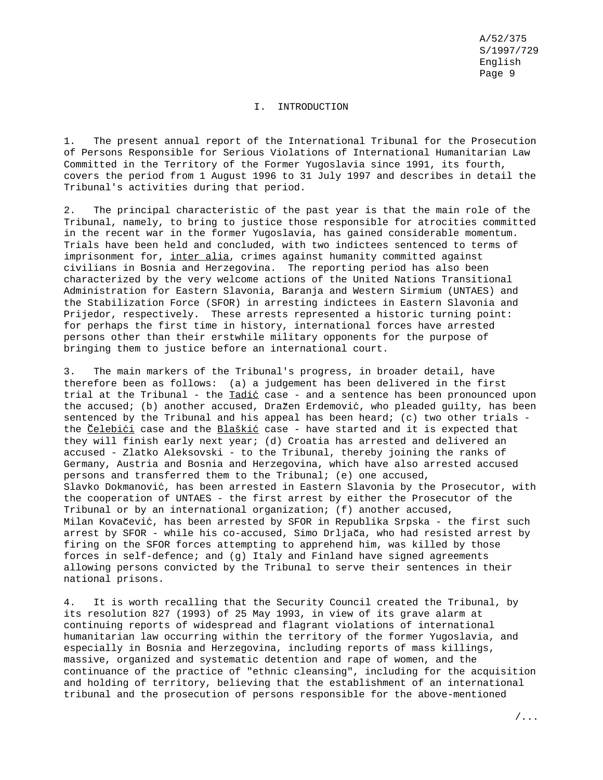#### I. INTRODUCTION

1. The present annual report of the International Tribunal for the Prosecution of Persons Responsible for Serious Violations of International Humanitarian Law Committed in the Territory of the Former Yugoslavia since 1991, its fourth, covers the period from 1 August 1996 to 31 July 1997 and describes in detail the Tribunal's activities during that period.

2. The principal characteristic of the past year is that the main role of the Tribunal, namely, to bring to justice those responsible for atrocities committed in the recent war in the former Yugoslavia, has gained considerable momentum. Trials have been held and concluded, with two indictees sentenced to terms of imprisonment for, inter alia, crimes against humanity committed against civilians in Bosnia and Herzegovina. The reporting period has also been characterized by the very welcome actions of the United Nations Transitional Administration for Eastern Slavonia, Baranja and Western Sirmium (UNTAES) and the Stabilization Force (SFOR) in arresting indictees in Eastern Slavonia and Prijedor, respectively. These arrests represented a historic turning point: for perhaps the first time in history, international forces have arrested persons other than their erstwhile military opponents for the purpose of bringing them to justice before an international court.

3. The main markers of the Tribunal's progress, in broader detail, have therefore been as follows: (a) a judgement has been delivered in the first trial at the Tribunal - the Tadić case - and a sentence has been pronounced upon the accused; (b) another accused, Dražen Erdemović, who pleaded guilty, has been sentenced by the Tribunal and his appeal has been heard; (c) two other trials the Celebići case and the Blaškić case - have started and it is expected that they will finish early next year; (d) Croatia has arrested and delivered an accused - Zlatko Aleksovski - to the Tribunal, thereby joining the ranks of Germany, Austria and Bosnia and Herzegovina, which have also arrested accused persons and transferred them to the Tribunal; (e) one accused, Slavko Dokmanović, has been arrested in Eastern Slavonia by the Prosecutor, with the cooperation of UNTAES - the first arrest by either the Prosecutor of the Tribunal or by an international organization; (f) another accused, Milan Kovačević, has been arrested by SFOR in Republika Srpska - the first such arrest by SFOR - while his co-accused, Simo Drljača, who had resisted arrest by firing on the SFOR forces attempting to apprehend him, was killed by those forces in self-defence; and (g) Italy and Finland have signed agreements allowing persons convicted by the Tribunal to serve their sentences in their national prisons.

4. It is worth recalling that the Security Council created the Tribunal, by its resolution 827 (1993) of 25 May 1993, in view of its grave alarm at continuing reports of widespread and flagrant violations of international humanitarian law occurring within the territory of the former Yugoslavia, and especially in Bosnia and Herzegovina, including reports of mass killings, massive, organized and systematic detention and rape of women, and the continuance of the practice of "ethnic cleansing", including for the acquisition and holding of territory, believing that the establishment of an international tribunal and the prosecution of persons responsible for the above-mentioned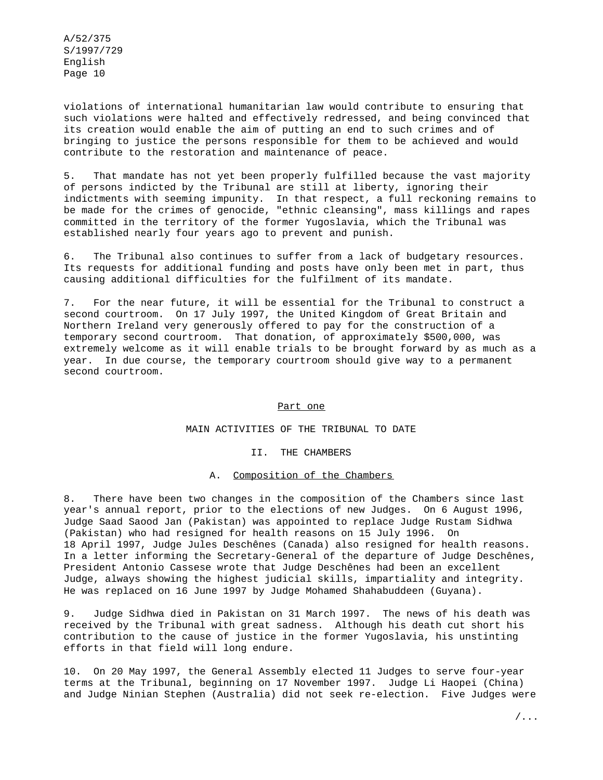violations of international humanitarian law would contribute to ensuring that such violations were halted and effectively redressed, and being convinced that its creation would enable the aim of putting an end to such crimes and of bringing to justice the persons responsible for them to be achieved and would contribute to the restoration and maintenance of peace.

5. That mandate has not yet been properly fulfilled because the vast majority of persons indicted by the Tribunal are still at liberty, ignoring their indictments with seeming impunity. In that respect, a full reckoning remains to be made for the crimes of genocide, "ethnic cleansing", mass killings and rapes committed in the territory of the former Yugoslavia, which the Tribunal was established nearly four years ago to prevent and punish.

6. The Tribunal also continues to suffer from a lack of budgetary resources. Its requests for additional funding and posts have only been met in part, thus causing additional difficulties for the fulfilment of its mandate.

7. For the near future, it will be essential for the Tribunal to construct a second courtroom. On 17 July 1997, the United Kingdom of Great Britain and Northern Ireland very generously offered to pay for the construction of a temporary second courtroom. That donation, of approximately \$500,000, was extremely welcome as it will enable trials to be brought forward by as much as a year. In due course, the temporary courtroom should give way to a permanent second courtroom.

#### Part one

#### MAIN ACTIVITIES OF THE TRIBUNAL TO DATE

II. THE CHAMBERS

#### A. Composition of the Chambers

8. There have been two changes in the composition of the Chambers since last year's annual report, prior to the elections of new Judges. On 6 August 1996, Judge Saad Saood Jan (Pakistan) was appointed to replace Judge Rustam Sidhwa (Pakistan) who had resigned for health reasons on 15 July 1996. On 18 April 1997, Judge Jules Deschênes (Canada) also resigned for health reasons. In a letter informing the Secretary-General of the departure of Judge Deschênes, President Antonio Cassese wrote that Judge Deschênes had been an excellent Judge, always showing the highest judicial skills, impartiality and integrity. He was replaced on 16 June 1997 by Judge Mohamed Shahabuddeen (Guyana).

9. Judge Sidhwa died in Pakistan on 31 March 1997. The news of his death was received by the Tribunal with great sadness. Although his death cut short his contribution to the cause of justice in the former Yugoslavia, his unstinting efforts in that field will long endure.

10. On 20 May 1997, the General Assembly elected 11 Judges to serve four-year terms at the Tribunal, beginning on 17 November 1997. Judge Li Haopei (China) and Judge Ninian Stephen (Australia) did not seek re-election. Five Judges were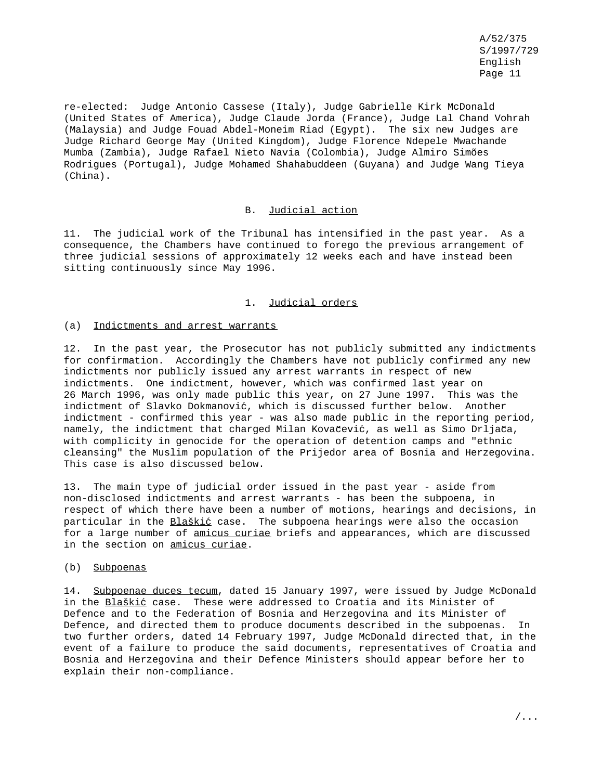re-elected: Judge Antonio Cassese (Italy), Judge Gabrielle Kirk McDonald (United States of America), Judge Claude Jorda (France), Judge Lal Chand Vohrah (Malaysia) and Judge Fouad Abdel-Moneim Riad (Egypt). The six new Judges are Judge Richard George May (United Kingdom), Judge Florence Ndepele Mwachande Mumba (Zambia), Judge Rafael Nieto Navia (Colombia), Judge Almiro Simões Rodrigues (Portugal), Judge Mohamed Shahabuddeen (Guyana) and Judge Wang Tieya (China).

### B. Judicial action

11. The judicial work of the Tribunal has intensified in the past year. As a consequence, the Chambers have continued to forego the previous arrangement of three judicial sessions of approximately 12 weeks each and have instead been sitting continuously since May 1996.

### 1. Judicial orders

#### (a) Indictments and arrest warrants

12. In the past year, the Prosecutor has not publicly submitted any indictments for confirmation. Accordingly the Chambers have not publicly confirmed any new indictments nor publicly issued any arrest warrants in respect of new indictments. One indictment, however, which was confirmed last year on 26 March 1996, was only made public this year, on 27 June 1997. This was the indictment of Slavko Dokmanović, which is discussed further below. Another indictment - confirmed this year - was also made public in the reporting period, namely, the indictment that charged Milan Kovačević, as well as Simo Drljača, with complicity in genocide for the operation of detention camps and "ethnic cleansing" the Muslim population of the Prijedor area of Bosnia and Herzegovina. This case is also discussed below.

13. The main type of judicial order issued in the past year - aside from non-disclosed indictments and arrest warrants - has been the subpoena, in respect of which there have been a number of motions, hearings and decisions, in particular in the Blaškić case. The subpoena hearings were also the occasion for a large number of amicus curiae briefs and appearances, which are discussed in the section on amicus curiae.

#### (b) Subpoenas

14. Subpoenae duces tecum, dated 15 January 1997, were issued by Judge McDonald in the Blaškić case. These were addressed to Croatia and its Minister of Defence and to the Federation of Bosnia and Herzegovina and its Minister of Defence, and directed them to produce documents described in the subpoenas. In two further orders, dated 14 February 1997, Judge McDonald directed that, in the event of a failure to produce the said documents, representatives of Croatia and Bosnia and Herzegovina and their Defence Ministers should appear before her to explain their non-compliance.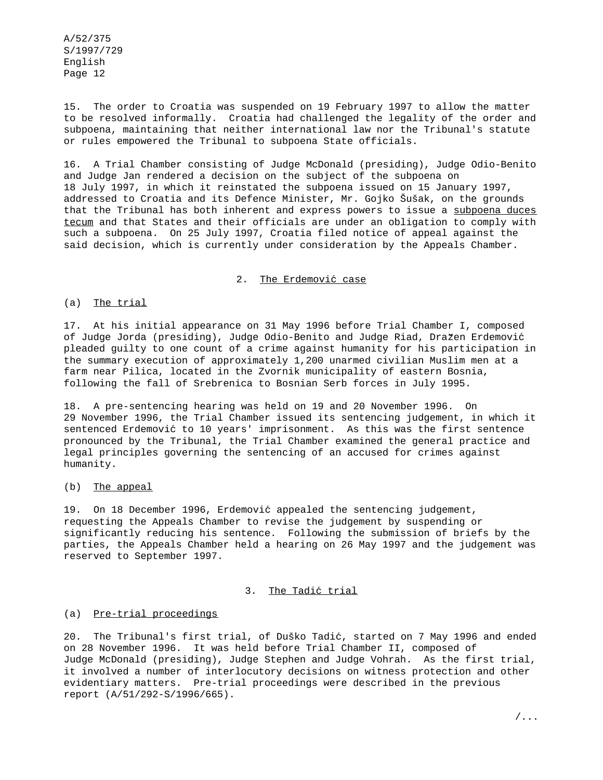15. The order to Croatia was suspended on 19 February 1997 to allow the matter to be resolved informally. Croatia had challenged the legality of the order and subpoena, maintaining that neither international law nor the Tribunal's statute or rules empowered the Tribunal to subpoena State officials.

16. A Trial Chamber consisting of Judge McDonald (presiding), Judge Odio-Benito and Judge Jan rendered a decision on the subject of the subpoena on 18 July 1997, in which it reinstated the subpoena issued on 15 January 1997, addressed to Croatia and its Defence Minister, Mr. Gojko Šušak, on the grounds that the Tribunal has both inherent and express powers to issue a subpoena duces tecum and that States and their officials are under an obligation to comply with such a subpoena. On 25 July 1997, Croatia filed notice of appeal against the said decision, which is currently under consideration by the Appeals Chamber.

#### 2. The Erdemović case

(a) The trial

17. At his initial appearance on 31 May 1996 before Trial Chamber I, composed of Judge Jorda (presiding), Judge Odio-Benito and Judge Riad, Dražen Erdemović pleaded guilty to one count of a crime against humanity for his participation in the summary execution of approximately 1,200 unarmed civilian Muslim men at a farm near Pilica, located in the Zvornik municipality of eastern Bosnia, following the fall of Srebrenica to Bosnian Serb forces in July 1995.

18. A pre-sentencing hearing was held on 19 and 20 November 1996. On 29 November 1996, the Trial Chamber issued its sentencing judgement, in which it sentenced Erdemović to 10 years' imprisonment. As this was the first sentence pronounced by the Tribunal, the Trial Chamber examined the general practice and legal principles governing the sentencing of an accused for crimes against humanity.

### (b) The appeal

19. On 18 December 1996, Erdemović appealed the sentencing judgement, requesting the Appeals Chamber to revise the judgement by suspending or significantly reducing his sentence. Following the submission of briefs by the parties, the Appeals Chamber held a hearing on 26 May 1997 and the judgement was reserved to September 1997.

#### 3. The Tadić trial

## (a) Pre-trial proceedings

20. The Tribunal's first trial, of Duško Tadić, started on 7 May 1996 and ended on 28 November 1996. It was held before Trial Chamber II, composed of Judge McDonald (presiding), Judge Stephen and Judge Vohrah. As the first trial, it involved a number of interlocutory decisions on witness protection and other evidentiary matters. Pre-trial proceedings were described in the previous report (A/51/292-S/1996/665).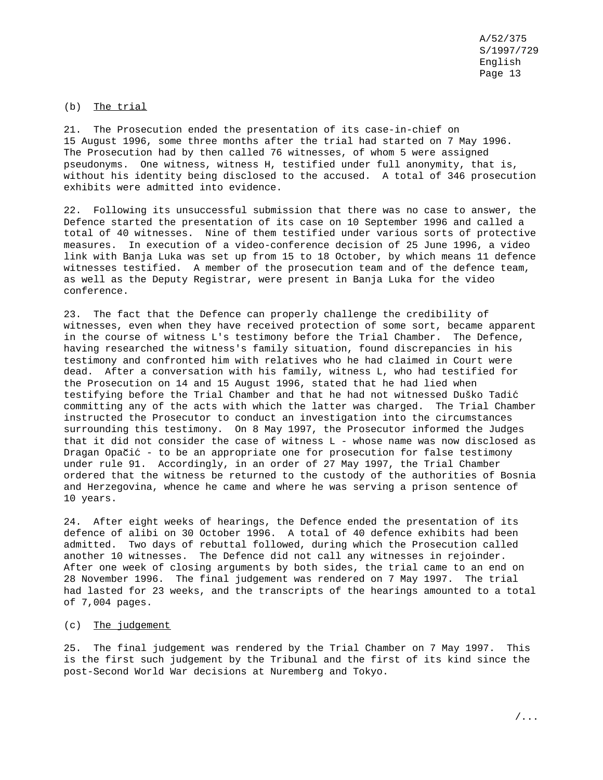### (b) The trial

21. The Prosecution ended the presentation of its case-in-chief on 15 August 1996, some three months after the trial had started on 7 May 1996. The Prosecution had by then called 76 witnesses, of whom 5 were assigned pseudonyms. One witness, witness H, testified under full anonymity, that is, without his identity being disclosed to the accused. A total of 346 prosecution exhibits were admitted into evidence.

22. Following its unsuccessful submission that there was no case to answer, the Defence started the presentation of its case on 10 September 1996 and called a total of 40 witnesses. Nine of them testified under various sorts of protective measures. In execution of a video-conference decision of 25 June 1996, a video link with Banja Luka was set up from 15 to 18 October, by which means 11 defence witnesses testified. A member of the prosecution team and of the defence team, as well as the Deputy Registrar, were present in Banja Luka for the video conference.

23. The fact that the Defence can properly challenge the credibility of witnesses, even when they have received protection of some sort, became apparent in the course of witness L's testimony before the Trial Chamber. The Defence, having researched the witness's family situation, found discrepancies in his testimony and confronted him with relatives who he had claimed in Court were dead. After a conversation with his family, witness L, who had testified for the Prosecution on 14 and 15 August 1996, stated that he had lied when testifying before the Trial Chamber and that he had not witnessed Duško Tadic´ committing any of the acts with which the latter was charged. The Trial Chamber instructed the Prosecutor to conduct an investigation into the circumstances surrounding this testimony. On 8 May 1997, the Prosecutor informed the Judges that it did not consider the case of witness L - whose name was now disclosed as Dragan Opačić - to be an appropriate one for prosecution for false testimony under rule 91. Accordingly, in an order of 27 May 1997, the Trial Chamber ordered that the witness be returned to the custody of the authorities of Bosnia and Herzegovina, whence he came and where he was serving a prison sentence of 10 years.

24. After eight weeks of hearings, the Defence ended the presentation of its defence of alibi on 30 October 1996. A total of 40 defence exhibits had been admitted. Two days of rebuttal followed, during which the Prosecution called another 10 witnesses. The Defence did not call any witnesses in rejoinder. After one week of closing arguments by both sides, the trial came to an end on 28 November 1996. The final judgement was rendered on 7 May 1997. The trial had lasted for 23 weeks, and the transcripts of the hearings amounted to a total of 7,004 pages.

#### (c) The judgement

25. The final judgement was rendered by the Trial Chamber on 7 May 1997. This is the first such judgement by the Tribunal and the first of its kind since the post-Second World War decisions at Nuremberg and Tokyo.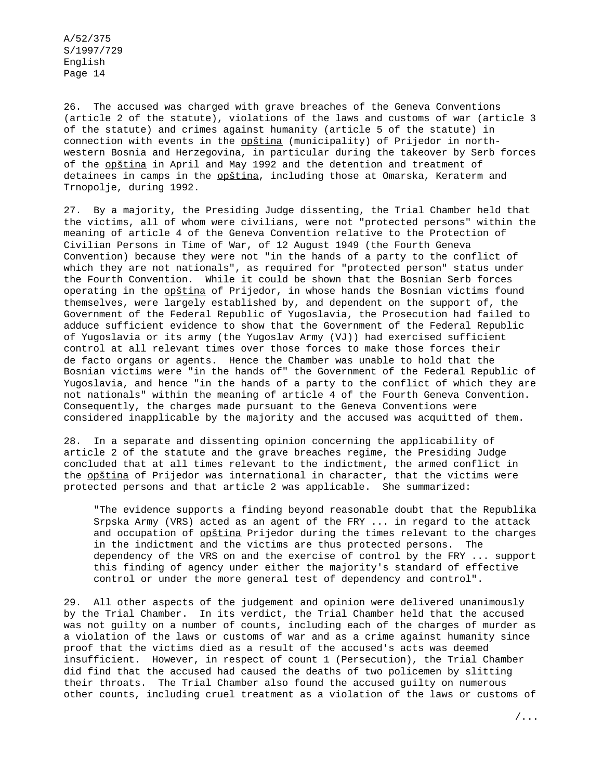26. The accused was charged with grave breaches of the Geneva Conventions (article 2 of the statute), violations of the laws and customs of war (article 3 of the statute) and crimes against humanity (article 5 of the statute) in connection with events in the opština (municipality) of Prijedor in northwestern Bosnia and Herzegovina, in particular during the takeover by Serb forces of the opština in April and May 1992 and the detention and treatment of detainees in camps in the opština, including those at Omarska, Keraterm and Trnopolje, during 1992.

27. By a majority, the Presiding Judge dissenting, the Trial Chamber held that the victims, all of whom were civilians, were not "protected persons" within the meaning of article 4 of the Geneva Convention relative to the Protection of Civilian Persons in Time of War, of 12 August 1949 (the Fourth Geneva Convention) because they were not "in the hands of a party to the conflict of which they are not nationals", as required for "protected person" status under the Fourth Convention. While it could be shown that the Bosnian Serb forces operating in the opština of Prijedor, in whose hands the Bosnian victims found themselves, were largely established by, and dependent on the support of, the Government of the Federal Republic of Yugoslavia, the Prosecution had failed to adduce sufficient evidence to show that the Government of the Federal Republic of Yugoslavia or its army (the Yugoslav Army (VJ)) had exercised sufficient control at all relevant times over those forces to make those forces their de facto organs or agents. Hence the Chamber was unable to hold that the Bosnian victims were "in the hands of" the Government of the Federal Republic of Yugoslavia, and hence "in the hands of a party to the conflict of which they are not nationals" within the meaning of article 4 of the Fourth Geneva Convention. Consequently, the charges made pursuant to the Geneva Conventions were considered inapplicable by the majority and the accused was acquitted of them.

28. In a separate and dissenting opinion concerning the applicability of article 2 of the statute and the grave breaches regime, the Presiding Judge concluded that at all times relevant to the indictment, the armed conflict in the opština of Prijedor was international in character, that the victims were protected persons and that article 2 was applicable. She summarized:

"The evidence supports a finding beyond reasonable doubt that the Republika Srpska Army (VRS) acted as an agent of the FRY ... in regard to the attack and occupation of opština Prijedor during the times relevant to the charges in the indictment and the victims are thus protected persons. The dependency of the VRS on and the exercise of control by the FRY ... support this finding of agency under either the majority's standard of effective control or under the more general test of dependency and control".

29. All other aspects of the judgement and opinion were delivered unanimously by the Trial Chamber. In its verdict, the Trial Chamber held that the accused was not guilty on a number of counts, including each of the charges of murder as a violation of the laws or customs of war and as a crime against humanity since proof that the victims died as a result of the accused's acts was deemed insufficient. However, in respect of count 1 (Persecution), the Trial Chamber did find that the accused had caused the deaths of two policemen by slitting their throats. The Trial Chamber also found the accused guilty on numerous other counts, including cruel treatment as a violation of the laws or customs of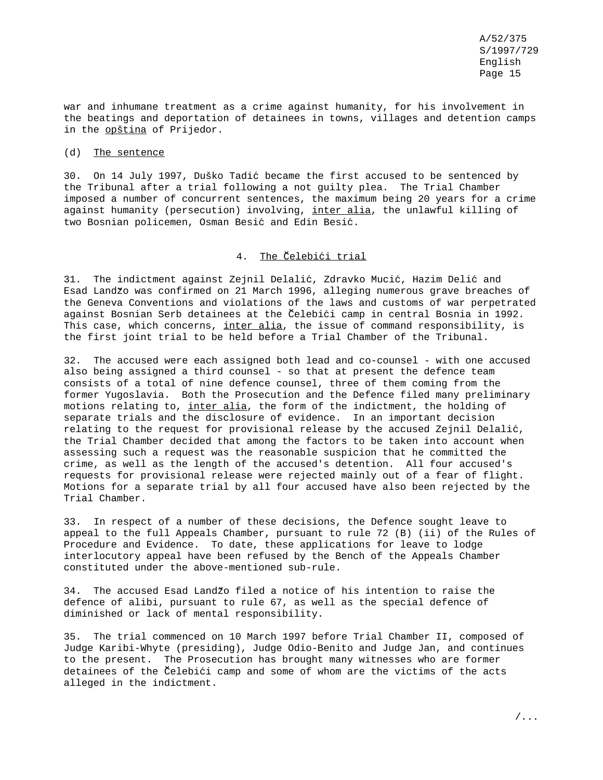war and inhumane treatment as a crime against humanity, for his involvement in the beatings and deportation of detainees in towns, villages and detention camps in the opština of Prijedor.

#### (d) The sentence

30. On 14 July 1997, Duško Tadic´ became the first accused to be sentenced by the Tribunal after a trial following a not guilty plea. The Trial Chamber imposed a number of concurrent sentences, the maximum being 20 years for a crime against humanity (persecution) involving, inter alia, the unlawful killing of two Bosnian policemen, Osman Besić and Edin Besić.

## 4. The Celebici trial

31. The indictment against Zejnil Delalić, Zdravko Mucić, Hazim Delić and Esad Landžo was confirmed on 21 March 1996, alleging numerous grave breaches of the Geneva Conventions and violations of the laws and customs of war perpetrated against Bosnian Serb detainees at the Celebic´i camp in central Bosnia in 1992. This case, which concerns, inter alia, the issue of command responsibility, is the first joint trial to be held before a Trial Chamber of the Tribunal.

32. The accused were each assigned both lead and co-counsel - with one accused also being assigned a third counsel - so that at present the defence team consists of a total of nine defence counsel, three of them coming from the former Yugoslavia. Both the Prosecution and the Defence filed many preliminary motions relating to, inter alia, the form of the indictment, the holding of separate trials and the disclosure of evidence. In an important decision relating to the request for provisional release by the accused Zejnil Delalić, the Trial Chamber decided that among the factors to be taken into account when assessing such a request was the reasonable suspicion that he committed the crime, as well as the length of the accused's detention. All four accused's requests for provisional release were rejected mainly out of a fear of flight. Motions for a separate trial by all four accused have also been rejected by the Trial Chamber.

33. In respect of a number of these decisions, the Defence sought leave to appeal to the full Appeals Chamber, pursuant to rule 72 (B) (ii) of the Rules of Procedure and Evidence. To date, these applications for leave to lodge interlocutory appeal have been refused by the Bench of the Appeals Chamber constituted under the above-mentioned sub-rule.

34. The accused Esad Landzo filed a notice of his intention to raise the defence of alibi, pursuant to rule 67, as well as the special defence of diminished or lack of mental responsibility.

35. The trial commenced on 10 March 1997 before Trial Chamber II, composed of Judge Karibi-Whyte (presiding), Judge Odio-Benito and Judge Jan, and continues to the present. The Prosecution has brought many witnesses who are former detainees of the Celebici camp and some of whom are the victims of the acts alleged in the indictment.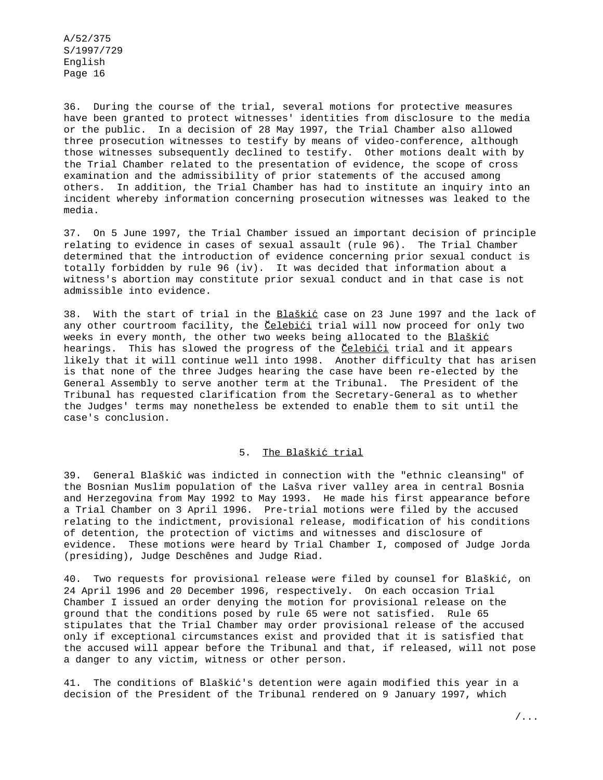36. During the course of the trial, several motions for protective measures have been granted to protect witnesses' identities from disclosure to the media or the public. In a decision of 28 May 1997, the Trial Chamber also allowed three prosecution witnesses to testify by means of video-conference, although those witnesses subsequently declined to testify. Other motions dealt with by the Trial Chamber related to the presentation of evidence, the scope of cross examination and the admissibility of prior statements of the accused among others. In addition, the Trial Chamber has had to institute an inquiry into an incident whereby information concerning prosecution witnesses was leaked to the media.

37. On 5 June 1997, the Trial Chamber issued an important decision of principle relating to evidence in cases of sexual assault (rule 96). The Trial Chamber determined that the introduction of evidence concerning prior sexual conduct is totally forbidden by rule 96 (iv). It was decided that information about a witness's abortion may constitute prior sexual conduct and in that case is not admissible into evidence.

38. With the start of trial in the Blaškić case on 23 June 1997 and the lack of any other courtroom facility, the <u>Čelebići</u> trial will now proceed for only two weeks in every month, the other two weeks being allocated to the Blaškić hearings. This has slowed the progress of the Celebici trial and it appears likely that it will continue well into 1998. Another difficulty that has arisen is that none of the three Judges hearing the case have been re-elected by the General Assembly to serve another term at the Tribunal. The President of the Tribunal has requested clarification from the Secretary-General as to whether the Judges' terms may nonetheless be extended to enable them to sit until the case's conclusion.

### 5. The Blaškić trial

39. General Blaškic´ was indicted in connection with the "ethnic cleansing" of the Bosnian Muslim population of the Lašva river valley area in central Bosnia and Herzegovina from May 1992 to May 1993. He made his first appearance before a Trial Chamber on 3 April 1996. Pre-trial motions were filed by the accused relating to the indictment, provisional release, modification of his conditions of detention, the protection of victims and witnesses and disclosure of evidence. These motions were heard by Trial Chamber I, composed of Judge Jorda (presiding), Judge Deschênes and Judge Riad.

40. Two requests for provisional release were filed by counsel for Blaškić, on 24 April 1996 and 20 December 1996, respectively. On each occasion Trial Chamber I issued an order denying the motion for provisional release on the ground that the conditions posed by rule 65 were not satisfied. Rule 65 stipulates that the Trial Chamber may order provisional release of the accused only if exceptional circumstances exist and provided that it is satisfied that the accused will appear before the Tribunal and that, if released, will not pose a danger to any victim, witness or other person.

41. The conditions of Blaškic´'s detention were again modified this year in a decision of the President of the Tribunal rendered on 9 January 1997, which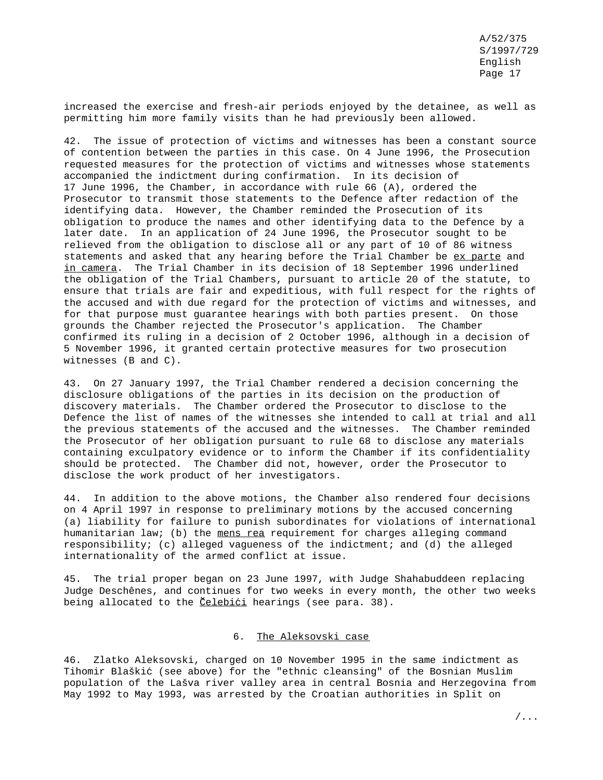increased the exercise and fresh-air periods enjoyed by the detainee, as well as permitting him more family visits than he had previously been allowed.

42. The issue of protection of victims and witnesses has been a constant source of contention between the parties in this case. On 4 June 1996, the Prosecution requested measures for the protection of victims and witnesses whose statements accompanied the indictment during confirmation. In its decision of 17 June 1996, the Chamber, in accordance with rule 66 (A), ordered the Prosecutor to transmit those statements to the Defence after redaction of the identifying data. However, the Chamber reminded the Prosecution of its obligation to produce the names and other identifying data to the Defence by a later date. In an application of 24 June 1996, the Prosecutor sought to be relieved from the obligation to disclose all or any part of 10 of 86 witness statements and asked that any hearing before the Trial Chamber be ex parte and in camera. The Trial Chamber in its decision of 18 September 1996 underlined the obligation of the Trial Chambers, pursuant to article 20 of the statute, to ensure that trials are fair and expeditious, with full respect for the rights of the accused and with due regard for the protection of victims and witnesses, and for that purpose must guarantee hearings with both parties present. On those grounds the Chamber rejected the Prosecutor's application. The Chamber confirmed its ruling in a decision of 2 October 1996, although in a decision of 5 November 1996, it granted certain protective measures for two prosecution witnesses (B and C).

43. On 27 January 1997, the Trial Chamber rendered a decision concerning the disclosure obligations of the parties in its decision on the production of discovery materials. The Chamber ordered the Prosecutor to disclose to the Defence the list of names of the witnesses she intended to call at trial and all the previous statements of the accused and the witnesses. The Chamber reminded the Prosecutor of her obligation pursuant to rule 68 to disclose any materials containing exculpatory evidence or to inform the Chamber if its confidentiality should be protected. The Chamber did not, however, order the Prosecutor to disclose the work product of her investigators.

44. In addition to the above motions, the Chamber also rendered four decisions on 4 April 1997 in response to preliminary motions by the accused concerning (a) liability for failure to punish subordinates for violations of international humanitarian law; (b) the mens rea requirement for charges alleging command responsibility; (c) alleged vagueness of the indictment; and (d) the alleged internationality of the armed conflict at issue.

45. The trial proper began on 23 June 1997, with Judge Shahabuddeen replacing Judge Deschênes, and continues for two weeks in every month, the other two weeks being allocated to the <u>Celebići</u> hearings (see para. 38).

## 6. The Aleksovski case

46. Zlatko Aleksovski, charged on 10 November 1995 in the same indictment as Tihomir Blaškic´ (see above) for the "ethnic cleansing" of the Bosnian Muslim population of the Lašva river valley area in central Bosnia and Herzegovina from May 1992 to May 1993, was arrested by the Croatian authorities in Split on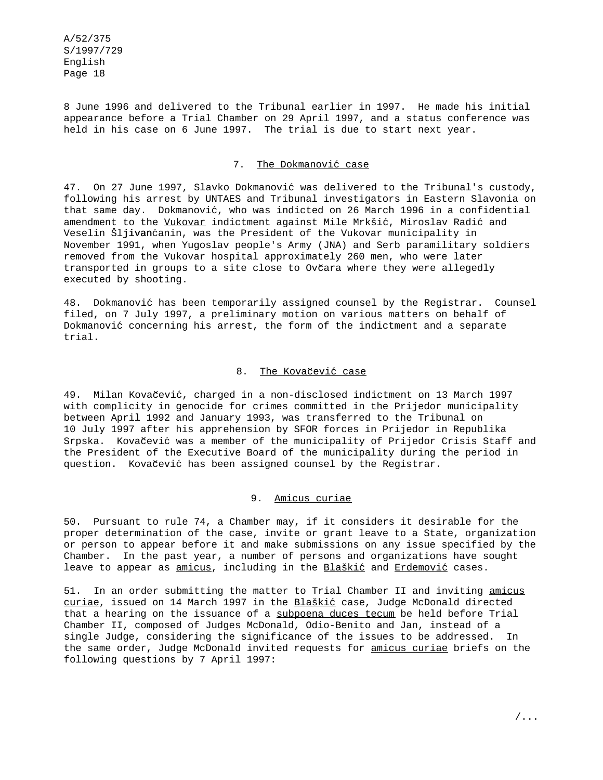8 June 1996 and delivered to the Tribunal earlier in 1997. He made his initial appearance before a Trial Chamber on 29 April 1997, and a status conference was held in his case on 6 June 1997. The trial is due to start next year.

### 7. The Dokmanović case

47. On 27 June 1997, Slavko Dokmanović was delivered to the Tribunal's custody, following his arrest by UNTAES and Tribunal investigators in Eastern Slavonia on that same day. Dokmanović, who was indicted on 26 March 1996 in a confidential amendment to the Vukovar indictment against Mile Mrkšić, Miroslav Radić and Veselin Šljivanćanin, was the President of the Vukovar municipality in November 1991, when Yugoslav people's Army (JNA) and Serb paramilitary soldiers removed from the Vukovar hospital approximately 260 men, who were later transported in groups to a site close to Ovčara where they were allegedly executed by shooting.

48. Dokmanović has been temporarily assigned counsel by the Registrar. Counsel filed, on 7 July 1997, a preliminary motion on various matters on behalf of Dokmanović concerning his arrest, the form of the indictment and a separate trial.

### 8. The Kovačević case

49. Milan Kovačević, charged in a non-disclosed indictment on 13 March 1997 with complicity in genocide for crimes committed in the Prijedor municipality between April 1992 and January 1993, was transferred to the Tribunal on 10 July 1997 after his apprehension by SFOR forces in Prijedor in Republika Srpska. Kovačević was a member of the municipality of Prijedor Crisis Staff and the President of the Executive Board of the municipality during the period in question. Kovačević has been assigned counsel by the Registrar.

### 9. Amicus curiae

50. Pursuant to rule 74, a Chamber may, if it considers it desirable for the proper determination of the case, invite or grant leave to a State, organization or person to appear before it and make submissions on any issue specified by the Chamber. In the past year, a number of persons and organizations have sought leave to appear as amicus, including in the Blaškić and Erdemović cases.

51. In an order submitting the matter to Trial Chamber II and inviting amicus curiae, issued on 14 March 1997 in the Blaškić case, Judge McDonald directed that a hearing on the issuance of a subpoena duces tecum be held before Trial Chamber II, composed of Judges McDonald, Odio-Benito and Jan, instead of a single Judge, considering the significance of the issues to be addressed. In the same order, Judge McDonald invited requests for amicus curiae briefs on the following questions by 7 April 1997: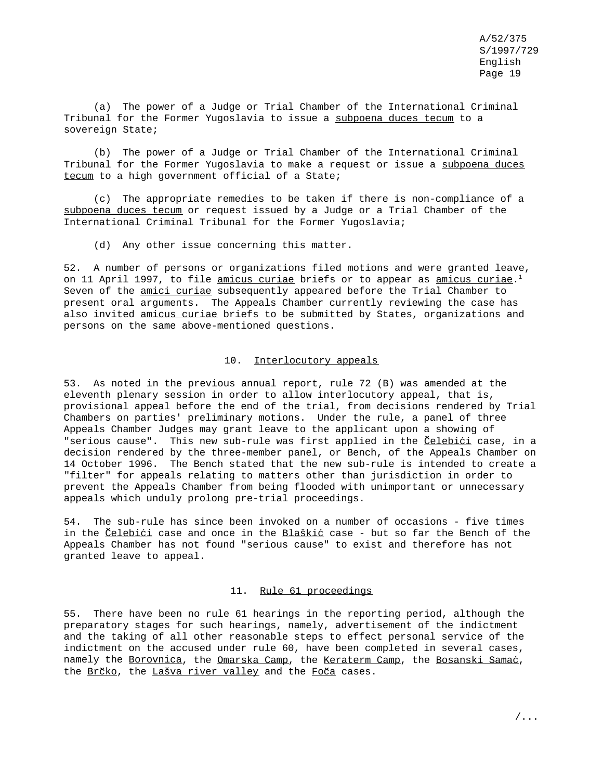(a) The power of a Judge or Trial Chamber of the International Criminal Tribunal for the Former Yugoslavia to issue a subpoena duces tecum to a sovereign State;

(b) The power of a Judge or Trial Chamber of the International Criminal Tribunal for the Former Yugoslavia to make a request or issue a subpoena duces tecum to a high government official of a State;

(c) The appropriate remedies to be taken if there is non-compliance of a subpoena duces tecum or request issued by a Judge or a Trial Chamber of the International Criminal Tribunal for the Former Yugoslavia;

(d) Any other issue concerning this matter.

52. A number of persons or organizations filed motions and were granted leave, on 11 April 1997, to file <u>amicus curiae</u> briefs or to appear as <u>amicus curiae</u>.<sup>1</sup> Seven of the amici curiae subsequently appeared before the Trial Chamber to present oral arguments. The Appeals Chamber currently reviewing the case has also invited amicus curiae briefs to be submitted by States, organizations and persons on the same above-mentioned questions.

#### 10. Interlocutory appeals

53. As noted in the previous annual report, rule 72 (B) was amended at the eleventh plenary session in order to allow interlocutory appeal, that is, provisional appeal before the end of the trial, from decisions rendered by Trial Chambers on parties' preliminary motions. Under the rule, a panel of three Appeals Chamber Judges may grant leave to the applicant upon a showing of "serious cause". This new sub-rule was first applied in the *Celebic*i case, in a decision rendered by the three-member panel, or Bench, of the Appeals Chamber on 14 October 1996. The Bench stated that the new sub-rule is intended to create a "filter" for appeals relating to matters other than jurisdiction in order to prevent the Appeals Chamber from being flooded with unimportant or unnecessary appeals which unduly prolong pre-trial proceedings.

54. The sub-rule has since been invoked on a number of occasions - five times in the Celebići case and once in the Blaškić case - but so far the Bench of the Appeals Chamber has not found "serious cause" to exist and therefore has not granted leave to appeal.

### 11. Rule 61 proceedings

55. There have been no rule 61 hearings in the reporting period, although the preparatory stages for such hearings, namely, advertisement of the indictment and the taking of all other reasonable steps to effect personal service of the indictment on the accused under rule 60, have been completed in several cases, namely the Borovnica, the Omarska Camp, the Keraterm Camp, the Bosanski Samać, the Brčko, the Lašva river valley and the Foča cases.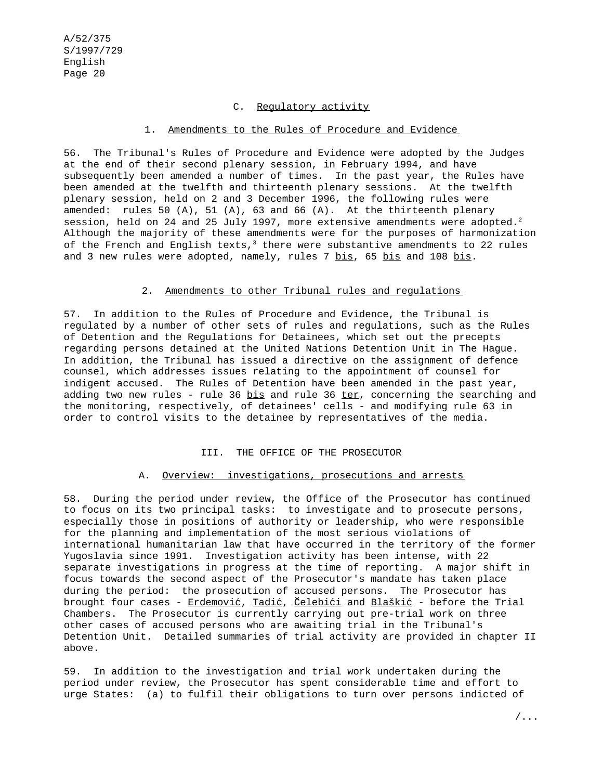### C. Regulatory activity

### 1. Amendments to the Rules of Procedure and Evidence

56. The Tribunal's Rules of Procedure and Evidence were adopted by the Judges at the end of their second plenary session, in February 1994, and have subsequently been amended a number of times. In the past year, the Rules have been amended at the twelfth and thirteenth plenary sessions. At the twelfth plenary session, held on 2 and 3 December 1996, the following rules were amended: rules 50 (A), 51 (A), 63 and 66 (A). At the thirteenth plenary session, held on 24 and 25 July 1997, more extensive amendments were adopted.<sup>2</sup> Although the majority of these amendments were for the purposes of harmonization of the French and English texts, $3$  there were substantive amendments to 22 rules and 3 new rules were adopted, namely, rules 7 bis, 65 bis and 108 bis.

### 2. Amendments to other Tribunal rules and regulations

57. In addition to the Rules of Procedure and Evidence, the Tribunal is regulated by a number of other sets of rules and regulations, such as the Rules of Detention and the Regulations for Detainees, which set out the precepts regarding persons detained at the United Nations Detention Unit in The Hague. In addition, the Tribunal has issued a directive on the assignment of defence counsel, which addresses issues relating to the appointment of counsel for indigent accused. The Rules of Detention have been amended in the past year, adding two new rules - rule 36 bis and rule 36 ter, concerning the searching and the monitoring, respectively, of detainees' cells - and modifying rule 63 in order to control visits to the detainee by representatives of the media.

### III. THE OFFICE OF THE PROSECUTOR

### A. Overview: investigations, prosecutions and arrests

58. During the period under review, the Office of the Prosecutor has continued to focus on its two principal tasks: to investigate and to prosecute persons, especially those in positions of authority or leadership, who were responsible for the planning and implementation of the most serious violations of international humanitarian law that have occurred in the territory of the former Yugoslavia since 1991. Investigation activity has been intense, with 22 separate investigations in progress at the time of reporting. A major shift in focus towards the second aspect of the Prosecutor's mandate has taken place during the period: the prosecution of accused persons. The Prosecutor has brought four cases -  $Erdemović, Tadić, Celebići and Blaškić - before the Trial$ </u> Chambers. The Prosecutor is currently carrying out pre-trial work on three other cases of accused persons who are awaiting trial in the Tribunal's Detention Unit. Detailed summaries of trial activity are provided in chapter II above.

59. In addition to the investigation and trial work undertaken during the period under review, the Prosecutor has spent considerable time and effort to urge States: (a) to fulfil their obligations to turn over persons indicted of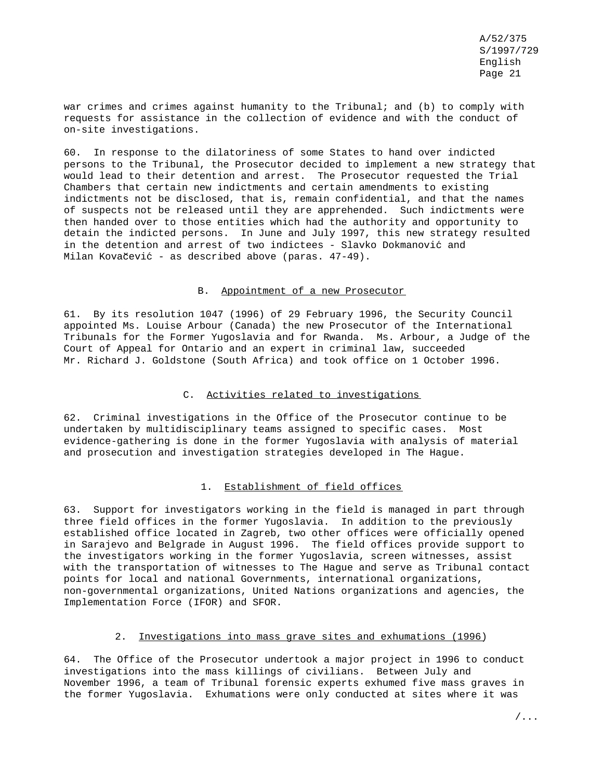war crimes and crimes against humanity to the Tribunal; and (b) to comply with requests for assistance in the collection of evidence and with the conduct of on-site investigations.

60. In response to the dilatoriness of some States to hand over indicted persons to the Tribunal, the Prosecutor decided to implement a new strategy that would lead to their detention and arrest. The Prosecutor requested the Trial Chambers that certain new indictments and certain amendments to existing indictments not be disclosed, that is, remain confidential, and that the names of suspects not be released until they are apprehended. Such indictments were then handed over to those entities which had the authority and opportunity to detain the indicted persons. In June and July 1997, this new strategy resulted in the detention and arrest of two indictees - Slavko Dokmanović and Milan Kovačević - as described above (paras. 47-49).

### B. Appointment of a new Prosecutor

61. By its resolution 1047 (1996) of 29 February 1996, the Security Council appointed Ms. Louise Arbour (Canada) the new Prosecutor of the International Tribunals for the Former Yugoslavia and for Rwanda. Ms. Arbour, a Judge of the Court of Appeal for Ontario and an expert in criminal law, succeeded Mr. Richard J. Goldstone (South Africa) and took office on 1 October 1996.

### C. Activities related to investigations

62. Criminal investigations in the Office of the Prosecutor continue to be undertaken by multidisciplinary teams assigned to specific cases. Most evidence-gathering is done in the former Yugoslavia with analysis of material and prosecution and investigation strategies developed in The Hague.

## 1. Establishment of field offices

63. Support for investigators working in the field is managed in part through three field offices in the former Yugoslavia. In addition to the previously established office located in Zagreb, two other offices were officially opened in Sarajevo and Belgrade in August 1996. The field offices provide support to the investigators working in the former Yugoslavia, screen witnesses, assist with the transportation of witnesses to The Hague and serve as Tribunal contact points for local and national Governments, international organizations, non-governmental organizations, United Nations organizations and agencies, the Implementation Force (IFOR) and SFOR.

#### 2. Investigations into mass grave sites and exhumations (1996)

64. The Office of the Prosecutor undertook a major project in 1996 to conduct investigations into the mass killings of civilians. Between July and November 1996, a team of Tribunal forensic experts exhumed five mass graves in the former Yugoslavia. Exhumations were only conducted at sites where it was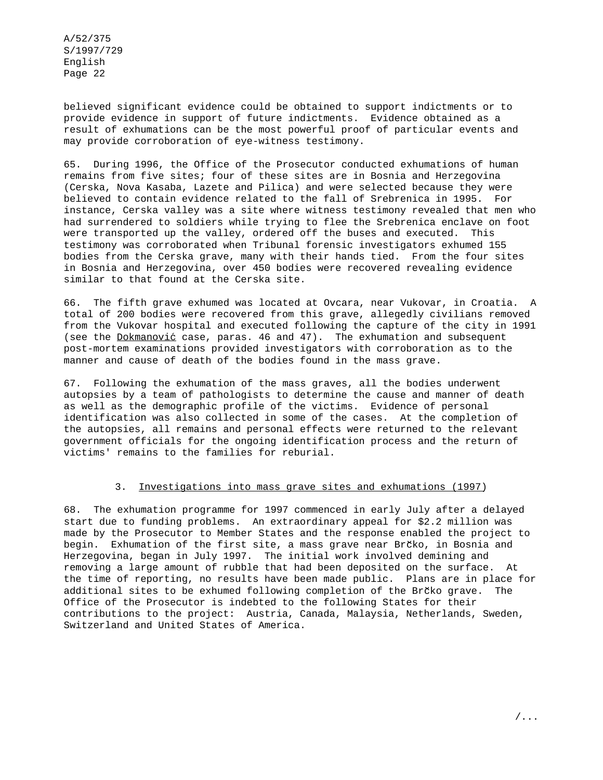believed significant evidence could be obtained to support indictments or to provide evidence in support of future indictments. Evidence obtained as a result of exhumations can be the most powerful proof of particular events and may provide corroboration of eye-witness testimony.

65. During 1996, the Office of the Prosecutor conducted exhumations of human remains from five sites; four of these sites are in Bosnia and Herzegovina (Cerska, Nova Kasaba, Lazete and Pilica) and were selected because they were believed to contain evidence related to the fall of Srebrenica in 1995. For instance, Cerska valley was a site where witness testimony revealed that men who had surrendered to soldiers while trying to flee the Srebrenica enclave on foot were transported up the valley, ordered off the buses and executed. This testimony was corroborated when Tribunal forensic investigators exhumed 155 bodies from the Cerska grave, many with their hands tied. From the four sites in Bosnia and Herzegovina, over 450 bodies were recovered revealing evidence similar to that found at the Cerska site.

66. The fifth grave exhumed was located at Ovcara, near Vukovar, in Croatia. A total of 200 bodies were recovered from this grave, allegedly civilians removed from the Vukovar hospital and executed following the capture of the city in 1991 (see the Dokmanović case, paras.  $46$  and  $47$ ). The exhumation and subsequent post-mortem examinations provided investigators with corroboration as to the manner and cause of death of the bodies found in the mass grave.

67. Following the exhumation of the mass graves, all the bodies underwent autopsies by a team of pathologists to determine the cause and manner of death as well as the demographic profile of the victims. Evidence of personal identification was also collected in some of the cases. At the completion of the autopsies, all remains and personal effects were returned to the relevant government officials for the ongoing identification process and the return of victims' remains to the families for reburial.

## 3. Investigations into mass grave sites and exhumations (1997)

68. The exhumation programme for 1997 commenced in early July after a delayed start due to funding problems. An extraordinary appeal for \$2.2 million was made by the Prosecutor to Member States and the response enabled the project to begin. Exhumation of the first site, a mass grave near Brčko, in Bosnia and Herzegovina, began in July 1997. The initial work involved demining and removing a large amount of rubble that had been deposited on the surface. At the time of reporting, no results have been made public. Plans are in place for additional sites to be exhumed following completion of the Brčko grave. The Office of the Prosecutor is indebted to the following States for their contributions to the project: Austria, Canada, Malaysia, Netherlands, Sweden, Switzerland and United States of America.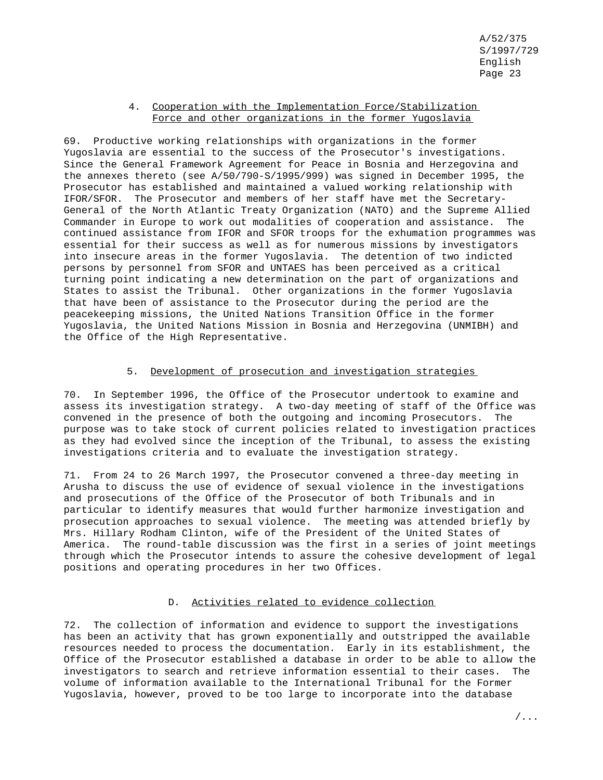### 4. Cooperation with the Implementation Force/Stabilization Force and other organizations in the former Yugoslavia

69. Productive working relationships with organizations in the former Yugoslavia are essential to the success of the Prosecutor's investigations. Since the General Framework Agreement for Peace in Bosnia and Herzegovina and the annexes thereto (see A/50/790-S/1995/999) was signed in December 1995, the Prosecutor has established and maintained a valued working relationship with IFOR/SFOR. The Prosecutor and members of her staff have met the Secretary-General of the North Atlantic Treaty Organization (NATO) and the Supreme Allied Commander in Europe to work out modalities of cooperation and assistance. The continued assistance from IFOR and SFOR troops for the exhumation programmes was essential for their success as well as for numerous missions by investigators into insecure areas in the former Yugoslavia. The detention of two indicted persons by personnel from SFOR and UNTAES has been perceived as a critical turning point indicating a new determination on the part of organizations and States to assist the Tribunal. Other organizations in the former Yugoslavia that have been of assistance to the Prosecutor during the period are the peacekeeping missions, the United Nations Transition Office in the former Yugoslavia, the United Nations Mission in Bosnia and Herzegovina (UNMIBH) and the Office of the High Representative.

### 5. Development of prosecution and investigation strategies

70. In September 1996, the Office of the Prosecutor undertook to examine and assess its investigation strategy. A two-day meeting of staff of the Office was convened in the presence of both the outgoing and incoming Prosecutors. The purpose was to take stock of current policies related to investigation practices as they had evolved since the inception of the Tribunal, to assess the existing investigations criteria and to evaluate the investigation strategy.

71. From 24 to 26 March 1997, the Prosecutor convened a three-day meeting in Arusha to discuss the use of evidence of sexual violence in the investigations and prosecutions of the Office of the Prosecutor of both Tribunals and in particular to identify measures that would further harmonize investigation and prosecution approaches to sexual violence. The meeting was attended briefly by Mrs. Hillary Rodham Clinton, wife of the President of the United States of America. The round-table discussion was the first in a series of joint meetings through which the Prosecutor intends to assure the cohesive development of legal positions and operating procedures in her two Offices.

## D. Activities related to evidence collection

72. The collection of information and evidence to support the investigations has been an activity that has grown exponentially and outstripped the available resources needed to process the documentation. Early in its establishment, the Office of the Prosecutor established a database in order to be able to allow the investigators to search and retrieve information essential to their cases. The volume of information available to the International Tribunal for the Former Yugoslavia, however, proved to be too large to incorporate into the database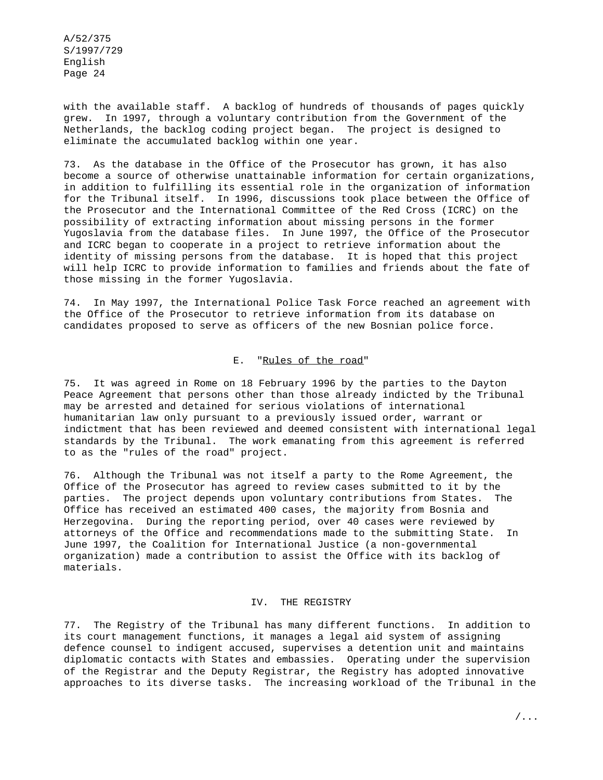with the available staff. A backlog of hundreds of thousands of pages quickly grew. In 1997, through a voluntary contribution from the Government of the Netherlands, the backlog coding project began. The project is designed to eliminate the accumulated backlog within one year.

73. As the database in the Office of the Prosecutor has grown, it has also become a source of otherwise unattainable information for certain organizations, in addition to fulfilling its essential role in the organization of information for the Tribunal itself. In 1996, discussions took place between the Office of the Prosecutor and the International Committee of the Red Cross (ICRC) on the possibility of extracting information about missing persons in the former Yugoslavia from the database files. In June 1997, the Office of the Prosecutor and ICRC began to cooperate in a project to retrieve information about the identity of missing persons from the database. It is hoped that this project will help ICRC to provide information to families and friends about the fate of those missing in the former Yugoslavia.

74. In May 1997, the International Police Task Force reached an agreement with the Office of the Prosecutor to retrieve information from its database on candidates proposed to serve as officers of the new Bosnian police force.

### E. "Rules of the road"

75. It was agreed in Rome on 18 February 1996 by the parties to the Dayton Peace Agreement that persons other than those already indicted by the Tribunal may be arrested and detained for serious violations of international humanitarian law only pursuant to a previously issued order, warrant or indictment that has been reviewed and deemed consistent with international legal standards by the Tribunal. The work emanating from this agreement is referred to as the "rules of the road" project.

76. Although the Tribunal was not itself a party to the Rome Agreement, the Office of the Prosecutor has agreed to review cases submitted to it by the parties. The project depends upon voluntary contributions from States. The Office has received an estimated 400 cases, the majority from Bosnia and Herzegovina. During the reporting period, over 40 cases were reviewed by attorneys of the Office and recommendations made to the submitting State. In June 1997, the Coalition for International Justice (a non-governmental organization) made a contribution to assist the Office with its backlog of materials.

#### IV. THE REGISTRY

77. The Registry of the Tribunal has many different functions. In addition to its court management functions, it manages a legal aid system of assigning defence counsel to indigent accused, supervises a detention unit and maintains diplomatic contacts with States and embassies. Operating under the supervision of the Registrar and the Deputy Registrar, the Registry has adopted innovative approaches to its diverse tasks. The increasing workload of the Tribunal in the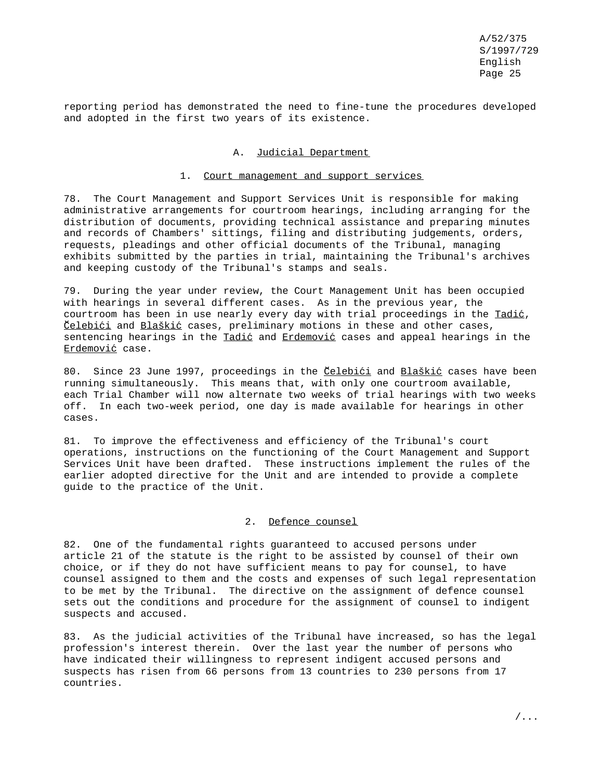reporting period has demonstrated the need to fine-tune the procedures developed and adopted in the first two years of its existence.

#### A. Judicial Department

#### 1. Court management and support services

78. The Court Management and Support Services Unit is responsible for making administrative arrangements for courtroom hearings, including arranging for the distribution of documents, providing technical assistance and preparing minutes and records of Chambers' sittings, filing and distributing judgements, orders, requests, pleadings and other official documents of the Tribunal, managing exhibits submitted by the parties in trial, maintaining the Tribunal's archives and keeping custody of the Tribunal's stamps and seals.

79. During the year under review, the Court Management Unit has been occupied with hearings in several different cases. As in the previous year, the courtroom has been in use nearly every day with trial proceedings in the Tadić, Čelebići and Blaškić cases, preliminary motions in these and other cases, sentencing hearings in the Tadić and Erdemović cases and appeal hearings in the Erdemović case.

80. Since 23 June 1997, proceedings in the Collebići and Blaškić cases have been running simultaneously. This means that, with only one courtroom available, each Trial Chamber will now alternate two weeks of trial hearings with two weeks off. In each two-week period, one day is made available for hearings in other cases.

81. To improve the effectiveness and efficiency of the Tribunal's court operations, instructions on the functioning of the Court Management and Support Services Unit have been drafted. These instructions implement the rules of the earlier adopted directive for the Unit and are intended to provide a complete guide to the practice of the Unit.

### 2. Defence counsel

82. One of the fundamental rights guaranteed to accused persons under article 21 of the statute is the right to be assisted by counsel of their own choice, or if they do not have sufficient means to pay for counsel, to have counsel assigned to them and the costs and expenses of such legal representation to be met by the Tribunal. The directive on the assignment of defence counsel sets out the conditions and procedure for the assignment of counsel to indigent suspects and accused.

83. As the judicial activities of the Tribunal have increased, so has the legal profession's interest therein. Over the last year the number of persons who have indicated their willingness to represent indigent accused persons and suspects has risen from 66 persons from 13 countries to 230 persons from 17 countries.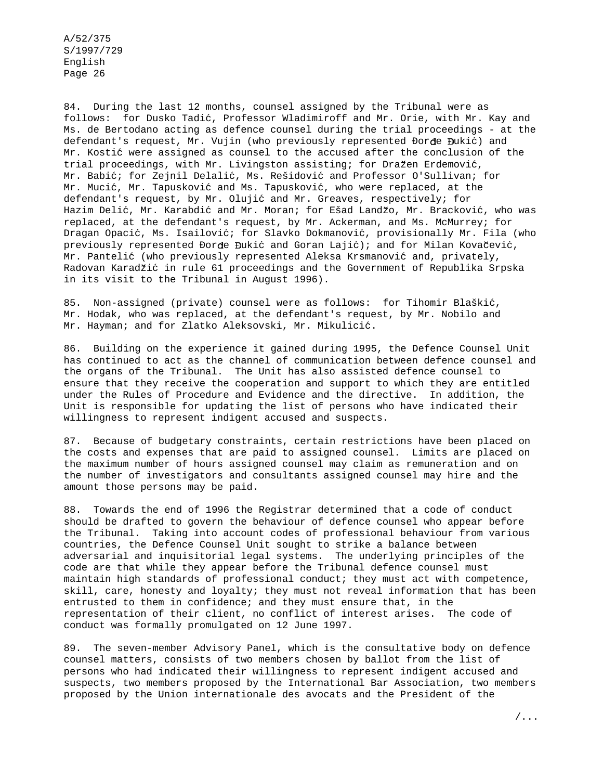84. During the last 12 months, counsel assigned by the Tribunal were as follows: for Dusko Tadic´, Professor Wladimiroff and Mr. Orie, with Mr. Kay and Ms. de Bertodano acting as defence counsel during the trial proceedings - at the defendant's request, Mr. Vujin (who previously represented Đorđe Đukić) and Mr. Kostić were assigned as counsel to the accused after the conclusion of the trial proceedings, with Mr. Livingston assisting; for Dražen Erdemović, Mr. Babić; for Zejnil Delalić, Ms. Rešidović and Professor O'Sullivan; for Mr. Mucić, Mr. Tapusković and Ms. Tapusković, who were replaced, at the defendant's request, by Mr. Olujić and Mr. Greaves, respectively; for Hazim Delić, Mr. Karabdić and Mr. Moran; for Ešad Landžo, Mr. Bracković, who was replaced, at the defendant's request, by Mr. Ackerman, and Ms. McMurrey; for Dragan Opacić, Ms. Isailović; for Slavko Dokmanović, provisionally Mr. Fila (who previously represented Đorđe Đukić and Goran Lajić); and for Milan Kovačević, Mr. Pantelić (who previously represented Aleksa Krsmanović and, privately, Radovan Karadžić in rule 61 proceedings and the Government of Republika Srpska in its visit to the Tribunal in August 1996).

85. Non-assigned (private) counsel were as follows: for Tihomir Blaškić, Mr. Hodak, who was replaced, at the defendant's request, by Mr. Nobilo and Mr. Hayman; and for Zlatko Aleksovski, Mr. Mikulicić.

86. Building on the experience it gained during 1995, the Defence Counsel Unit has continued to act as the channel of communication between defence counsel and the organs of the Tribunal. The Unit has also assisted defence counsel to ensure that they receive the cooperation and support to which they are entitled under the Rules of Procedure and Evidence and the directive. In addition, the Unit is responsible for updating the list of persons who have indicated their willingness to represent indigent accused and suspects.

87. Because of budgetary constraints, certain restrictions have been placed on the costs and expenses that are paid to assigned counsel. Limits are placed on the maximum number of hours assigned counsel may claim as remuneration and on the number of investigators and consultants assigned counsel may hire and the amount those persons may be paid.

88. Towards the end of 1996 the Registrar determined that a code of conduct should be drafted to govern the behaviour of defence counsel who appear before the Tribunal. Taking into account codes of professional behaviour from various countries, the Defence Counsel Unit sought to strike a balance between adversarial and inquisitorial legal systems. The underlying principles of the code are that while they appear before the Tribunal defence counsel must maintain high standards of professional conduct; they must act with competence, skill, care, honesty and loyalty; they must not reveal information that has been entrusted to them in confidence; and they must ensure that, in the representation of their client, no conflict of interest arises. The code of conduct was formally promulgated on 12 June 1997.

89. The seven-member Advisory Panel, which is the consultative body on defence counsel matters, consists of two members chosen by ballot from the list of persons who had indicated their willingness to represent indigent accused and suspects, two members proposed by the International Bar Association, two members proposed by the Union internationale des avocats and the President of the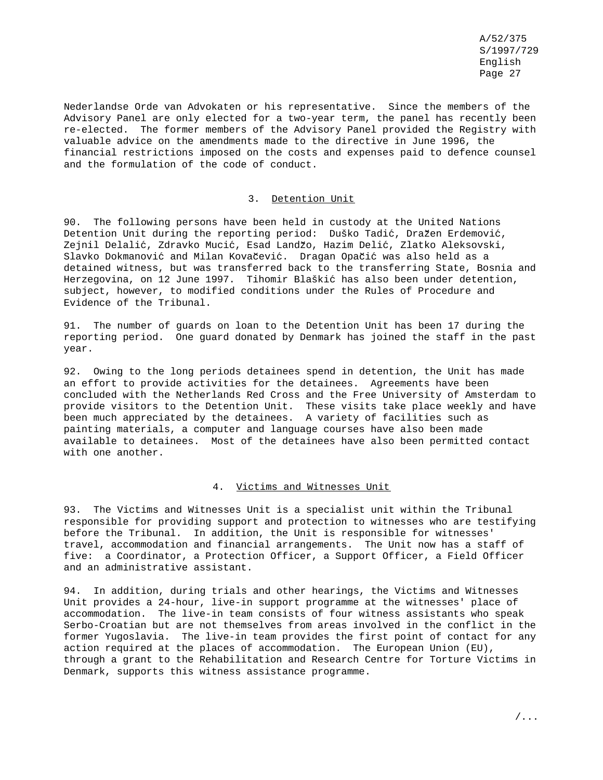Nederlandse Orde van Advokaten or his representative. Since the members of the Advisory Panel are only elected for a two-year term, the panel has recently been re-elected. The former members of the Advisory Panel provided the Registry with valuable advice on the amendments made to the directive in June 1996, the financial restrictions imposed on the costs and expenses paid to defence counsel and the formulation of the code of conduct.

#### 3. Detention Unit

90. The following persons have been held in custody at the United Nations Detention Unit during the reporting period: Duško Tadić, Dražen Erdemović, Zejnil Delalić, Zdravko Mucić, Esad Landžo, Hazim Delić, Zlatko Aleksovski, Slavko Dokmanović and Milan Kovačević. Dragan Opačić was also held as a detained witness, but was transferred back to the transferring State, Bosnia and Herzegovina, on 12 June 1997. Tihomir Blaškić has also been under detention, subject, however, to modified conditions under the Rules of Procedure and Evidence of the Tribunal.

91. The number of guards on loan to the Detention Unit has been 17 during the reporting period. One guard donated by Denmark has joined the staff in the past year.

92. Owing to the long periods detainees spend in detention, the Unit has made an effort to provide activities for the detainees. Agreements have been concluded with the Netherlands Red Cross and the Free University of Amsterdam to provide visitors to the Detention Unit. These visits take place weekly and have been much appreciated by the detainees. A variety of facilities such as painting materials, a computer and language courses have also been made available to detainees. Most of the detainees have also been permitted contact with one another.

### 4. Victims and Witnesses Unit

93. The Victims and Witnesses Unit is a specialist unit within the Tribunal responsible for providing support and protection to witnesses who are testifying before the Tribunal. In addition, the Unit is responsible for witnesses' travel, accommodation and financial arrangements. The Unit now has a staff of five: a Coordinator, a Protection Officer, a Support Officer, a Field Officer and an administrative assistant.

94. In addition, during trials and other hearings, the Victims and Witnesses Unit provides a 24-hour, live-in support programme at the witnesses' place of accommodation. The live-in team consists of four witness assistants who speak Serbo-Croatian but are not themselves from areas involved in the conflict in the former Yugoslavia. The live-in team provides the first point of contact for any action required at the places of accommodation. The European Union (EU), through a grant to the Rehabilitation and Research Centre for Torture Victims in Denmark, supports this witness assistance programme.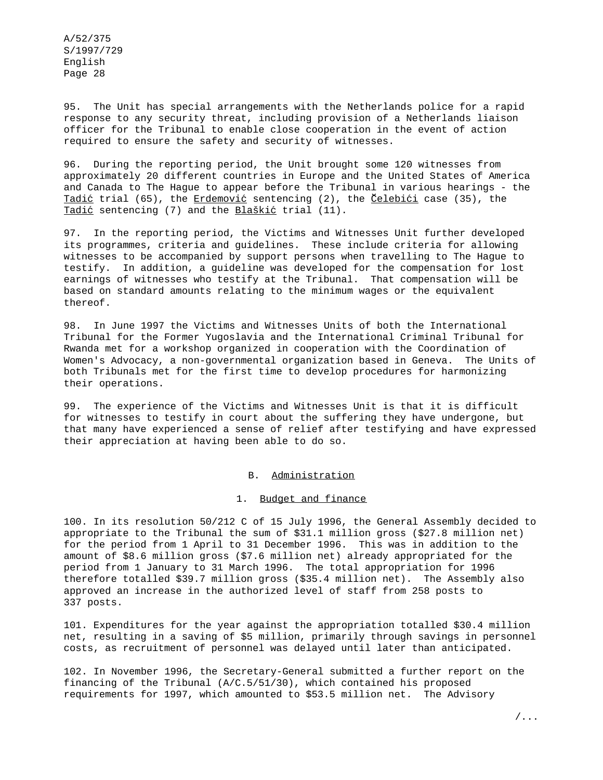95. The Unit has special arrangements with the Netherlands police for a rapid response to any security threat, including provision of a Netherlands liaison officer for the Tribunal to enable close cooperation in the event of action required to ensure the safety and security of witnesses.

96. During the reporting period, the Unit brought some 120 witnesses from approximately 20 different countries in Europe and the United States of America and Canada to The Hague to appear before the Tribunal in various hearings - the Tadić trial (65), the Erdemović sentencing (2), the Celebići case (35), the Tadić sentencing (7) and the Blaškić trial (11).

97. In the reporting period, the Victims and Witnesses Unit further developed its programmes, criteria and guidelines. These include criteria for allowing witnesses to be accompanied by support persons when travelling to The Hague to testify. In addition, a guideline was developed for the compensation for lost earnings of witnesses who testify at the Tribunal. That compensation will be based on standard amounts relating to the minimum wages or the equivalent thereof.

98. In June 1997 the Victims and Witnesses Units of both the International Tribunal for the Former Yugoslavia and the International Criminal Tribunal for Rwanda met for a workshop organized in cooperation with the Coordination of Women's Advocacy, a non-governmental organization based in Geneva. The Units of both Tribunals met for the first time to develop procedures for harmonizing their operations.

99. The experience of the Victims and Witnesses Unit is that it is difficult for witnesses to testify in court about the suffering they have undergone, but that many have experienced a sense of relief after testifying and have expressed their appreciation at having been able to do so.

#### B. Administration

#### 1. Budget and finance

100. In its resolution 50/212 C of 15 July 1996, the General Assembly decided to appropriate to the Tribunal the sum of \$31.1 million gross (\$27.8 million net) for the period from 1 April to 31 December 1996. This was in addition to the amount of \$8.6 million gross (\$7.6 million net) already appropriated for the period from 1 January to 31 March 1996. The total appropriation for 1996 therefore totalled \$39.7 million gross (\$35.4 million net). The Assembly also approved an increase in the authorized level of staff from 258 posts to 337 posts.

101. Expenditures for the year against the appropriation totalled \$30.4 million net, resulting in a saving of \$5 million, primarily through savings in personnel costs, as recruitment of personnel was delayed until later than anticipated.

102. In November 1996, the Secretary-General submitted a further report on the financing of the Tribunal (A/C.5/51/30), which contained his proposed requirements for 1997, which amounted to \$53.5 million net. The Advisory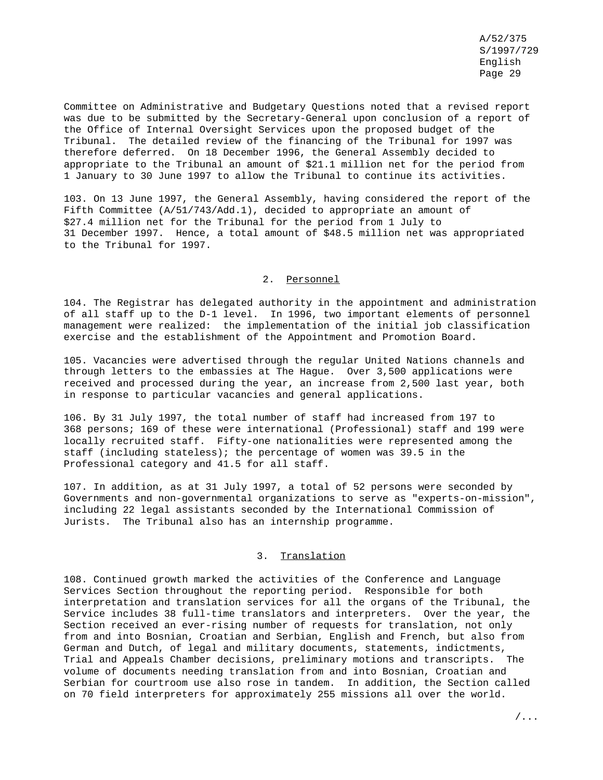Committee on Administrative and Budgetary Questions noted that a revised report was due to be submitted by the Secretary-General upon conclusion of a report of the Office of Internal Oversight Services upon the proposed budget of the Tribunal. The detailed review of the financing of the Tribunal for 1997 was therefore deferred. On 18 December 1996, the General Assembly decided to appropriate to the Tribunal an amount of \$21.1 million net for the period from 1 January to 30 June 1997 to allow the Tribunal to continue its activities.

103. On 13 June 1997, the General Assembly, having considered the report of the Fifth Committee (A/51/743/Add.1), decided to appropriate an amount of \$27.4 million net for the Tribunal for the period from 1 July to 31 December 1997. Hence, a total amount of \$48.5 million net was appropriated to the Tribunal for 1997.

## 2. Personnel

104. The Registrar has delegated authority in the appointment and administration of all staff up to the D-1 level. In 1996, two important elements of personnel management were realized: the implementation of the initial job classification exercise and the establishment of the Appointment and Promotion Board.

105. Vacancies were advertised through the regular United Nations channels and through letters to the embassies at The Hague. Over 3,500 applications were received and processed during the year, an increase from 2,500 last year, both in response to particular vacancies and general applications.

106. By 31 July 1997, the total number of staff had increased from 197 to 368 persons; 169 of these were international (Professional) staff and 199 were locally recruited staff. Fifty-one nationalities were represented among the staff (including stateless); the percentage of women was 39.5 in the Professional category and 41.5 for all staff.

107. In addition, as at 31 July 1997, a total of 52 persons were seconded by Governments and non-governmental organizations to serve as "experts-on-mission", including 22 legal assistants seconded by the International Commission of Jurists. The Tribunal also has an internship programme.

#### 3. Translation

108. Continued growth marked the activities of the Conference and Language Services Section throughout the reporting period. Responsible for both interpretation and translation services for all the organs of the Tribunal, the Service includes 38 full-time translators and interpreters. Over the year, the Section received an ever-rising number of requests for translation, not only from and into Bosnian, Croatian and Serbian, English and French, but also from German and Dutch, of legal and military documents, statements, indictments, Trial and Appeals Chamber decisions, preliminary motions and transcripts. The volume of documents needing translation from and into Bosnian, Croatian and Serbian for courtroom use also rose in tandem. In addition, the Section called on 70 field interpreters for approximately 255 missions all over the world.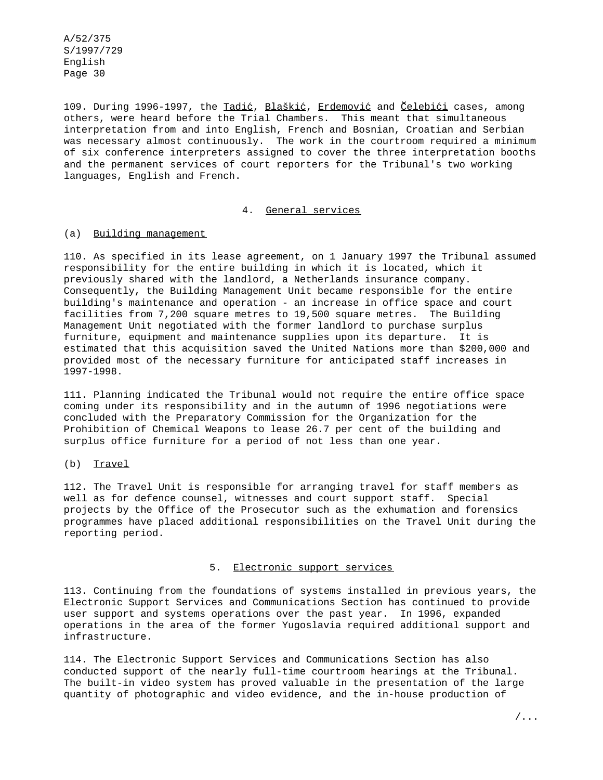109. During 1996-1997, the Tadić, Blaškić, Erdemović and Čelebići cases, among others, were heard before the Trial Chambers. This meant that simultaneous interpretation from and into English, French and Bosnian, Croatian and Serbian was necessary almost continuously. The work in the courtroom required a minimum of six conference interpreters assigned to cover the three interpretation booths and the permanent services of court reporters for the Tribunal's two working languages, English and French.

### 4. General services

### (a) Building management

110. As specified in its lease agreement, on 1 January 1997 the Tribunal assumed responsibility for the entire building in which it is located, which it previously shared with the landlord, a Netherlands insurance company. Consequently, the Building Management Unit became responsible for the entire building's maintenance and operation - an increase in office space and court facilities from 7,200 square metres to 19,500 square metres. The Building Management Unit negotiated with the former landlord to purchase surplus furniture, equipment and maintenance supplies upon its departure. It is estimated that this acquisition saved the United Nations more than \$200,000 and provided most of the necessary furniture for anticipated staff increases in 1997-1998.

111. Planning indicated the Tribunal would not require the entire office space coming under its responsibility and in the autumn of 1996 negotiations were concluded with the Preparatory Commission for the Organization for the Prohibition of Chemical Weapons to lease 26.7 per cent of the building and surplus office furniture for a period of not less than one year.

### (b) Travel

112. The Travel Unit is responsible for arranging travel for staff members as well as for defence counsel, witnesses and court support staff. Special projects by the Office of the Prosecutor such as the exhumation and forensics programmes have placed additional responsibilities on the Travel Unit during the reporting period.

### 5. Electronic support services

113. Continuing from the foundations of systems installed in previous years, the Electronic Support Services and Communications Section has continued to provide user support and systems operations over the past year. In 1996, expanded operations in the area of the former Yugoslavia required additional support and infrastructure.

114. The Electronic Support Services and Communications Section has also conducted support of the nearly full-time courtroom hearings at the Tribunal. The built-in video system has proved valuable in the presentation of the large quantity of photographic and video evidence, and the in-house production of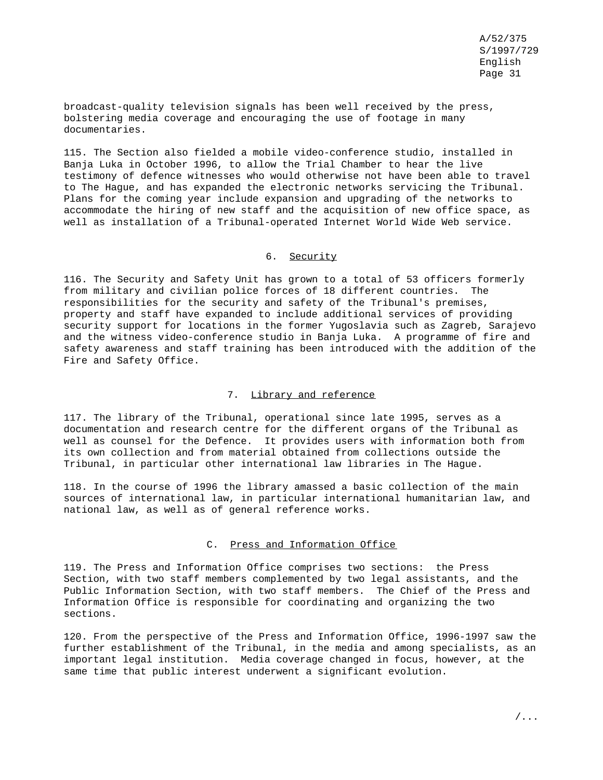broadcast-quality television signals has been well received by the press, bolstering media coverage and encouraging the use of footage in many documentaries.

115. The Section also fielded a mobile video-conference studio, installed in Banja Luka in October 1996, to allow the Trial Chamber to hear the live testimony of defence witnesses who would otherwise not have been able to travel to The Hague, and has expanded the electronic networks servicing the Tribunal. Plans for the coming year include expansion and upgrading of the networks to accommodate the hiring of new staff and the acquisition of new office space, as well as installation of a Tribunal-operated Internet World Wide Web service.

#### 6. Security

116. The Security and Safety Unit has grown to a total of 53 officers formerly from military and civilian police forces of 18 different countries. The responsibilities for the security and safety of the Tribunal's premises, property and staff have expanded to include additional services of providing security support for locations in the former Yugoslavia such as Zagreb, Sarajevo and the witness video-conference studio in Banja Luka. A programme of fire and safety awareness and staff training has been introduced with the addition of the Fire and Safety Office.

#### 7. Library and reference

117. The library of the Tribunal, operational since late 1995, serves as a documentation and research centre for the different organs of the Tribunal as well as counsel for the Defence. It provides users with information both from its own collection and from material obtained from collections outside the Tribunal, in particular other international law libraries in The Hague.

118. In the course of 1996 the library amassed a basic collection of the main sources of international law, in particular international humanitarian law, and national law, as well as of general reference works.

#### C. Press and Information Office

119. The Press and Information Office comprises two sections: the Press Section, with two staff members complemented by two legal assistants, and the Public Information Section, with two staff members. The Chief of the Press and Information Office is responsible for coordinating and organizing the two sections.

120. From the perspective of the Press and Information Office, 1996-1997 saw the further establishment of the Tribunal, in the media and among specialists, as an important legal institution. Media coverage changed in focus, however, at the same time that public interest underwent a significant evolution.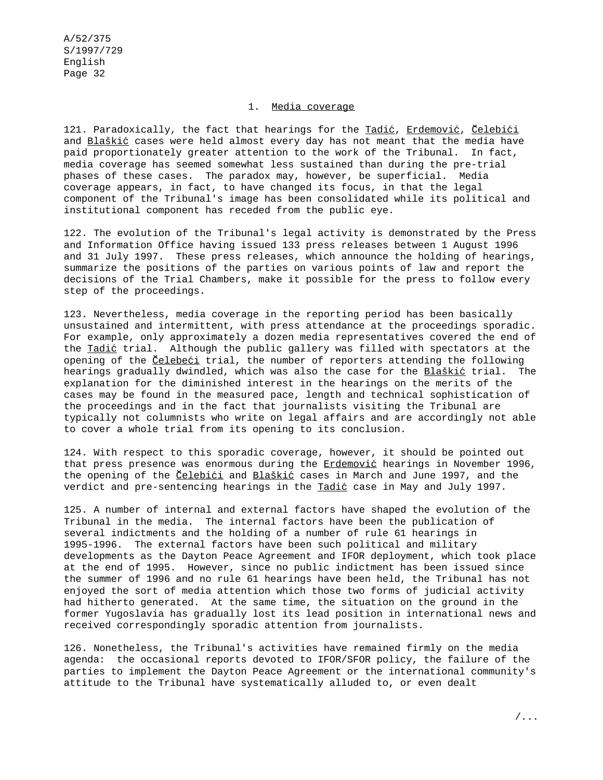### 1. Media coverage

121. Paradoxically, the fact that hearings for the Tadić, Erdemović, Celebići and Blaškić cases were held almost every day has not meant that the media have paid proportionately greater attention to the work of the Tribunal. In fact, media coverage has seemed somewhat less sustained than during the pre-trial phases of these cases. The paradox may, however, be superficial. Media coverage appears, in fact, to have changed its focus, in that the legal component of the Tribunal's image has been consolidated while its political and institutional component has receded from the public eye.

122. The evolution of the Tribunal's legal activity is demonstrated by the Press and Information Office having issued 133 press releases between 1 August 1996 and 31 July 1997. These press releases, which announce the holding of hearings, summarize the positions of the parties on various points of law and report the decisions of the Trial Chambers, make it possible for the press to follow every step of the proceedings.

123. Nevertheless, media coverage in the reporting period has been basically unsustained and intermittent, with press attendance at the proceedings sporadic. For example, only approximately a dozen media representatives covered the end of the Tadić trial. Although the public gallery was filled with spectators at the opening of the Celebeci trial, the number of reporters attending the following hearings gradually dwindled, which was also the case for the Blaškić trial. The explanation for the diminished interest in the hearings on the merits of the cases may be found in the measured pace, length and technical sophistication of the proceedings and in the fact that journalists visiting the Tribunal are typically not columnists who write on legal affairs and are accordingly not able to cover a whole trial from its opening to its conclusion.

124. With respect to this sporadic coverage, however, it should be pointed out that press presence was enormous during the Erdemović hearings in November 1996, the opening of the *Celebići* and Blaškić cases in March and June 1997, and the verdict and pre-sentencing hearings in the Tadić case in May and July 1997.

125. A number of internal and external factors have shaped the evolution of the Tribunal in the media. The internal factors have been the publication of several indictments and the holding of a number of rule 61 hearings in 1995-1996. The external factors have been such political and military developments as the Dayton Peace Agreement and IFOR deployment, which took place at the end of 1995. However, since no public indictment has been issued since the summer of 1996 and no rule 61 hearings have been held, the Tribunal has not enjoyed the sort of media attention which those two forms of judicial activity had hitherto generated. At the same time, the situation on the ground in the former Yugoslavia has gradually lost its lead position in international news and received correspondingly sporadic attention from journalists.

126. Nonetheless, the Tribunal's activities have remained firmly on the media agenda: the occasional reports devoted to IFOR/SFOR policy, the failure of the parties to implement the Dayton Peace Agreement or the international community's attitude to the Tribunal have systematically alluded to, or even dealt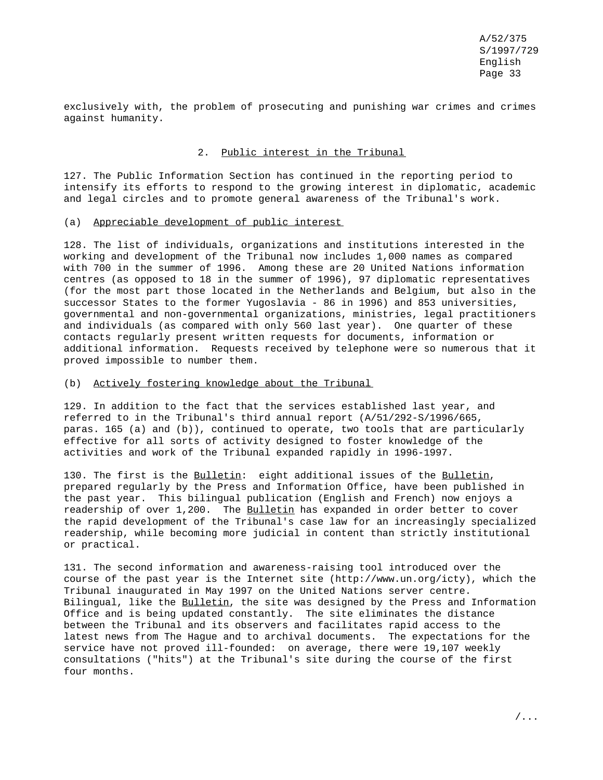exclusively with, the problem of prosecuting and punishing war crimes and crimes against humanity.

#### 2. Public interest in the Tribunal

127. The Public Information Section has continued in the reporting period to intensify its efforts to respond to the growing interest in diplomatic, academic and legal circles and to promote general awareness of the Tribunal's work.

#### (a) Appreciable development of public interest

128. The list of individuals, organizations and institutions interested in the working and development of the Tribunal now includes 1,000 names as compared with 700 in the summer of 1996. Among these are 20 United Nations information centres (as opposed to 18 in the summer of 1996), 97 diplomatic representatives (for the most part those located in the Netherlands and Belgium, but also in the successor States to the former Yugoslavia - 86 in 1996) and 853 universities, governmental and non-governmental organizations, ministries, legal practitioners and individuals (as compared with only 560 last year). One quarter of these contacts regularly present written requests for documents, information or additional information. Requests received by telephone were so numerous that it proved impossible to number them.

### (b) Actively fostering knowledge about the Tribunal

129. In addition to the fact that the services established last year, and referred to in the Tribunal's third annual report (A/51/292-S/1996/665, paras. 165 (a) and (b)), continued to operate, two tools that are particularly effective for all sorts of activity designed to foster knowledge of the activities and work of the Tribunal expanded rapidly in 1996-1997.

130. The first is the Bulletin: eight additional issues of the Bulletin, prepared regularly by the Press and Information Office, have been published in the past year. This bilingual publication (English and French) now enjoys a readership of over 1,200. The Bulletin has expanded in order better to cover the rapid development of the Tribunal's case law for an increasingly specialized readership, while becoming more judicial in content than strictly institutional or practical.

131. The second information and awareness-raising tool introduced over the course of the past year is the Internet site (http://www.un.org/icty), which the Tribunal inaugurated in May 1997 on the United Nations server centre. Bilingual, like the Bulletin, the site was designed by the Press and Information Office and is being updated constantly. The site eliminates the distance between the Tribunal and its observers and facilitates rapid access to the latest news from The Hague and to archival documents. The expectations for the service have not proved ill-founded: on average, there were 19,107 weekly consultations ("hits") at the Tribunal's site during the course of the first four months.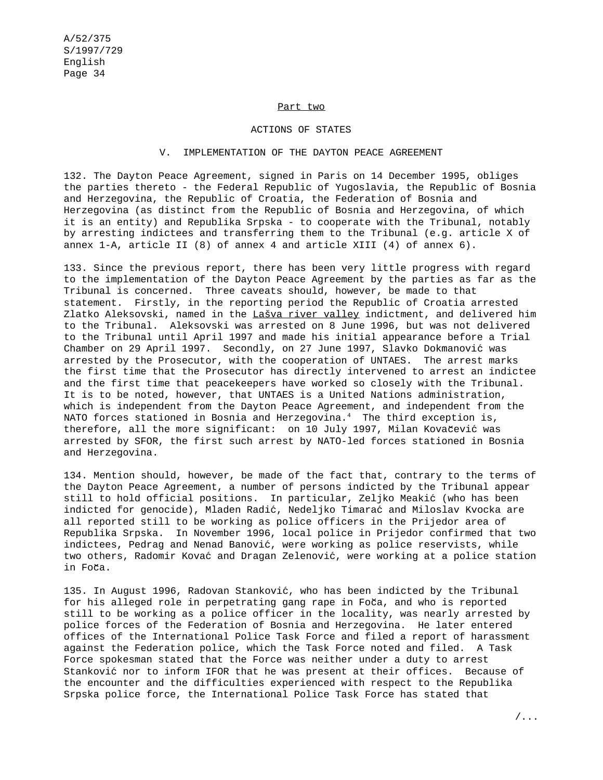#### Part two

#### ACTIONS OF STATES

### V. IMPLEMENTATION OF THE DAYTON PEACE AGREEMENT

132. The Dayton Peace Agreement, signed in Paris on 14 December 1995, obliges the parties thereto - the Federal Republic of Yugoslavia, the Republic of Bosnia and Herzegovina, the Republic of Croatia, the Federation of Bosnia and Herzegovina (as distinct from the Republic of Bosnia and Herzegovina, of which it is an entity) and Republika Srpska - to cooperate with the Tribunal, notably by arresting indictees and transferring them to the Tribunal (e.g. article X of annex 1-A, article II (8) of annex 4 and article XIII (4) of annex 6).

133. Since the previous report, there has been very little progress with regard to the implementation of the Dayton Peace Agreement by the parties as far as the Tribunal is concerned. Three caveats should, however, be made to that statement. Firstly, in the reporting period the Republic of Croatia arrested Zlatko Aleksovski, named in the Lašva river valley indictment, and delivered him to the Tribunal. Aleksovski was arrested on 8 June 1996, but was not delivered to the Tribunal until April 1997 and made his initial appearance before a Trial Chamber on 29 April 1997. Secondly, on 27 June 1997, Slavko Dokmanović was arrested by the Prosecutor, with the cooperation of UNTAES. The arrest marks the first time that the Prosecutor has directly intervened to arrest an indictee and the first time that peacekeepers have worked so closely with the Tribunal. It is to be noted, however, that UNTAES is a United Nations administration, which is independent from the Dayton Peace Agreement, and independent from the NATO forces stationed in Bosnia and Herzegovina.<sup>4</sup> The third exception is, therefore, all the more significant: on 10 July 1997, Milan Kovačević was arrested by SFOR, the first such arrest by NATO-led forces stationed in Bosnia and Herzegovina.

134. Mention should, however, be made of the fact that, contrary to the terms of the Dayton Peace Agreement, a number of persons indicted by the Tribunal appear still to hold official positions. In particular, Zeljko Meakic´ (who has been indicted for genocide), Mladen Radić, Nedeljko Timarać and Miloslav Kvocka are all reported still to be working as police officers in the Prijedor area of Republika Srpska. In November 1996, local police in Prijedor confirmed that two indictees, Pedrag and Nenad Banović, were working as police reservists, while two others, Radomir Kovać and Dragan Zelenović, were working at a police station in Foča.

135. In August 1996, Radovan Stanković, who has been indicted by the Tribunal for his alleged role in perpetrating gang rape in Foča, and who is reported still to be working as a police officer in the locality, was nearly arrested by police forces of the Federation of Bosnia and Herzegovina. He later entered offices of the International Police Task Force and filed a report of harassment against the Federation police, which the Task Force noted and filed. A Task Force spokesman stated that the Force was neither under a duty to arrest Stanković nor to inform IFOR that he was present at their offices. Because of the encounter and the difficulties experienced with respect to the Republika Srpska police force, the International Police Task Force has stated that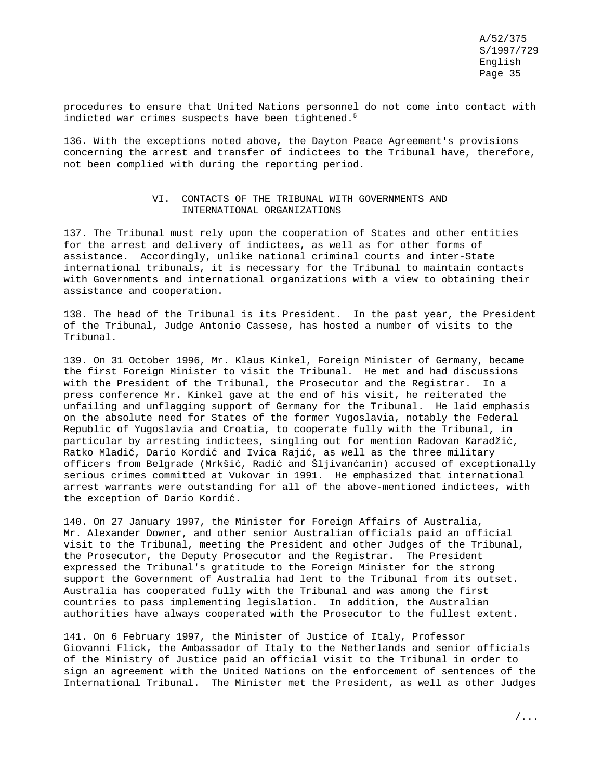procedures to ensure that United Nations personnel do not come into contact with indicted war crimes suspects have been tightened.<sup>5</sup>

136. With the exceptions noted above, the Dayton Peace Agreement's provisions concerning the arrest and transfer of indictees to the Tribunal have, therefore, not been complied with during the reporting period.

### VI. CONTACTS OF THE TRIBUNAL WITH GOVERNMENTS AND INTERNATIONAL ORGANIZATIONS

137. The Tribunal must rely upon the cooperation of States and other entities for the arrest and delivery of indictees, as well as for other forms of assistance. Accordingly, unlike national criminal courts and inter-State international tribunals, it is necessary for the Tribunal to maintain contacts with Governments and international organizations with a view to obtaining their assistance and cooperation.

138. The head of the Tribunal is its President. In the past year, the President of the Tribunal, Judge Antonio Cassese, has hosted a number of visits to the Tribunal.

139. On 31 October 1996, Mr. Klaus Kinkel, Foreign Minister of Germany, became the first Foreign Minister to visit the Tribunal. He met and had discussions with the President of the Tribunal, the Prosecutor and the Registrar. In a press conference Mr. Kinkel gave at the end of his visit, he reiterated the unfailing and unflagging support of Germany for the Tribunal. He laid emphasis on the absolute need for States of the former Yugoslavia, notably the Federal Republic of Yugoslavia and Croatia, to cooperate fully with the Tribunal, in particular by arresting indictees, singling out for mention Radovan Karadžić, Ratko Mladić, Dario Kordić and Ivica Rajić, as well as the three military officers from Belgrade (Mrkšić, Radić and Šljivanćanin) accused of exceptionally serious crimes committed at Vukovar in 1991. He emphasized that international arrest warrants were outstanding for all of the above-mentioned indictees, with the exception of Dario Kordić.

140. On 27 January 1997, the Minister for Foreign Affairs of Australia, Mr. Alexander Downer, and other senior Australian officials paid an official visit to the Tribunal, meeting the President and other Judges of the Tribunal, the Prosecutor, the Deputy Prosecutor and the Registrar. The President expressed the Tribunal's gratitude to the Foreign Minister for the strong support the Government of Australia had lent to the Tribunal from its outset. Australia has cooperated fully with the Tribunal and was among the first countries to pass implementing legislation. In addition, the Australian authorities have always cooperated with the Prosecutor to the fullest extent.

141. On 6 February 1997, the Minister of Justice of Italy, Professor Giovanni Flick, the Ambassador of Italy to the Netherlands and senior officials of the Ministry of Justice paid an official visit to the Tribunal in order to sign an agreement with the United Nations on the enforcement of sentences of the International Tribunal. The Minister met the President, as well as other Judges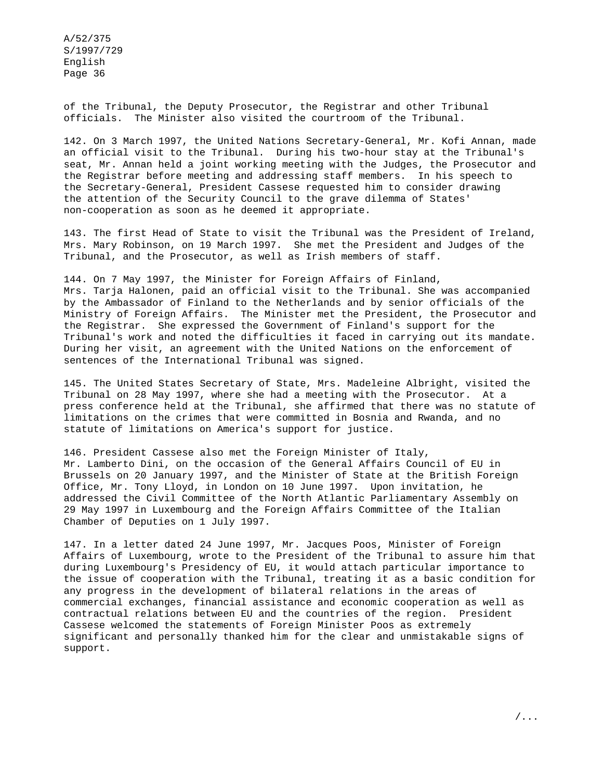of the Tribunal, the Deputy Prosecutor, the Registrar and other Tribunal officials. The Minister also visited the courtroom of the Tribunal.

142. On 3 March 1997, the United Nations Secretary-General, Mr. Kofi Annan, made an official visit to the Tribunal. During his two-hour stay at the Tribunal's seat, Mr. Annan held a joint working meeting with the Judges, the Prosecutor and the Registrar before meeting and addressing staff members. In his speech to the Secretary-General, President Cassese requested him to consider drawing the attention of the Security Council to the grave dilemma of States' non-cooperation as soon as he deemed it appropriate.

143. The first Head of State to visit the Tribunal was the President of Ireland, Mrs. Mary Robinson, on 19 March 1997. She met the President and Judges of the Tribunal, and the Prosecutor, as well as Irish members of staff.

144. On 7 May 1997, the Minister for Foreign Affairs of Finland, Mrs. Tarja Halonen, paid an official visit to the Tribunal. She was accompanied by the Ambassador of Finland to the Netherlands and by senior officials of the Ministry of Foreign Affairs. The Minister met the President, the Prosecutor and the Registrar. She expressed the Government of Finland's support for the Tribunal's work and noted the difficulties it faced in carrying out its mandate. During her visit, an agreement with the United Nations on the enforcement of sentences of the International Tribunal was signed.

145. The United States Secretary of State, Mrs. Madeleine Albright, visited the Tribunal on 28 May 1997, where she had a meeting with the Prosecutor. At a press conference held at the Tribunal, she affirmed that there was no statute of limitations on the crimes that were committed in Bosnia and Rwanda, and no statute of limitations on America's support for justice.

146. President Cassese also met the Foreign Minister of Italy, Mr. Lamberto Dini, on the occasion of the General Affairs Council of EU in Brussels on 20 January 1997, and the Minister of State at the British Foreign Office, Mr. Tony Lloyd, in London on 10 June 1997. Upon invitation, he addressed the Civil Committee of the North Atlantic Parliamentary Assembly on 29 May 1997 in Luxembourg and the Foreign Affairs Committee of the Italian Chamber of Deputies on 1 July 1997.

147. In a letter dated 24 June 1997, Mr. Jacques Poos, Minister of Foreign Affairs of Luxembourg, wrote to the President of the Tribunal to assure him that during Luxembourg's Presidency of EU, it would attach particular importance to the issue of cooperation with the Tribunal, treating it as a basic condition for any progress in the development of bilateral relations in the areas of commercial exchanges, financial assistance and economic cooperation as well as contractual relations between EU and the countries of the region. President Cassese welcomed the statements of Foreign Minister Poos as extremely significant and personally thanked him for the clear and unmistakable signs of support.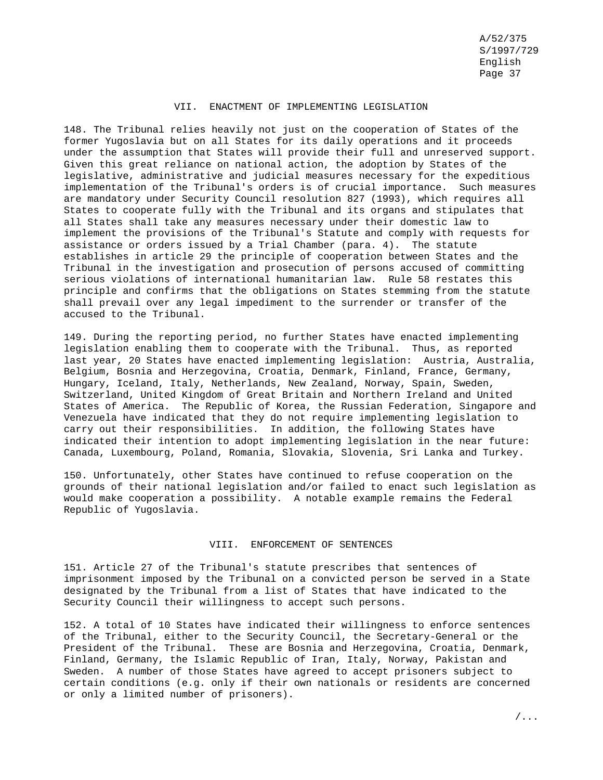### VII. ENACTMENT OF IMPLEMENTING LEGISLATION

148. The Tribunal relies heavily not just on the cooperation of States of the former Yugoslavia but on all States for its daily operations and it proceeds under the assumption that States will provide their full and unreserved support. Given this great reliance on national action, the adoption by States of the legislative, administrative and judicial measures necessary for the expeditious implementation of the Tribunal's orders is of crucial importance. Such measures are mandatory under Security Council resolution 827 (1993), which requires all States to cooperate fully with the Tribunal and its organs and stipulates that all States shall take any measures necessary under their domestic law to implement the provisions of the Tribunal's Statute and comply with requests for assistance or orders issued by a Trial Chamber (para. 4). The statute establishes in article 29 the principle of cooperation between States and the Tribunal in the investigation and prosecution of persons accused of committing serious violations of international humanitarian law. Rule 58 restates this principle and confirms that the obligations on States stemming from the statute shall prevail over any legal impediment to the surrender or transfer of the accused to the Tribunal.

149. During the reporting period, no further States have enacted implementing legislation enabling them to cooperate with the Tribunal. Thus, as reported last year, 20 States have enacted implementing legislation: Austria, Australia, Belgium, Bosnia and Herzegovina, Croatia, Denmark, Finland, France, Germany, Hungary, Iceland, Italy, Netherlands, New Zealand, Norway, Spain, Sweden, Switzerland, United Kingdom of Great Britain and Northern Ireland and United States of America. The Republic of Korea, the Russian Federation, Singapore and Venezuela have indicated that they do not require implementing legislation to carry out their responsibilities. In addition, the following States have indicated their intention to adopt implementing legislation in the near future: Canada, Luxembourg, Poland, Romania, Slovakia, Slovenia, Sri Lanka and Turkey.

150. Unfortunately, other States have continued to refuse cooperation on the grounds of their national legislation and/or failed to enact such legislation as would make cooperation a possibility. A notable example remains the Federal Republic of Yugoslavia.

## VIII. ENFORCEMENT OF SENTENCES

151. Article 27 of the Tribunal's statute prescribes that sentences of imprisonment imposed by the Tribunal on a convicted person be served in a State designated by the Tribunal from a list of States that have indicated to the Security Council their willingness to accept such persons.

152. A total of 10 States have indicated their willingness to enforce sentences of the Tribunal, either to the Security Council, the Secretary-General or the President of the Tribunal. These are Bosnia and Herzegovina, Croatia, Denmark, Finland, Germany, the Islamic Republic of Iran, Italy, Norway, Pakistan and Sweden. A number of those States have agreed to accept prisoners subject to certain conditions (e.g. only if their own nationals or residents are concerned or only a limited number of prisoners).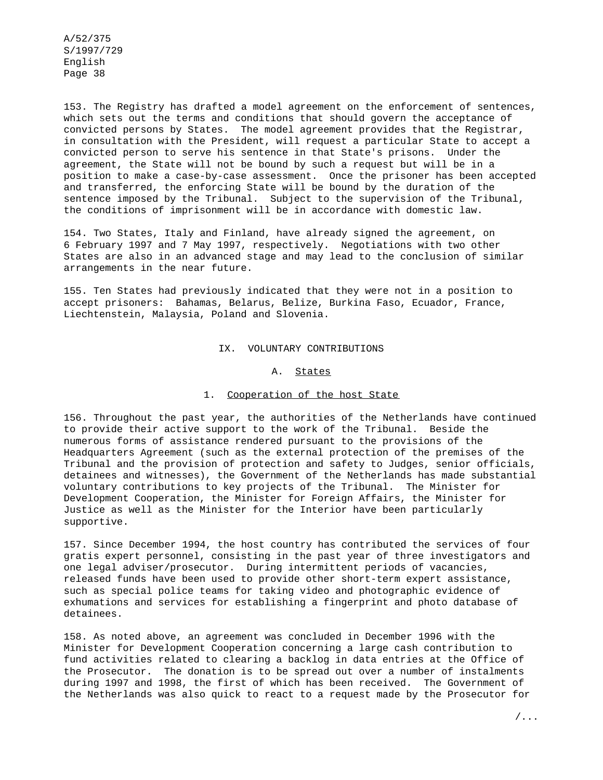153. The Registry has drafted a model agreement on the enforcement of sentences, which sets out the terms and conditions that should govern the acceptance of convicted persons by States. The model agreement provides that the Registrar, in consultation with the President, will request a particular State to accept a convicted person to serve his sentence in that State's prisons. Under the agreement, the State will not be bound by such a request but will be in a position to make a case-by-case assessment. Once the prisoner has been accepted and transferred, the enforcing State will be bound by the duration of the sentence imposed by the Tribunal. Subject to the supervision of the Tribunal, the conditions of imprisonment will be in accordance with domestic law.

154. Two States, Italy and Finland, have already signed the agreement, on 6 February 1997 and 7 May 1997, respectively. Negotiations with two other States are also in an advanced stage and may lead to the conclusion of similar arrangements in the near future.

155. Ten States had previously indicated that they were not in a position to accept prisoners: Bahamas, Belarus, Belize, Burkina Faso, Ecuador, France, Liechtenstein, Malaysia, Poland and Slovenia.

#### IX. VOLUNTARY CONTRIBUTIONS

#### A. States

### 1. Cooperation of the host State

156. Throughout the past year, the authorities of the Netherlands have continued to provide their active support to the work of the Tribunal. Beside the numerous forms of assistance rendered pursuant to the provisions of the Headquarters Agreement (such as the external protection of the premises of the Tribunal and the provision of protection and safety to Judges, senior officials, detainees and witnesses), the Government of the Netherlands has made substantial voluntary contributions to key projects of the Tribunal. The Minister for Development Cooperation, the Minister for Foreign Affairs, the Minister for Justice as well as the Minister for the Interior have been particularly supportive.

157. Since December 1994, the host country has contributed the services of four gratis expert personnel, consisting in the past year of three investigators and one legal adviser/prosecutor. During intermittent periods of vacancies, released funds have been used to provide other short-term expert assistance, such as special police teams for taking video and photographic evidence of exhumations and services for establishing a fingerprint and photo database of detainees.

158. As noted above, an agreement was concluded in December 1996 with the Minister for Development Cooperation concerning a large cash contribution to fund activities related to clearing a backlog in data entries at the Office of the Prosecutor. The donation is to be spread out over a number of instalments during 1997 and 1998, the first of which has been received. The Government of the Netherlands was also quick to react to a request made by the Prosecutor for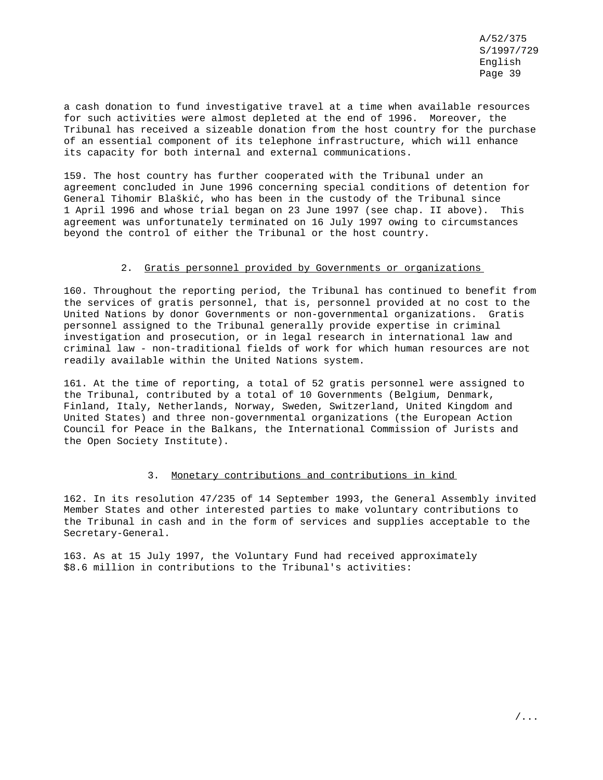a cash donation to fund investigative travel at a time when available resources for such activities were almost depleted at the end of 1996. Moreover, the Tribunal has received a sizeable donation from the host country for the purchase of an essential component of its telephone infrastructure, which will enhance its capacity for both internal and external communications.

159. The host country has further cooperated with the Tribunal under an agreement concluded in June 1996 concerning special conditions of detention for General Tihomir Blaškić, who has been in the custody of the Tribunal since 1 April 1996 and whose trial began on 23 June 1997 (see chap. II above). This agreement was unfortunately terminated on 16 July 1997 owing to circumstances beyond the control of either the Tribunal or the host country.

#### 2. Gratis personnel provided by Governments or organizations

160. Throughout the reporting period, the Tribunal has continued to benefit from the services of gratis personnel, that is, personnel provided at no cost to the United Nations by donor Governments or non-governmental organizations. Gratis personnel assigned to the Tribunal generally provide expertise in criminal investigation and prosecution, or in legal research in international law and criminal law - non-traditional fields of work for which human resources are not readily available within the United Nations system.

161. At the time of reporting, a total of 52 gratis personnel were assigned to the Tribunal, contributed by a total of 10 Governments (Belgium, Denmark, Finland, Italy, Netherlands, Norway, Sweden, Switzerland, United Kingdom and United States) and three non-governmental organizations (the European Action Council for Peace in the Balkans, the International Commission of Jurists and the Open Society Institute).

#### 3. Monetary contributions and contributions in kind

162. In its resolution 47/235 of 14 September 1993, the General Assembly invited Member States and other interested parties to make voluntary contributions to the Tribunal in cash and in the form of services and supplies acceptable to the Secretary-General.

163. As at 15 July 1997, the Voluntary Fund had received approximately \$8.6 million in contributions to the Tribunal's activities: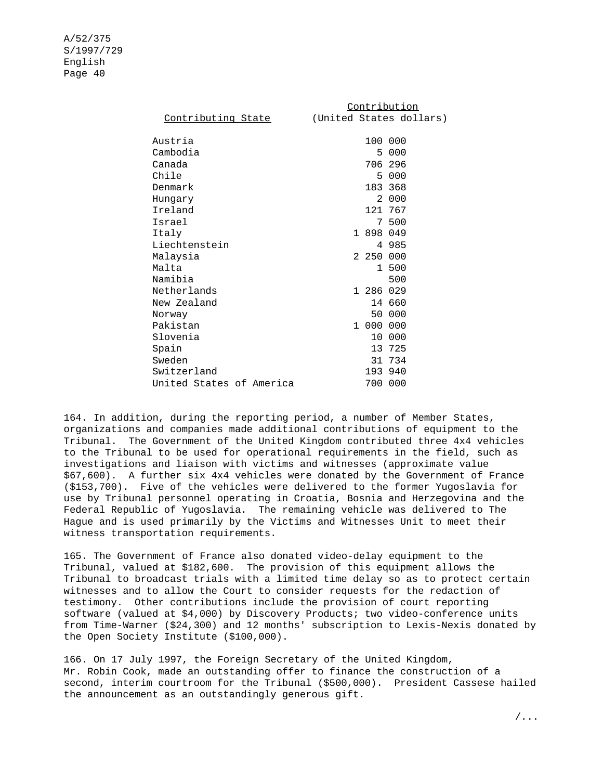|                          | Contribution                                      |
|--------------------------|---------------------------------------------------|
|                          | <u>Contributing State</u> (United States dollars) |
| Austria                  | 100 000                                           |
| Cambodia                 | 5 000                                             |
| Canada                   | 706 296                                           |
| Chile                    | 5 000                                             |
| Denmark                  | 183 368                                           |
| Hunqary                  | 2 000                                             |
| Ireland                  | 121 767                                           |
| Israel                   | 7 500                                             |
| Italy                    | 1 898 049                                         |
| Liechtenstein            | 4 985                                             |
| Malaysia                 | 2 250 000                                         |
| Malta                    | 1 500                                             |
| Namibia                  | 500                                               |
| Netherlands              | 1 286 029                                         |
| New Zealand              | 14 660                                            |
| Norway                   | 50 000                                            |
| Pakistan                 | 1 000 000                                         |
| Slovenia                 | 10 000                                            |
| Spain                    | 13 725                                            |
| Sweden                   | 31 734                                            |
| Switzerland              | 193 940                                           |
| United States of America | 700 000                                           |

164. In addition, during the reporting period, a number of Member States, organizations and companies made additional contributions of equipment to the Tribunal. The Government of the United Kingdom contributed three 4x4 vehicles to the Tribunal to be used for operational requirements in the field, such as investigations and liaison with victims and witnesses (approximate value \$67,600). A further six 4x4 vehicles were donated by the Government of France (\$153,700). Five of the vehicles were delivered to the former Yugoslavia for use by Tribunal personnel operating in Croatia, Bosnia and Herzegovina and the Federal Republic of Yugoslavia. The remaining vehicle was delivered to The Hague and is used primarily by the Victims and Witnesses Unit to meet their witness transportation requirements.

165. The Government of France also donated video-delay equipment to the Tribunal, valued at \$182,600. The provision of this equipment allows the Tribunal to broadcast trials with a limited time delay so as to protect certain witnesses and to allow the Court to consider requests for the redaction of testimony. Other contributions include the provision of court reporting software (valued at \$4,000) by Discovery Products; two video-conference units from Time-Warner (\$24,300) and 12 months' subscription to Lexis-Nexis donated by the Open Society Institute (\$100,000).

166. On 17 July 1997, the Foreign Secretary of the United Kingdom, Mr. Robin Cook, made an outstanding offer to finance the construction of a second, interim courtroom for the Tribunal (\$500,000). President Cassese hailed the announcement as an outstandingly generous gift.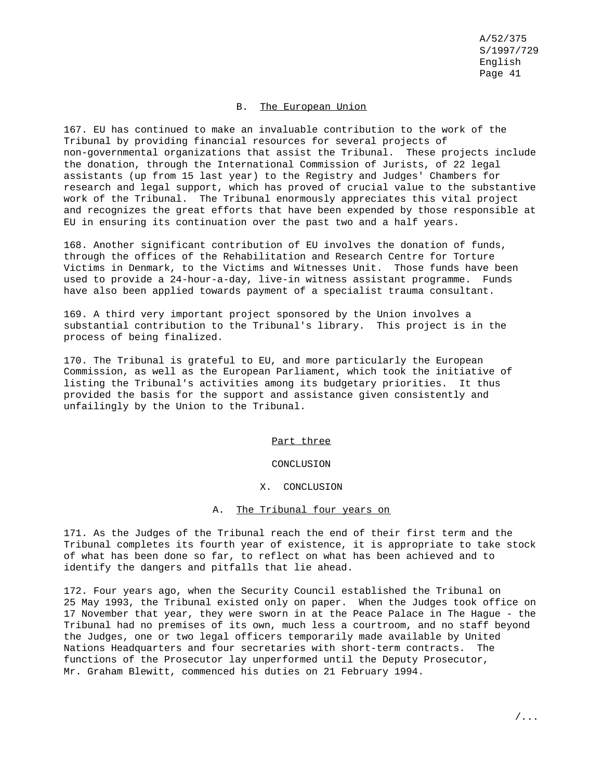### B. The European Union

167. EU has continued to make an invaluable contribution to the work of the Tribunal by providing financial resources for several projects of non-governmental organizations that assist the Tribunal. These projects include the donation, through the International Commission of Jurists, of 22 legal assistants (up from 15 last year) to the Registry and Judges' Chambers for research and legal support, which has proved of crucial value to the substantive work of the Tribunal. The Tribunal enormously appreciates this vital project and recognizes the great efforts that have been expended by those responsible at EU in ensuring its continuation over the past two and a half years.

168. Another significant contribution of EU involves the donation of funds, through the offices of the Rehabilitation and Research Centre for Torture Victims in Denmark, to the Victims and Witnesses Unit. Those funds have been used to provide a 24-hour-a-day, live-in witness assistant programme. Funds have also been applied towards payment of a specialist trauma consultant.

169. A third very important project sponsored by the Union involves a substantial contribution to the Tribunal's library. This project is in the process of being finalized.

170. The Tribunal is grateful to EU, and more particularly the European Commission, as well as the European Parliament, which took the initiative of listing the Tribunal's activities among its budgetary priorities. It thus provided the basis for the support and assistance given consistently and unfailingly by the Union to the Tribunal.

### Part three

#### CONCLUSION

#### X. CONCLUSION

### A. The Tribunal four years on

171. As the Judges of the Tribunal reach the end of their first term and the Tribunal completes its fourth year of existence, it is appropriate to take stock of what has been done so far, to reflect on what has been achieved and to identify the dangers and pitfalls that lie ahead.

172. Four years ago, when the Security Council established the Tribunal on 25 May 1993, the Tribunal existed only on paper. When the Judges took office on 17 November that year, they were sworn in at the Peace Palace in The Hague - the Tribunal had no premises of its own, much less a courtroom, and no staff beyond the Judges, one or two legal officers temporarily made available by United Nations Headquarters and four secretaries with short-term contracts. The functions of the Prosecutor lay unperformed until the Deputy Prosecutor, Mr. Graham Blewitt, commenced his duties on 21 February 1994.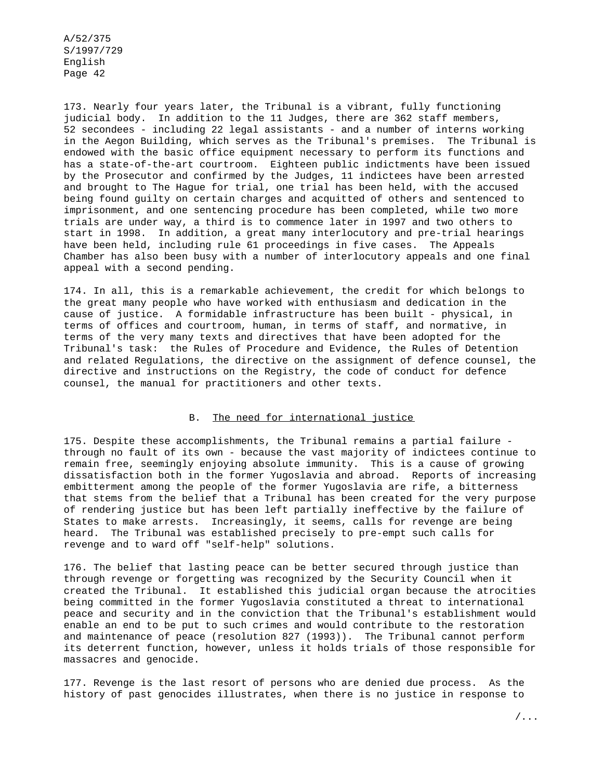173. Nearly four years later, the Tribunal is a vibrant, fully functioning judicial body. In addition to the 11 Judges, there are 362 staff members, 52 secondees - including 22 legal assistants - and a number of interns working in the Aegon Building, which serves as the Tribunal's premises. The Tribunal is endowed with the basic office equipment necessary to perform its functions and has a state-of-the-art courtroom. Eighteen public indictments have been issued by the Prosecutor and confirmed by the Judges, 11 indictees have been arrested and brought to The Hague for trial, one trial has been held, with the accused being found guilty on certain charges and acquitted of others and sentenced to imprisonment, and one sentencing procedure has been completed, while two more trials are under way, a third is to commence later in 1997 and two others to start in 1998. In addition, a great many interlocutory and pre-trial hearings have been held, including rule 61 proceedings in five cases. The Appeals Chamber has also been busy with a number of interlocutory appeals and one final appeal with a second pending.

174. In all, this is a remarkable achievement, the credit for which belongs to the great many people who have worked with enthusiasm and dedication in the cause of justice. A formidable infrastructure has been built - physical, in terms of offices and courtroom, human, in terms of staff, and normative, in terms of the very many texts and directives that have been adopted for the Tribunal's task: the Rules of Procedure and Evidence, the Rules of Detention and related Regulations, the directive on the assignment of defence counsel, the directive and instructions on the Registry, the code of conduct for defence counsel, the manual for practitioners and other texts.

#### B. The need for international justice

175. Despite these accomplishments, the Tribunal remains a partial failure through no fault of its own - because the vast majority of indictees continue to remain free, seemingly enjoying absolute immunity. This is a cause of growing dissatisfaction both in the former Yugoslavia and abroad. Reports of increasing embitterment among the people of the former Yugoslavia are rife, a bitterness that stems from the belief that a Tribunal has been created for the very purpose of rendering justice but has been left partially ineffective by the failure of States to make arrests. Increasingly, it seems, calls for revenge are being heard. The Tribunal was established precisely to pre-empt such calls for revenge and to ward off "self-help" solutions.

176. The belief that lasting peace can be better secured through justice than through revenge or forgetting was recognized by the Security Council when it created the Tribunal. It established this judicial organ because the atrocities being committed in the former Yugoslavia constituted a threat to international peace and security and in the conviction that the Tribunal's establishment would enable an end to be put to such crimes and would contribute to the restoration and maintenance of peace (resolution 827 (1993)). The Tribunal cannot perform its deterrent function, however, unless it holds trials of those responsible for massacres and genocide.

177. Revenge is the last resort of persons who are denied due process. As the history of past genocides illustrates, when there is no justice in response to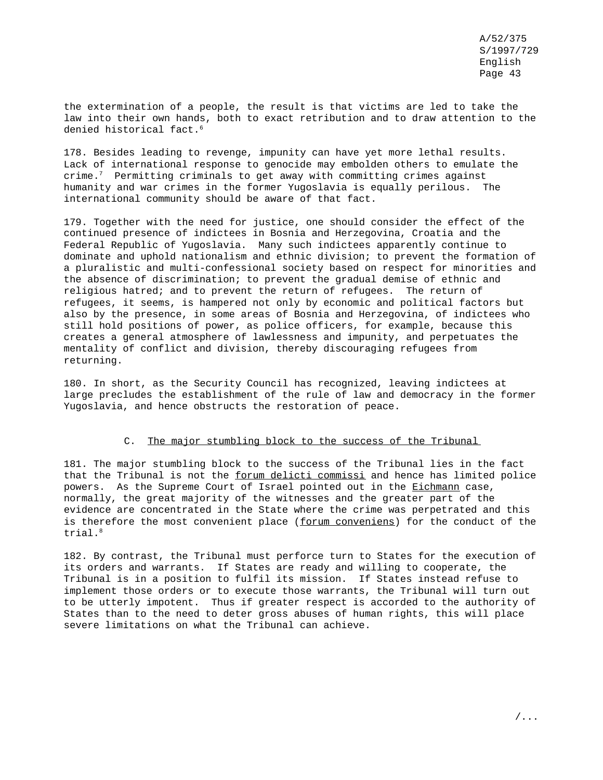the extermination of a people, the result is that victims are led to take the law into their own hands, both to exact retribution and to draw attention to the denied historical fact.<sup>6</sup>

178. Besides leading to revenge, impunity can have yet more lethal results. Lack of international response to genocide may embolden others to emulate the crime.<sup>7</sup> Permitting criminals to get away with committing crimes against humanity and war crimes in the former Yugoslavia is equally perilous. The international community should be aware of that fact.

179. Together with the need for justice, one should consider the effect of the continued presence of indictees in Bosnia and Herzegovina, Croatia and the Federal Republic of Yugoslavia. Many such indictees apparently continue to dominate and uphold nationalism and ethnic division; to prevent the formation of a pluralistic and multi-confessional society based on respect for minorities and the absence of discrimination; to prevent the gradual demise of ethnic and religious hatred; and to prevent the return of refugees. The return of refugees, it seems, is hampered not only by economic and political factors but also by the presence, in some areas of Bosnia and Herzegovina, of indictees who still hold positions of power, as police officers, for example, because this creates a general atmosphere of lawlessness and impunity, and perpetuates the mentality of conflict and division, thereby discouraging refugees from returning.

180. In short, as the Security Council has recognized, leaving indictees at large precludes the establishment of the rule of law and democracy in the former Yugoslavia, and hence obstructs the restoration of peace.

### C. The major stumbling block to the success of the Tribunal

181. The major stumbling block to the success of the Tribunal lies in the fact that the Tribunal is not the forum delicti commissi and hence has limited police powers. As the Supreme Court of Israel pointed out in the Eichmann case, normally, the great majority of the witnesses and the greater part of the evidence are concentrated in the State where the crime was perpetrated and this is therefore the most convenient place (forum conveniens) for the conduct of the trial.<sup>8</sup>

182. By contrast, the Tribunal must perforce turn to States for the execution of its orders and warrants. If States are ready and willing to cooperate, the Tribunal is in a position to fulfil its mission. If States instead refuse to implement those orders or to execute those warrants, the Tribunal will turn out to be utterly impotent. Thus if greater respect is accorded to the authority of States than to the need to deter gross abuses of human rights, this will place severe limitations on what the Tribunal can achieve.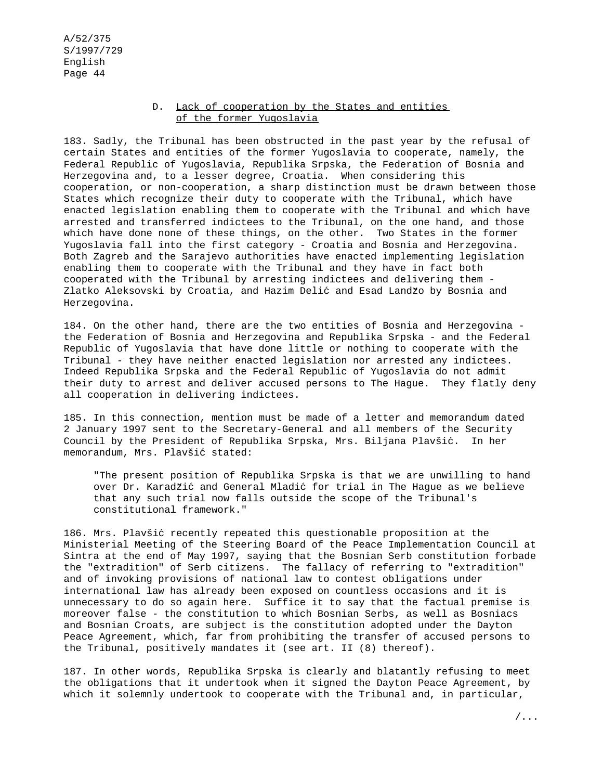## D. Lack of cooperation by the States and entities of the former Yugoslavia

183. Sadly, the Tribunal has been obstructed in the past year by the refusal of certain States and entities of the former Yugoslavia to cooperate, namely, the Federal Republic of Yugoslavia, Republika Srpska, the Federation of Bosnia and Herzegovina and, to a lesser degree, Croatia. When considering this cooperation, or non-cooperation, a sharp distinction must be drawn between those States which recognize their duty to cooperate with the Tribunal, which have enacted legislation enabling them to cooperate with the Tribunal and which have arrested and transferred indictees to the Tribunal, on the one hand, and those which have done none of these things, on the other. Two States in the former Yugoslavia fall into the first category - Croatia and Bosnia and Herzegovina. Both Zagreb and the Sarajevo authorities have enacted implementing legislation enabling them to cooperate with the Tribunal and they have in fact both cooperated with the Tribunal by arresting indictees and delivering them - Zlatko Aleksovski by Croatia, and Hazim Delić and Esad Landžo by Bosnia and Herzegovina.

184. On the other hand, there are the two entities of Bosnia and Herzegovina the Federation of Bosnia and Herzegovina and Republika Srpska - and the Federal Republic of Yugoslavia that have done little or nothing to cooperate with the Tribunal - they have neither enacted legislation nor arrested any indictees. Indeed Republika Srpska and the Federal Republic of Yugoslavia do not admit their duty to arrest and deliver accused persons to The Hague. They flatly deny all cooperation in delivering indictees.

185. In this connection, mention must be made of a letter and memorandum dated 2 January 1997 sent to the Secretary-General and all members of the Security Council by the President of Republika Srpska, Mrs. Biljana Plavšic´. In her memorandum, Mrs. Plavšić stated:

"The present position of Republika Srpska is that we are unwilling to hand over Dr. Karadžić and General Mladić for trial in The Hague as we believe that any such trial now falls outside the scope of the Tribunal's constitutional framework."

186. Mrs. Plavšić recently repeated this questionable proposition at the Ministerial Meeting of the Steering Board of the Peace Implementation Council at Sintra at the end of May 1997, saying that the Bosnian Serb constitution forbade the "extradition" of Serb citizens. The fallacy of referring to "extradition" and of invoking provisions of national law to contest obligations under international law has already been exposed on countless occasions and it is unnecessary to do so again here. Suffice it to say that the factual premise is moreover false - the constitution to which Bosnian Serbs, as well as Bosniacs and Bosnian Croats, are subject is the constitution adopted under the Dayton Peace Agreement, which, far from prohibiting the transfer of accused persons to the Tribunal, positively mandates it (see art. II (8) thereof).

187. In other words, Republika Srpska is clearly and blatantly refusing to meet the obligations that it undertook when it signed the Dayton Peace Agreement, by which it solemnly undertook to cooperate with the Tribunal and, in particular,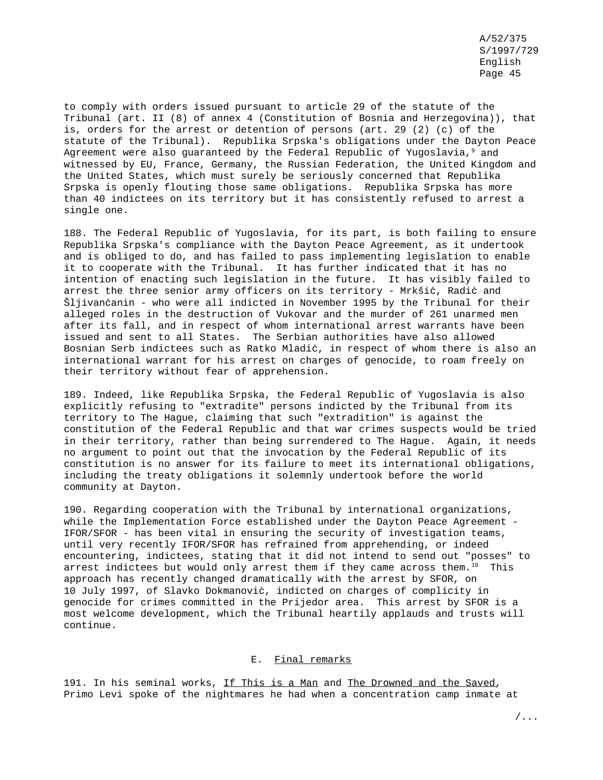to comply with orders issued pursuant to article 29 of the statute of the Tribunal (art. II (8) of annex 4 (Constitution of Bosnia and Herzegovina)), that is, orders for the arrest or detention of persons (art. 29 (2) (c) of the statute of the Tribunal). Republika Srpska's obligations under the Dayton Peace Agreement were also quaranteed by the Federal Republic of Yugoslavia, $9$  and witnessed by EU, France, Germany, the Russian Federation, the United Kingdom and the United States, which must surely be seriously concerned that Republika Srpska is openly flouting those same obligations. Republika Srpska has more than 40 indictees on its territory but it has consistently refused to arrest a single one.

188. The Federal Republic of Yugoslavia, for its part, is both failing to ensure Republika Srpska's compliance with the Dayton Peace Agreement, as it undertook and is obliged to do, and has failed to pass implementing legislation to enable it to cooperate with the Tribunal. It has further indicated that it has no intention of enacting such legislation in the future. It has visibly failed to arrest the three senior army officers on its territory - Mrkšić, Radić and Šljivanc´anin - who were all indicted in November 1995 by the Tribunal for their alleged roles in the destruction of Vukovar and the murder of 261 unarmed men after its fall, and in respect of whom international arrest warrants have been issued and sent to all States. The Serbian authorities have also allowed Bosnian Serb indictees such as Ratko Mladić, in respect of whom there is also an international warrant for his arrest on charges of genocide, to roam freely on their territory without fear of apprehension.

189. Indeed, like Republika Srpska, the Federal Republic of Yugoslavia is also explicitly refusing to "extradite" persons indicted by the Tribunal from its territory to The Hague, claiming that such "extradition" is against the constitution of the Federal Republic and that war crimes suspects would be tried in their territory, rather than being surrendered to The Hague. Again, it needs no argument to point out that the invocation by the Federal Republic of its constitution is no answer for its failure to meet its international obligations, including the treaty obligations it solemnly undertook before the world community at Dayton.

190. Regarding cooperation with the Tribunal by international organizations, while the Implementation Force established under the Dayton Peace Agreement - IFOR/SFOR - has been vital in ensuring the security of investigation teams, until very recently IFOR/SFOR has refrained from apprehending, or indeed encountering, indictees, stating that it did not intend to send out "posses" to arrest indictees but would only arrest them if they came across them. $10$  This approach has recently changed dramatically with the arrest by SFOR, on 10 July 1997, of Slavko Dokmanovic´, indicted on charges of complicity in genocide for crimes committed in the Prijedor area. This arrest by SFOR is a most welcome development, which the Tribunal heartily applauds and trusts will continue.

### E. Final remarks

191. In his seminal works, If This is a Man and The Drowned and the Saved, Primo Levi spoke of the nightmares he had when a concentration camp inmate at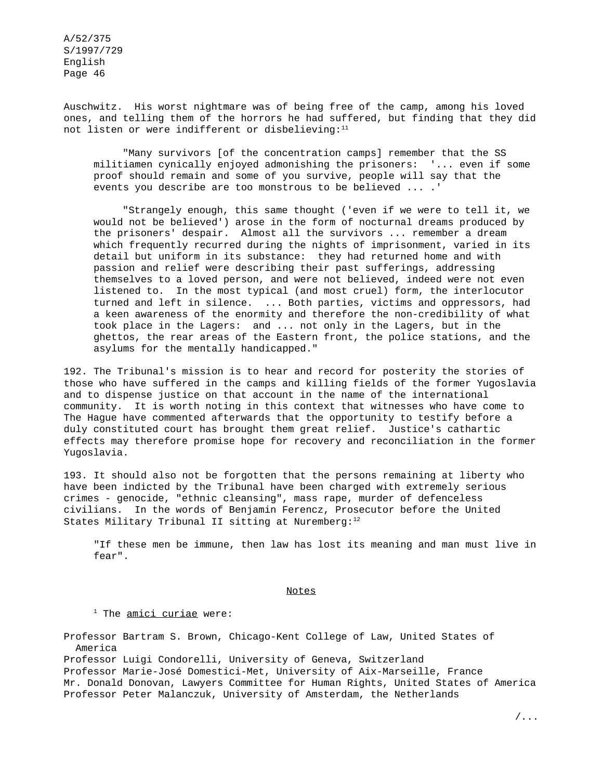Auschwitz. His worst nightmare was of being free of the camp, among his loved ones, and telling them of the horrors he had suffered, but finding that they did not listen or were indifferent or disbelieving:<sup>11</sup>

"Many survivors [of the concentration camps] remember that the SS militiamen cynically enjoyed admonishing the prisoners: '... even if some proof should remain and some of you survive, people will say that the events you describe are too monstrous to be believed ... .'

"Strangely enough, this same thought ('even if we were to tell it, we would not be believed') arose in the form of nocturnal dreams produced by the prisoners' despair. Almost all the survivors ... remember a dream which frequently recurred during the nights of imprisonment, varied in its detail but uniform in its substance: they had returned home and with passion and relief were describing their past sufferings, addressing themselves to a loved person, and were not believed, indeed were not even listened to. In the most typical (and most cruel) form, the interlocutor turned and left in silence. ... Both parties, victims and oppressors, had a keen awareness of the enormity and therefore the non-credibility of what took place in the Lagers: and ... not only in the Lagers, but in the ghettos, the rear areas of the Eastern front, the police stations, and the asylums for the mentally handicapped."

192. The Tribunal's mission is to hear and record for posterity the stories of those who have suffered in the camps and killing fields of the former Yugoslavia and to dispense justice on that account in the name of the international community. It is worth noting in this context that witnesses who have come to The Hague have commented afterwards that the opportunity to testify before a duly constituted court has brought them great relief. Justice's cathartic effects may therefore promise hope for recovery and reconciliation in the former Yugoslavia.

193. It should also not be forgotten that the persons remaining at liberty who have been indicted by the Tribunal have been charged with extremely serious crimes - genocide, "ethnic cleansing", mass rape, murder of defenceless civilians. In the words of Benjamin Ferencz, Prosecutor before the United States Military Tribunal II sitting at Nuremberg: $12$ 

"If these men be immune, then law has lost its meaning and man must live in fear".

Notes

 $1$  The amici curiae were:

Professor Bartram S. Brown, Chicago-Kent College of Law, United States of America

Professor Luigi Condorelli, University of Geneva, Switzerland Professor Marie-José Domestici-Met, University of Aix-Marseille, France Mr. Donald Donovan, Lawyers Committee for Human Rights, United States of America Professor Peter Malanczuk, University of Amsterdam, the Netherlands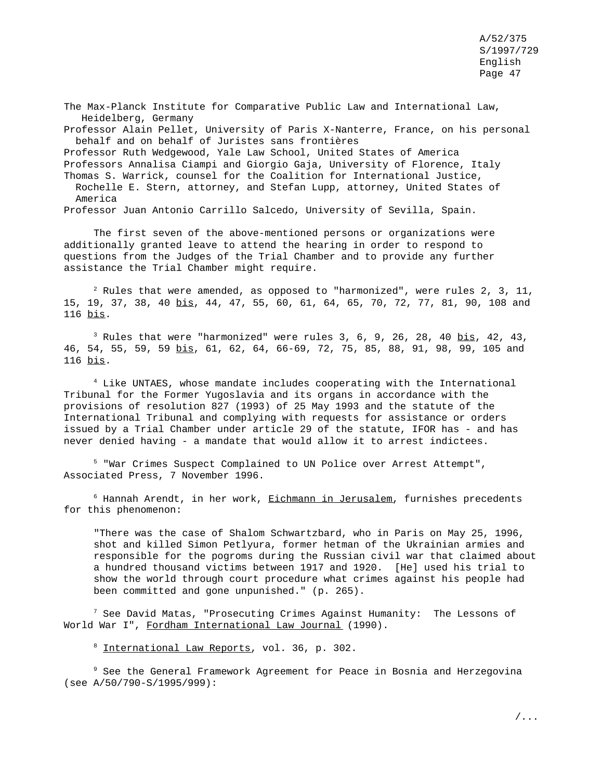The Max-Planck Institute for Comparative Public Law and International Law, Heidelberg, Germany Professor Alain Pellet, University of Paris X-Nanterre, France, on his personal behalf and on behalf of Juristes sans frontières Professor Ruth Wedgewood, Yale Law School, United States of America Professors Annalisa Ciampi and Giorgio Gaja, University of Florence, Italy Thomas S. Warrick, counsel for the Coalition for International Justice, Rochelle E. Stern, attorney, and Stefan Lupp, attorney, United States of America Professor Juan Antonio Carrillo Salcedo, University of Sevilla, Spain.

The first seven of the above-mentioned persons or organizations were additionally granted leave to attend the hearing in order to respond to questions from the Judges of the Trial Chamber and to provide any further assistance the Trial Chamber might require.

 $^2$  Rules that were amended, as opposed to "harmonized", were rules 2, 3, 11, 15, 19, 37, 38, 40 bis, 44, 47, 55, 60, 61, 64, 65, 70, 72, 77, 81, 90, 108 and 116 bis.

<sup>3</sup> Rules that were "harmonized" were rules 3, 6, 9, 26, 28, 40  $bis$ , 42, 43,</u> 46, 54, 55, 59, 59 bis, 61, 62, 64, 66-69, 72, 75, 85, 88, 91, 98, 99, 105 and 116 bis.

<sup>4</sup> Like UNTAES, whose mandate includes cooperating with the International Tribunal for the Former Yugoslavia and its organs in accordance with the provisions of resolution 827 (1993) of 25 May 1993 and the statute of the International Tribunal and complying with requests for assistance or orders issued by a Trial Chamber under article 29 of the statute, IFOR has - and has never denied having - a mandate that would allow it to arrest indictees.

<sup>5</sup> "War Crimes Suspect Complained to UN Police over Arrest Attempt", Associated Press, 7 November 1996.

 $6$  Hannah Arendt, in her work, Eichmann in Jerusalem, furnishes precedents for this phenomenon:

"There was the case of Shalom Schwartzbard, who in Paris on May 25, 1996, shot and killed Simon Petlyura, former hetman of the Ukrainian armies and responsible for the pogroms during the Russian civil war that claimed about a hundred thousand victims between 1917 and 1920. [He] used his trial to show the world through court procedure what crimes against his people had been committed and gone unpunished." (p. 265).

 $^7$  See David Matas, "Prosecuting Crimes Against Humanity: The Lessons of World War I", Fordham International Law Journal (1990).

<sup>8</sup> International Law Reports, vol. 36, p. 302.

<sup>9</sup> See the General Framework Agreement for Peace in Bosnia and Herzegovina (see A/50/790-S/1995/999):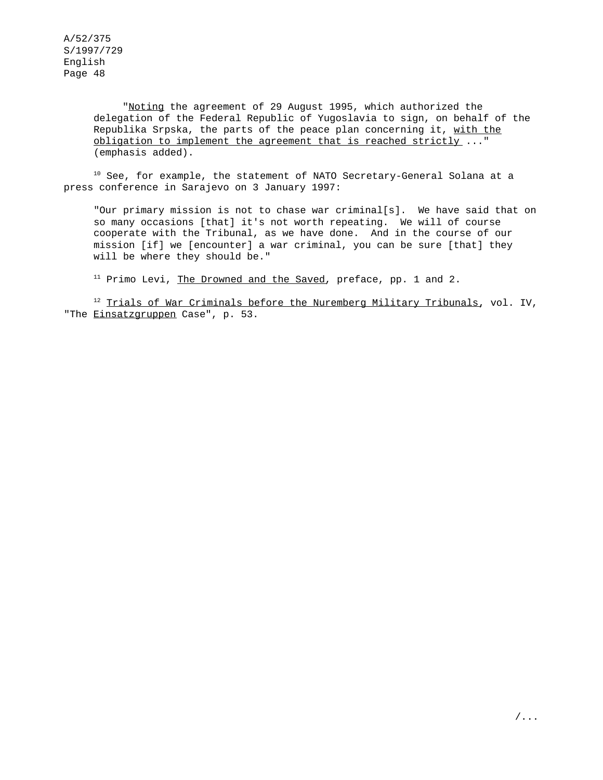> "Noting the agreement of 29 August 1995, which authorized the delegation of the Federal Republic of Yugoslavia to sign, on behalf of the Republika Srpska, the parts of the peace plan concerning it, with the obligation to implement the agreement that is reached strictly ..." (emphasis added).

<sup>10</sup> See, for example, the statement of NATO Secretary-General Solana at a press conference in Sarajevo on 3 January 1997:

"Our primary mission is not to chase war criminal[s]. We have said that on so many occasions [that] it's not worth repeating. We will of course cooperate with the Tribunal, as we have done. And in the course of our mission [if] we [encounter] a war criminal, you can be sure [that] they will be where they should be."

<sup>11</sup> Primo Levi, The Drowned and the Saved, preface, pp. 1 and 2.

<sup>12</sup> Trials of War Criminals before the Nuremberg Military Tribunals, vol. IV, "The Einsatzgruppen Case", p. 53.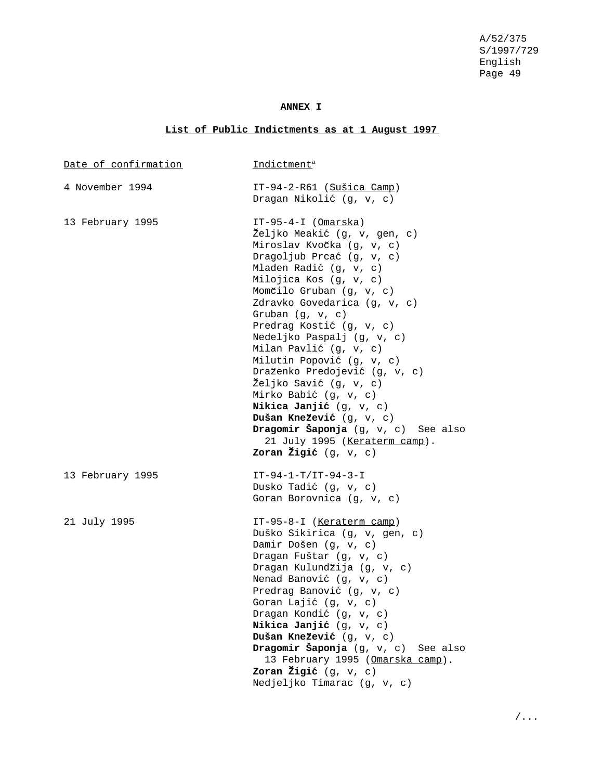## **ANNEX I**

# **List of Public Indictments as at 1 August 1997**

| Date of confirmation | Indictment <sup>a</sup>                                                                                                                                                                                                                                                                                                                                                                                                                                                                                                                                                                                              |
|----------------------|----------------------------------------------------------------------------------------------------------------------------------------------------------------------------------------------------------------------------------------------------------------------------------------------------------------------------------------------------------------------------------------------------------------------------------------------------------------------------------------------------------------------------------------------------------------------------------------------------------------------|
| 4 November 1994      | $IT-94-2-R61$ (Sušica Camp)<br>Dragan Nikolić (g, v, c)                                                                                                                                                                                                                                                                                                                                                                                                                                                                                                                                                              |
| 13 February 1995     | $IT-95-4-I$ (Omarska)<br>Željko Meakić (g, v, gen, c)<br>Miroslav Kvočka (g, v, c)<br>Dragoljub Prcać (g, v, c)<br>Mladen Radić (g, v, c)<br>Milojica Kos (g, v, c)<br>Momčilo Gruban (g, v, c)<br>Zdravko Govedarica (g, v, c)<br>Gruban $(g, v, c)$<br>Predrag Kostić (g, v, c)<br>Nedeljko Paspalj (g, v, c)<br>Milan Pavlić (g, v, c)<br>Milutin Popović (g, v, c)<br>Draženko Predojević (g, v, c)<br>Željko Savić (g, v, c)<br>Mirko Babić (g, v, c)<br>Nikica Janjić (g, v, c)<br>Dušan Knežević (g, v, c)<br>Dragomir Šaponja (g, v, c) See also<br>21 July 1995 (Keraterm camp).<br>Zoran Žigić $(g, v, c)$ |
| 13 February 1995     | $IT-94-1-T/IT-94-3-I$<br>Dusko Tadić (g, v, c)<br>Goran Borovnica (g, v, c)                                                                                                                                                                                                                                                                                                                                                                                                                                                                                                                                          |
| 21 July 1995         | IT-95-8-I (Keraterm camp)<br>Duško Sikirica (g, v, gen, c)<br>Damir Došen (g, v, c)<br>Dragan Fuštar (g, v, c)<br>Dragan Kulundžija (g, v, c)<br>Nenad Banović (g, v, c)<br>Predrag Banović (g, v, c)<br>Goran Lajić (g, v, c)<br>Dragan Kondić (g, v, c)<br>Nikica Janjić (g, v, c)<br>Dušan Knežević (g, v, c)<br>Dragomir Šaponja (g, v, c)<br>See also<br>13 February 1995 (Omarska camp).<br>Zoran Žigić $(q, v, c)$<br>Nedjeljko Timarac (g, v, c)                                                                                                                                                             |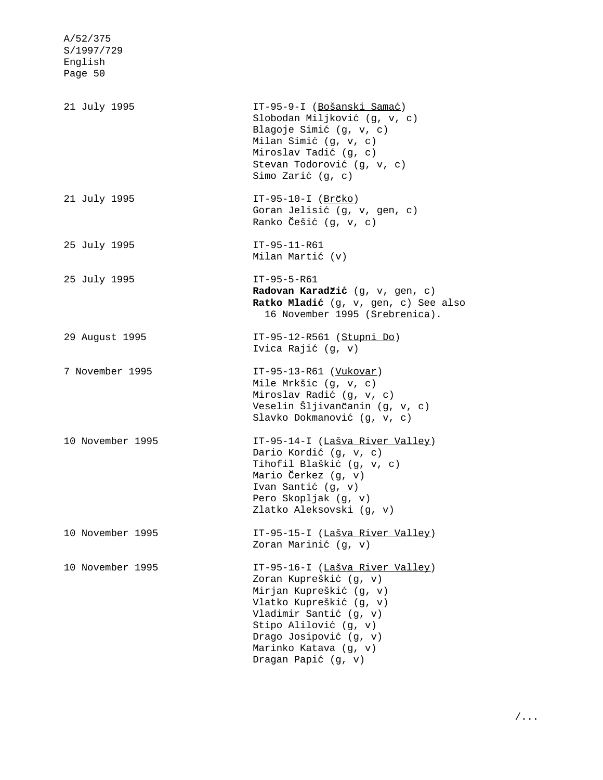| A/52/375<br>S/1997/729<br>English<br>Page 50 |                                                                                                                                                                                                                                              |
|----------------------------------------------|----------------------------------------------------------------------------------------------------------------------------------------------------------------------------------------------------------------------------------------------|
| 21 July 1995                                 | IT-95-9-I (Bošanski Samać)<br>Slobodan Miljković (g, v, c)<br>Blagoje Simić (g, v, c)<br>Milan Simić (g, v, c)<br>Miroslav Tadić (g, c)<br>Stevan Todorović (g, v, c)<br>Simo Zarić (g, c)                                                   |
| 21 July 1995                                 | IT-95-10-I ( $Br\breve{C}ko$ )<br>Goran Jelisić (g, v, gen, c)<br>Ranko Češić (g, v, c)                                                                                                                                                      |
| 25 July 1995                                 | $IT-95-11-R61$<br>Milan Martić (v)                                                                                                                                                                                                           |
| 25 July 1995                                 | $IT-95-5-R61$<br>Radovan Karadžić (g, v, gen, c)<br>Ratko Mladić (g, v, gen, c) See also<br>16 November 1995 (Srebrenica).                                                                                                                   |
| 29 August 1995                               | IT-95-12-R561 (Stupni Do)<br>Ivica Rajić (g, v)                                                                                                                                                                                              |
| 7 November 1995                              | $IT-95-13-R61$ (Vukovar)<br>Mile Mrkšic (g, v, c)<br>Miroslav Radić (g, v, c)<br>Veselin Šljivančanin (g, v, c)<br>Slavko Dokmanović (g, v, c)                                                                                               |
| 10 November 1995                             | IT-95-14-I (Lašva River Valley)<br>Dario Kordić (g, v, c)<br>Tihofil Blaškić (g, v, c)<br>Mario Čerkez (g, v)<br>Ivan Santić (q, v)<br>Pero Skopljak (g, v)<br>Zlatko Aleksovski (g, v)                                                      |
| 10 November 1995                             | IT-95-15-I (Lašva River Valley)<br>Zoran Marinić (g, v)                                                                                                                                                                                      |
| 10 November 1995                             | IT-95-16-I (Lašva River Valley)<br>Zoran Kupreškić (g, v)<br>Mirjan Kupreškić (g, v)<br>Vlatko Kupreškić (g, v)<br>Vladimir Santić (g, v)<br>Stipo Alilović (g, v)<br>Drago Josipović (g, v)<br>Marinko Katava (g, v)<br>Dragan Papić (g, v) |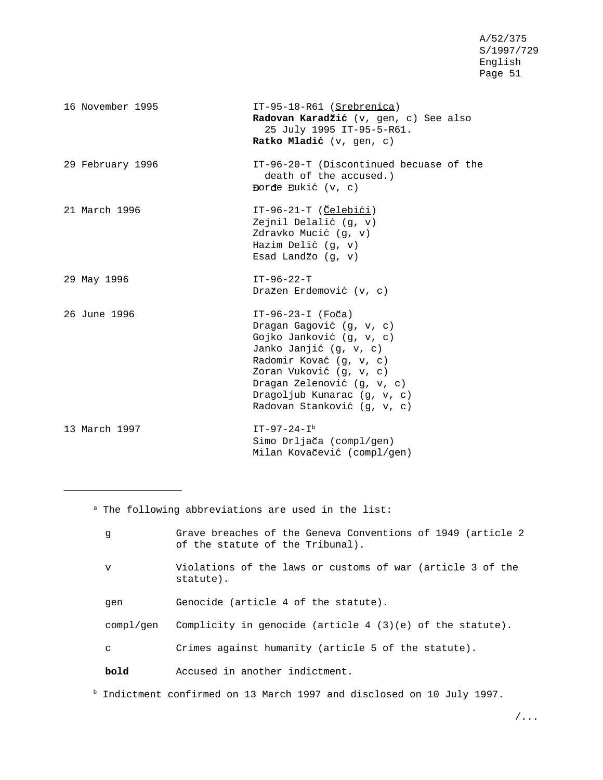| 16 November 1995 | IT-95-18-R61 (Srebrenica)<br>Radovan Karadžić (v, gen, c) See also<br>25 July 1995 IT-95-5-R61.<br>Ratko Mladić (v, gen, c)                                                                                                                             |
|------------------|---------------------------------------------------------------------------------------------------------------------------------------------------------------------------------------------------------------------------------------------------------|
| 29 February 1996 | IT-96-20-T (Discontinued becuase of the<br>death of the accused.)<br>Dorde Dukić $(v, c)$                                                                                                                                                               |
| 21 March 1996    | $IT-96-21-T$ (Celebići)<br>Zejnil Delalić (g, v)<br>Zdravko Mucić (g, v)<br>Hazim Delić (g, v)<br>Esad Landžo (g, v)                                                                                                                                    |
| 29 May 1996      | $IT-96-22-T$<br>Dražen Erdemović (v, c)                                                                                                                                                                                                                 |
| 26 June 1996     | IT-96-23-I (Foča)<br>Dragan Gagović (g, v, c)<br>Gojko Janković (g, v, c)<br>Janko Janjić (g, v, c)<br>Radomir Kovać (g, v, c)<br>Zoran Vuković (g, v, c)<br>Dragan Zelenović (g, v, c)<br>Dragoljub Kunarac $(q, v, c)$<br>Radovan Stanković (g, v, c) |
| 13 March 1997    | $IT-97-24-I^{b}$<br>Simo Drljača (compl/gen)<br>Milan Kovačević (compl/gen)                                                                                                                                                                             |

a The following abbreviations are used in the list:

\_\_\_\_\_\_\_\_\_\_\_\_\_\_\_\_\_\_\_\_

| q           | Grave breaches of the Geneva Conventions of 1949 (article 2<br>of the statute of the Tribunal). |
|-------------|-------------------------------------------------------------------------------------------------|
| $\mathbf v$ | Violations of the laws or customs of war (article 3 of the<br>statute).                         |
| qen         | Genocide (article 4 of the statute).                                                            |
| compl/gen   | Complicity in genocide (article 4 $(3)(e)$ of the statute).                                     |
| C           | Crimes against humanity (article 5 of the statute).                                             |
| bold        | Accused in another indictment.                                                                  |

<sup>b</sup> Indictment confirmed on 13 March 1997 and disclosed on 10 July 1997.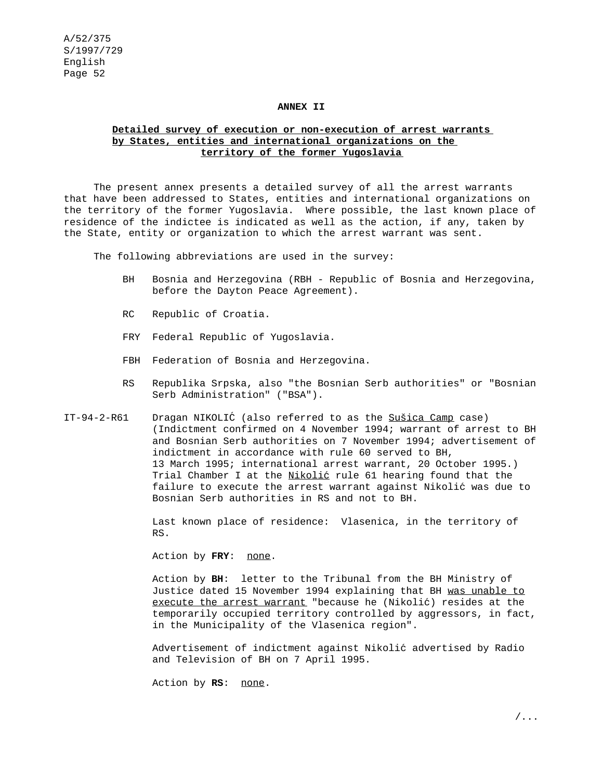#### **ANNEX II**

## **Detailed survey of execution or non-execution of arrest warrants by States, entities and international organizations on the territory of the former Yugoslavia**

The present annex presents a detailed survey of all the arrest warrants that have been addressed to States, entities and international organizations on the territory of the former Yugoslavia. Where possible, the last known place of residence of the indictee is indicated as well as the action, if any, taken by the State, entity or organization to which the arrest warrant was sent.

The following abbreviations are used in the survey:

- BH Bosnia and Herzegovina (RBH Republic of Bosnia and Herzegovina, before the Dayton Peace Agreement).
- RC Republic of Croatia.
- FRY Federal Republic of Yugoslavia.
- FBH Federation of Bosnia and Herzegovina.
- RS Republika Srpska, also "the Bosnian Serb authorities" or "Bosnian Serb Administration" ("BSA").
- IT-94-2-R61 Dragan NIKOLIC´ (also referred to as the Sušica Camp case) (Indictment confirmed on 4 November 1994; warrant of arrest to BH and Bosnian Serb authorities on 7 November 1994; advertisement of indictment in accordance with rule 60 served to BH, 13 March 1995; international arrest warrant, 20 October 1995.) Trial Chamber I at the Nikolić rule 61 hearing found that the failure to execute the arrest warrant against Nikolić was due to Bosnian Serb authorities in RS and not to BH.

Last known place of residence: Vlasenica, in the territory of RS.

Action by FRY: none.

Action by **BH**: letter to the Tribunal from the BH Ministry of Justice dated 15 November 1994 explaining that BH was unable to execute the arrest warrant "because he (Nikolić) resides at the temporarily occupied territory controlled by aggressors, in fact, in the Municipality of the Vlasenica region".

Advertisement of indictment against Nikolic´ advertised by Radio and Television of BH on 7 April 1995.

Action by **RS**: none.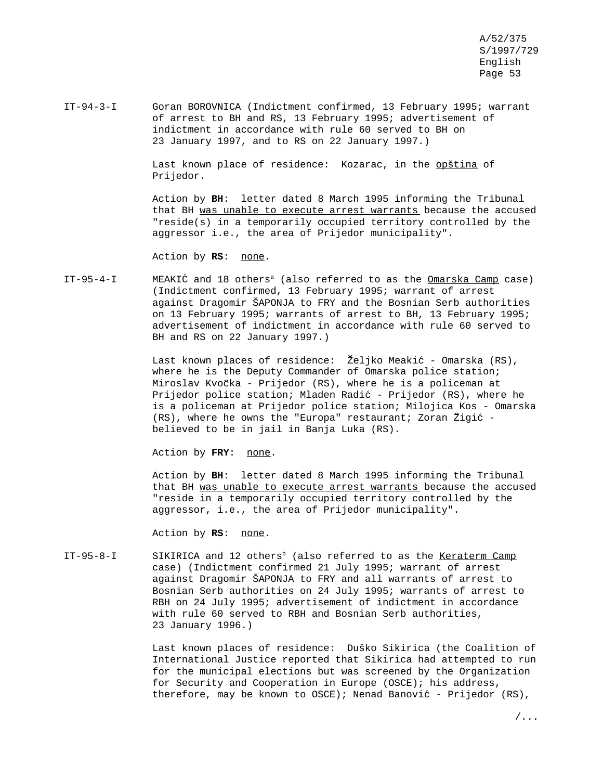IT-94-3-I Goran BOROVNICA (Indictment confirmed, 13 February 1995; warrant of arrest to BH and RS, 13 February 1995; advertisement of indictment in accordance with rule 60 served to BH on 23 January 1997, and to RS on 22 January 1997.)

> Last known place of residence: Kozarac, in the opština of Prijedor.

Action by **BH**: letter dated 8 March 1995 informing the Tribunal that BH was unable to execute arrest warrants because the accused "reside(s) in a temporarily occupied territory controlled by the aggressor i.e., the area of Prijedor municipality".

Action by RS: none.

IT-95-4-I MEAKIĆ and 18 others<sup>a</sup> (also referred to as the <u>Omarska Camp</u> case) (Indictment confirmed, 13 February 1995; warrant of arrest against Dragomir ŠAPONJA to FRY and the Bosnian Serb authorities on 13 February 1995; warrants of arrest to BH, 13 February 1995; advertisement of indictment in accordance with rule 60 served to BH and RS on 22 January 1997.)

> Last known places of residence: Željko Meakić - Omarska (RS), where he is the Deputy Commander of Omarska police station; Miroslav Kvočka - Prijedor (RS), where he is a policeman at Prijedor police station; Mladen Radić - Prijedor (RS), where he is a policeman at Prijedor police station; Milojica Kos - Omarska  $(RS)$ , where he owns the "Europa" restaurant; Zoran Žigić believed to be in jail in Banja Luka (RS).

Action by FRY: none.

Action by **BH**: letter dated 8 March 1995 informing the Tribunal that BH was unable to execute arrest warrants because the accused "reside in a temporarily occupied territory controlled by the aggressor, i.e., the area of Prijedor municipality".

Action by **RS**: none.

IT-95-8-I SIKIRICA and 12 others<sup>b</sup> (also referred to as the Keraterm Camp case) (Indictment confirmed 21 July 1995; warrant of arrest against Dragomir ŠAPONJA to FRY and all warrants of arrest to Bosnian Serb authorities on 24 July 1995; warrants of arrest to RBH on 24 July 1995; advertisement of indictment in accordance with rule 60 served to RBH and Bosnian Serb authorities, 23 January 1996.)

> Last known places of residence: Duško Sikirica (the Coalition of International Justice reported that Sikirica had attempted to run for the municipal elections but was screened by the Organization for Security and Cooperation in Europe (OSCE); his address, therefore, may be known to OSCE); Nenad Banović - Prijedor (RS),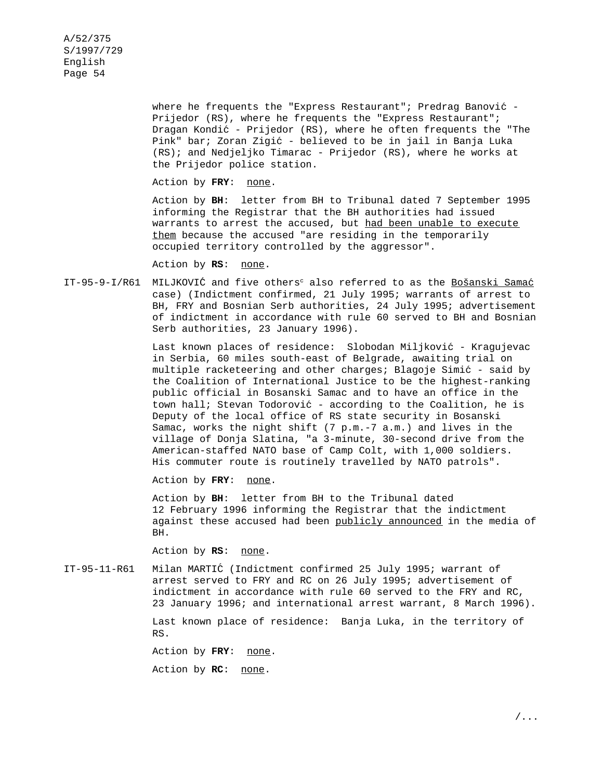> where he frequents the "Express Restaurant"; Predrag Banović -Prijedor (RS), where he frequents the "Express Restaurant"; Dragan Kondić - Prijedor (RS), where he often frequents the "The Pink" bar; Zoran Zigić - believed to be in jail in Banja Luka (RS); and Nedjeljko Timarac - Prijedor (RS), where he works at the Prijedor police station.

Action by FRY: none.

Action by **BH**: letter from BH to Tribunal dated 7 September 1995 informing the Registrar that the BH authorities had issued warrants to arrest the accused, but had been unable to execute them because the accused "are residing in the temporarily occupied territory controlled by the aggressor".

Action by RS: none.

IT-95-9-I/R61 MILJKOVIĆ and five others<sup>c</sup> also referred to as the Bošanski Samać case) (Indictment confirmed, 21 July 1995; warrants of arrest to BH, FRY and Bosnian Serb authorities, 24 July 1995; advertisement of indictment in accordance with rule 60 served to BH and Bosnian Serb authorities, 23 January 1996).

> Last known places of residence: Slobodan Miljković - Kragujevac in Serbia, 60 miles south-east of Belgrade, awaiting trial on multiple racketeering and other charges; Blagoje Simić - said by the Coalition of International Justice to be the highest-ranking public official in Bosanski Samac and to have an office in the town hall; Stevan Todorović - according to the Coalition, he is Deputy of the local office of RS state security in Bosanski Samac, works the night shift (7 p.m.-7 a.m.) and lives in the village of Donja Slatina, "a 3-minute, 30-second drive from the American-staffed NATO base of Camp Colt, with 1,000 soldiers. His commuter route is routinely travelled by NATO patrols".

Action by FRY: none.

Action by **BH**: letter from BH to the Tribunal dated 12 February 1996 informing the Registrar that the indictment against these accused had been publicly announced in the media of BH.

Action by **RS**: none.

IT-95-11-R61 Milan MARTIC´ (Indictment confirmed 25 July 1995; warrant of arrest served to FRY and RC on 26 July 1995; advertisement of indictment in accordance with rule 60 served to the FRY and RC, 23 January 1996; and international arrest warrant, 8 March 1996).

> Last known place of residence: Banja Luka, in the territory of RS.

Action by FRY: none.

Action by **RC**: none.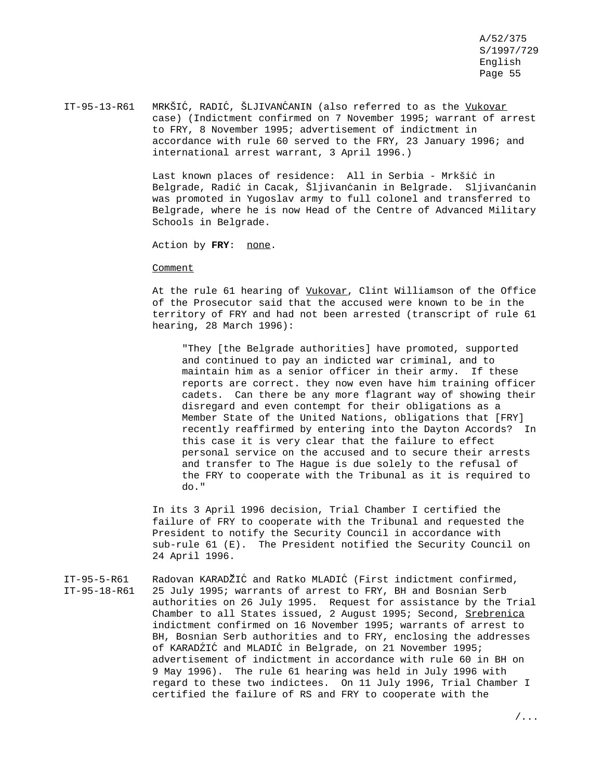IT-95-13-R61 MRKŠIĆ, RADIĆ, ŠLJIVANĆANIN (also referred to as the Vukovar case) (Indictment confirmed on 7 November 1995; warrant of arrest to FRY, 8 November 1995; advertisement of indictment in accordance with rule 60 served to the FRY, 23 January 1996; and international arrest warrant, 3 April 1996.)

> Last known places of residence: All in Serbia - Mrkšić in Belgrade, Radić in Cacak, Šljivanćanin in Belgrade. Sljivanćanin was promoted in Yugoslav army to full colonel and transferred to Belgrade, where he is now Head of the Centre of Advanced Military Schools in Belgrade.

Action by **FRY**: none.

### **Comment**

At the rule 61 hearing of Vukovar, Clint Williamson of the Office of the Prosecutor said that the accused were known to be in the territory of FRY and had not been arrested (transcript of rule 61 hearing, 28 March 1996):

"They [the Belgrade authorities] have promoted, supported and continued to pay an indicted war criminal, and to maintain him as a senior officer in their army. If these reports are correct. they now even have him training officer cadets. Can there be any more flagrant way of showing their disregard and even contempt for their obligations as a Member State of the United Nations, obligations that [FRY] recently reaffirmed by entering into the Dayton Accords? In this case it is very clear that the failure to effect personal service on the accused and to secure their arrests and transfer to The Hague is due solely to the refusal of the FRY to cooperate with the Tribunal as it is required to do."

In its 3 April 1996 decision, Trial Chamber I certified the failure of FRY to cooperate with the Tribunal and requested the President to notify the Security Council in accordance with sub-rule 61 (E). The President notified the Security Council on 24 April 1996.

IT-95-5-R61 Radovan KARADŽIĆ and Ratko MLADIĆ (First indictment confirmed, IT-95-18-R61 25 July 1995; warrants of arrest to FRY, BH and Bosnian Serb authorities on 26 July 1995. Request for assistance by the Trial Chamber to all States issued, 2 August 1995; Second, Srebrenica indictment confirmed on 16 November 1995; warrants of arrest to BH, Bosnian Serb authorities and to FRY, enclosing the addresses of KARADŹIĆ and MLADIĆ in Belgrade, on 21 November 1995; advertisement of indictment in accordance with rule 60 in BH on 9 May 1996). The rule 61 hearing was held in July 1996 with regard to these two indictees. On 11 July 1996, Trial Chamber I certified the failure of RS and FRY to cooperate with the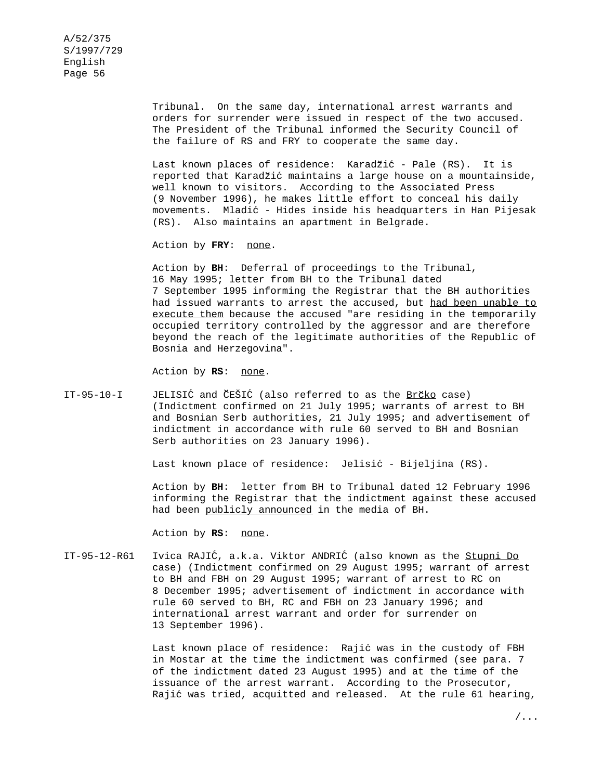Tribunal. On the same day, international arrest warrants and orders for surrender were issued in respect of the two accused. The President of the Tribunal informed the Security Council of the failure of RS and FRY to cooperate the same day.

Last known places of residence: Karadžić - Pale (RS). It is reported that Karadžić maintains a large house on a mountainside, well known to visitors. According to the Associated Press (9 November 1996), he makes little effort to conceal his daily movements. Mladic´ - Hides inside his headquarters in Han Pijesak (RS). Also maintains an apartment in Belgrade.

Action by **FRY**: none.

Action by **BH**: Deferral of proceedings to the Tribunal, 16 May 1995; letter from BH to the Tribunal dated 7 September 1995 informing the Registrar that the BH authorities had issued warrants to arrest the accused, but had been unable to execute them because the accused "are residing in the temporarily occupied territory controlled by the aggressor and are therefore beyond the reach of the legitimate authorities of the Republic of Bosnia and Herzegovina".

Action by RS: none.

 $IT-95-10-I$  JELISIĆ and ČEŠIĆ (also referred to as the Brčko case) (Indictment confirmed on 21 July 1995; warrants of arrest to BH and Bosnian Serb authorities, 21 July 1995; and advertisement of indictment in accordance with rule 60 served to BH and Bosnian Serb authorities on 23 January 1996).

Last known place of residence: Jelisić - Bijeljina (RS).

Action by **BH**: letter from BH to Tribunal dated 12 February 1996 informing the Registrar that the indictment against these accused had been publicly announced in the media of BH.

Action by **RS**: none.

IT-95-12-R61 Ivica RAJIĆ, a.k.a. Viktor ANDRIĆ (also known as the Stupni Do case) (Indictment confirmed on 29 August 1995; warrant of arrest to BH and FBH on 29 August 1995; warrant of arrest to RC on 8 December 1995; advertisement of indictment in accordance with rule 60 served to BH, RC and FBH on 23 January 1996; and international arrest warrant and order for surrender on 13 September 1996).

> Last known place of residence: Rajić was in the custody of FBH in Mostar at the time the indictment was confirmed (see para. 7 of the indictment dated 23 August 1995) and at the time of the issuance of the arrest warrant. According to the Prosecutor, Rajić was tried, acquitted and released. At the rule 61 hearing,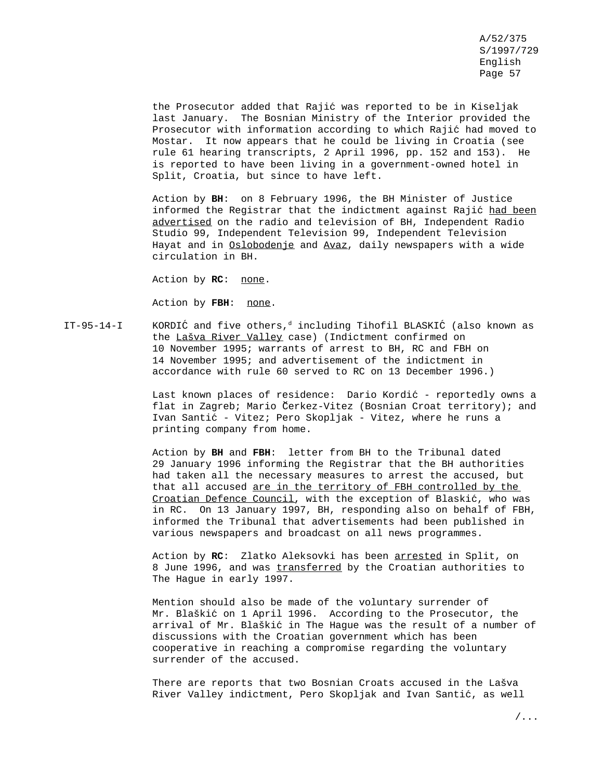the Prosecutor added that Rajić was reported to be in Kiseljak last January. The Bosnian Ministry of the Interior provided the Prosecutor with information according to which Rajic´ had moved to Mostar. It now appears that he could be living in Croatia (see rule 61 hearing transcripts, 2 April 1996, pp. 152 and 153). He is reported to have been living in a government-owned hotel in Split, Croatia, but since to have left.

Action by **BH**: on 8 February 1996, the BH Minister of Justice informed the Registrar that the indictment against Rajić had been advertised on the radio and television of BH, Independent Radio Studio 99, Independent Television 99, Independent Television Hayat and in Oslobodenje and Avaz, daily newspapers with a wide circulation in BH.

Action by **RC**: none.

Action by **FBH**: none.

IT-95-14-I KORDIĆ and five others,<sup>d</sup> including Tihofil BLASKIĆ (also known as the Lašva River Valley case) (Indictment confirmed on 10 November 1995; warrants of arrest to BH, RC and FBH on 14 November 1995; and advertisement of the indictment in accordance with rule 60 served to RC on 13 December 1996.)

> Last known places of residence: Dario Kordić - reportedly owns a flat in Zagreb; Mario Čerkez-Vitez (Bosnian Croat territory); and Ivan Santić - Vitez; Pero Skopljak - Vitez, where he runs a printing company from home.

> Action by **BH** and **FBH**: letter from BH to the Tribunal dated 29 January 1996 informing the Registrar that the BH authorities had taken all the necessary measures to arrest the accused, but that all accused are in the territory of FBH controlled by the Croatian Defence Council, with the exception of Blaskić, who was in RC. On 13 January 1997, BH, responding also on behalf of FBH, informed the Tribunal that advertisements had been published in various newspapers and broadcast on all news programmes.

Action by **RC**: Zlatko Aleksovki has been arrested in Split, on 8 June 1996, and was transferred by the Croatian authorities to The Hague in early 1997.

Mention should also be made of the voluntary surrender of Mr. Blaškić on 1 April 1996. According to the Prosecutor, the arrival of Mr. Blaškić in The Hague was the result of a number of discussions with the Croatian government which has been cooperative in reaching a compromise regarding the voluntary surrender of the accused.

There are reports that two Bosnian Croats accused in the Lašva River Valley indictment, Pero Skopljak and Ivan Santić, as well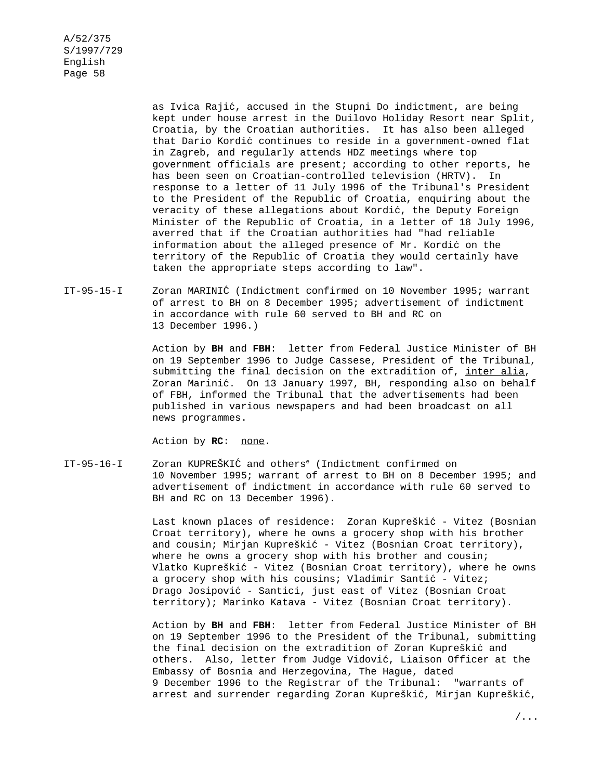> as Ivica Rajić, accused in the Stupni Do indictment, are being kept under house arrest in the Duilovo Holiday Resort near Split, Croatia, by the Croatian authorities. It has also been alleged that Dario Kordic´ continues to reside in a government-owned flat in Zagreb, and regularly attends HDZ meetings where top government officials are present; according to other reports, he has been seen on Croatian-controlled television (HRTV). In response to a letter of 11 July 1996 of the Tribunal's President to the President of the Republic of Croatia, enquiring about the veracity of these allegations about Kordic´, the Deputy Foreign Minister of the Republic of Croatia, in a letter of 18 July 1996, averred that if the Croatian authorities had "had reliable information about the alleged presence of Mr. Kordić on the territory of the Republic of Croatia they would certainly have taken the appropriate steps according to law".

## IT-95-15-I Zoran MARINIC´ (Indictment confirmed on 10 November 1995; warrant of arrest to BH on 8 December 1995; advertisement of indictment in accordance with rule 60 served to BH and RC on 13 December 1996.)

Action by **BH** and **FBH**: letter from Federal Justice Minister of BH on 19 September 1996 to Judge Cassese, President of the Tribunal, submitting the final decision on the extradition of, inter alia, Zoran Marinić. On 13 January 1997, BH, responding also on behalf of FBH, informed the Tribunal that the advertisements had been published in various newspapers and had been broadcast on all news programmes.

Action by **RC**: none.

IT-95-16-I Zoran KUPREŠKIĆ and others<sup>e</sup> (Indictment confirmed on 10 November 1995; warrant of arrest to BH on 8 December 1995; and advertisement of indictment in accordance with rule 60 served to BH and RC on 13 December 1996).

> Last known places of residence: Zoran Kupreškić - Vitez (Bosnian Croat territory), where he owns a grocery shop with his brother and cousin; Mirjan Kupreškić - Vitez (Bosnian Croat territory), where he owns a grocery shop with his brother and cousin; Vlatko Kupreškić - Vitez (Bosnian Croat territory), where he owns a grocery shop with his cousins; Vladimir Santić - Vitez; Drago Josipović - Santici, just east of Vitez (Bosnian Croat territory); Marinko Katava - Vitez (Bosnian Croat territory).

> Action by **BH** and **FBH**: letter from Federal Justice Minister of BH on 19 September 1996 to the President of the Tribunal, submitting the final decision on the extradition of Zoran Kupreškic´ and others. Also, letter from Judge Vidović, Liaison Officer at the Embassy of Bosnia and Herzegovina, The Hague, dated 9 December 1996 to the Registrar of the Tribunal: "warrants of arrest and surrender regarding Zoran Kupreškić, Mirjan Kupreškić,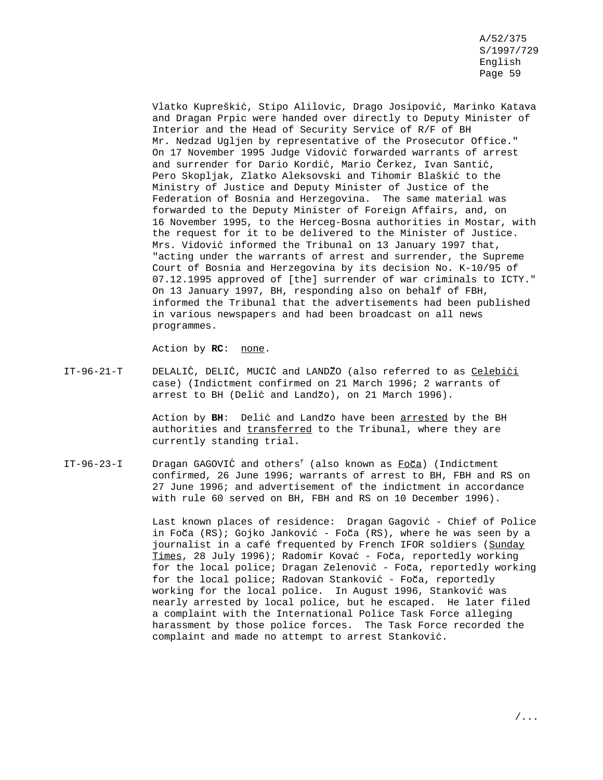Vlatko Kupreškić, Stipo Alilovic, Drago Josipović, Marinko Katava and Dragan Prpic were handed over directly to Deputy Minister of Interior and the Head of Security Service of R/F of BH Mr. Nedzad Ugljen by representative of the Prosecutor Office." On 17 November 1995 Judge Vidovic´ forwarded warrants of arrest and surrender for Dario Kordić, Mario Čerkez, Ivan Santić, Pero Skopljak, Zlatko Aleksovski and Tihomir Blaškić to the Ministry of Justice and Deputy Minister of Justice of the Federation of Bosnia and Herzegovina. The same material was forwarded to the Deputy Minister of Foreign Affairs, and, on 16 November 1995, to the Herceg-Bosna authorities in Mostar, with the request for it to be delivered to the Minister of Justice. Mrs. Vidović informed the Tribunal on 13 January 1997 that, "acting under the warrants of arrest and surrender, the Supreme Court of Bosnia and Herzegovina by its decision No. K-10/95 of 07.12.1995 approved of [the] surrender of war criminals to ICTY." On 13 January 1997, BH, responding also on behalf of FBH, informed the Tribunal that the advertisements had been published in various newspapers and had been broadcast on all news programmes.

Action by **RC**: none.

IT-96-21-T DELALIĆ, DELIĆ, MUCIĆ and LANDŽO (also referred to as Celebići case) (Indictment confirmed on 21 March 1996; 2 warrants of arrest to BH (Delić and Landžo), on 21 March 1996).

> Action by BH: Delić and Landžo have been arrested by the BH authorities and transferred to the Tribunal, where they are currently standing trial.

IT-96-23-I Dragan GAGOVIĆ and others<sup>f</sup> (also known as  $Fo\check{c}a$ ) (Indictment confirmed, 26 June 1996; warrants of arrest to BH, FBH and RS on 27 June 1996; and advertisement of the indictment in accordance with rule 60 served on BH, FBH and RS on 10 December 1996).

> Last known places of residence: Dragan Gagović - Chief of Police in Foča  $(RS)$ ; Gojko Janković - Foča  $(RS)$ , where he was seen by a journalist in a café frequented by French IFOR soldiers (Sunday Times, 28 July 1996); Radomir Kovać - Foča, reportedly working for the local police; Dragan Zelenović - Foča, reportedly working for the local police; Radovan Stanković - Foča, reportedly working for the local police. In August 1996, Stanković was nearly arrested by local police, but he escaped. He later filed a complaint with the International Police Task Force alleging harassment by those police forces. The Task Force recorded the complaint and made no attempt to arrest Stankovic´.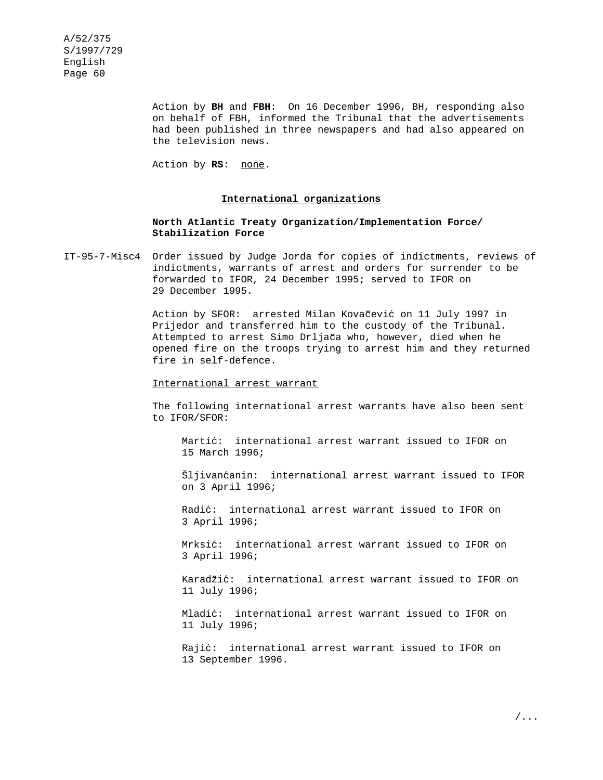> Action by **BH** and **FBH**: On 16 December 1996, BH, responding also on behalf of FBH, informed the Tribunal that the advertisements had been published in three newspapers and had also appeared on the television news.

Action by **RS**: none.

#### **International organizations**

### **North Atlantic Treaty Organization/Implementation Force/ Stabilization Force**

IT-95-7-Misc4 Order issued by Judge Jorda for copies of indictments, reviews of indictments, warrants of arrest and orders for surrender to be forwarded to IFOR, 24 December 1995; served to IFOR on 29 December 1995.

> Action by SFOR: arrested Milan Kovačević on 11 July 1997 in Prijedor and transferred him to the custody of the Tribunal. Attempted to arrest Simo Drljača who, however, died when he opened fire on the troops trying to arrest him and they returned fire in self-defence.

#### International arrest warrant

The following international arrest warrants have also been sent to IFOR/SFOR:

Martić: international arrest warrant issued to IFOR on 15 March 1996;

Šljivanćanin: international arrest warrant issued to IFOR on 3 April 1996;

Radić: international arrest warrant issued to IFOR on 3 April 1996;

Mrksić: international arrest warrant issued to IFOR on 3 April 1996;

Karadžić: international arrest warrant issued to IFOR on 11 July 1996;

Mladić: international arrest warrant issued to IFOR on 11 July 1996;

Rajić: international arrest warrant issued to IFOR on 13 September 1996.